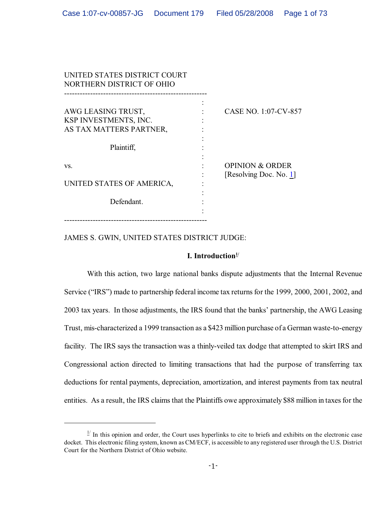| UNITED STATES DISTRICT COURT<br>NORTHERN DISTRICT OF OHIO |  |                                                      |  |  |  |  |
|-----------------------------------------------------------|--|------------------------------------------------------|--|--|--|--|
| AWG LEASING TRUST,<br>KSP INVESTMENTS, INC.               |  | CASE NO. 1:07-CV-857                                 |  |  |  |  |
| AS TAX MATTERS PARTNER,                                   |  |                                                      |  |  |  |  |
| Plaintiff,                                                |  |                                                      |  |  |  |  |
| VS.                                                       |  | <b>OPINION &amp; ORDER</b><br>[Resolving Doc. No. 1] |  |  |  |  |
| UNITED STATES OF AMERICA,                                 |  |                                                      |  |  |  |  |
| Defendant.                                                |  |                                                      |  |  |  |  |
|                                                           |  |                                                      |  |  |  |  |

## JAMES S. GWIN, UNITED STATES DISTRICT JUDGE:

## **I. Introduction1/**

With this action, two large national banks dispute adjustments that the Internal Revenue Service ("IRS") made to partnership federal income tax returns for the 1999, 2000, 2001, 2002, and 2003 tax years. In those adjustments, the IRS found that the banks' partnership, the AWG Leasing Trust, mis-characterized a 1999 transaction as a \$423 million purchase of a German waste-to-energy facility. The IRS says the transaction was a thinly-veiled tax dodge that attempted to skirt IRS and Congressional action directed to limiting transactions that had the purpose of transferring tax deductions for rental payments, depreciation, amortization, and interest payments from tax neutral entities. As a result, the IRS claims that the Plaintiffs owe approximately \$88 million in taxes for the

 $\frac{1}{1}$  In this opinion and order, the Court uses hyperlinks to cite to briefs and exhibits on the electronic case docket. This electronic filing system, known as CM/ECF, is accessible to any registered user through the U.S. District Court for the Northern District of Ohio website.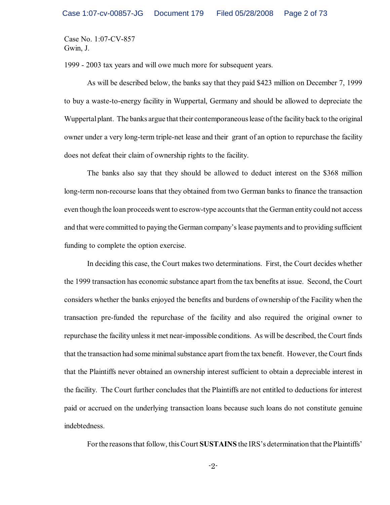1999 - 2003 tax years and will owe much more for subsequent years.

As will be described below, the banks say that they paid \$423 million on December 7, 1999 to buy a waste-to-energy facility in Wuppertal, Germany and should be allowed to depreciate the Wuppertal plant. The banks argue that their contemporaneous lease ofthe facility back to the original owner under a very long-term triple-net lease and their grant of an option to repurchase the facility does not defeat their claim of ownership rights to the facility.

The banks also say that they should be allowed to deduct interest on the \$368 million long-term non-recourse loans that they obtained from two German banks to finance the transaction even though the loan proceeds went to escrow-type accounts that the German entity could not access and that were committed to paying the German company's lease payments and to providing sufficient funding to complete the option exercise.

In deciding this case, the Court makes two determinations. First, the Court decides whether the 1999 transaction has economic substance apart from the tax benefits at issue. Second, the Court considers whether the banks enjoyed the benefits and burdens of ownership of the Facility when the transaction pre-funded the repurchase of the facility and also required the original owner to repurchase the facility unless it met near-impossible conditions. As will be described, the Court finds that the transaction had some minimal substance apart from the tax benefit. However, the Court finds that the Plaintiffs never obtained an ownership interest sufficient to obtain a depreciable interest in the facility. The Court further concludes that the Plaintiffs are not entitled to deductions for interest paid or accrued on the underlying transaction loans because such loans do not constitute genuine indebtedness.

Forthe reasons that follow, this Court **SUSTAINS** the IRS's determination that the Plaintiffs'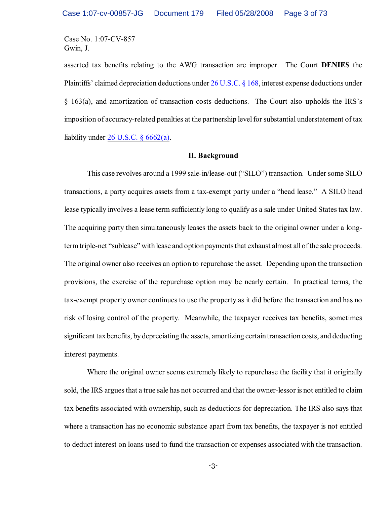asserted tax benefits relating to the AWG transaction are improper. The Court **DENIES** the Plaintiffs' claimed depreciation deductions under [26 U.S.C. § 168](http://www.westlaw.com/find/default.wl?rs=CLWP3.0&vr=2.0&cite=26+USCA+s+168), interest expense deductions under § 163(a), and amortization of transaction costs deductions. The Court also upholds the IRS's imposition of accuracy-related penalties at the partnership level for substantial understatement of tax liability under  $26$  U.S.C.  $\frac{6662}{a}$ .

#### **II. Background**

This case revolves around a 1999 sale-in/lease-out ("SILO") transaction. Under some SILO transactions, a party acquires assets from a tax-exempt party under a "head lease." A SILO head lease typically involves a lease term sufficiently long to qualify as a sale under United States tax law. The acquiring party then simultaneously leases the assets back to the original owner under a longterm triple-net "sublease" with lease and option payments that exhaust almost all of the sale proceeds. The original owner also receives an option to repurchase the asset. Depending upon the transaction provisions, the exercise of the repurchase option may be nearly certain. In practical terms, the tax-exempt property owner continues to use the property as it did before the transaction and has no risk of losing control of the property. Meanwhile, the taxpayer receives tax benefits, sometimes significant tax benefits, by depreciating the assets, amortizing certain transaction costs, and deducting interest payments.

Where the original owner seems extremely likely to repurchase the facility that it originally sold, the IRS argues that a true sale has not occurred and that the owner-lessor is not entitled to claim tax benefits associated with ownership, such as deductions for depreciation. The IRS also says that where a transaction has no economic substance apart from tax benefits, the taxpayer is not entitled to deduct interest on loans used to fund the transaction or expenses associated with the transaction.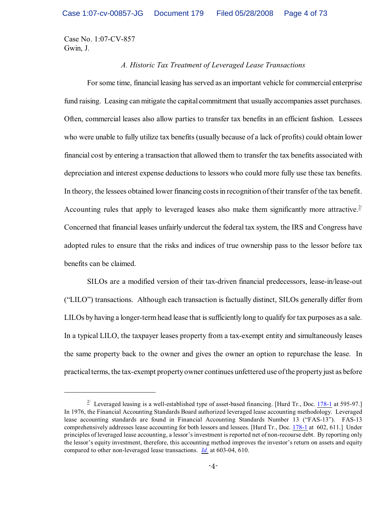## *A. Historic Tax Treatment of Leveraged Lease Transactions*

For some time, financial leasing has served as an important vehicle for commercial enterprise fund raising. Leasing can mitigate the capital commitment that usually accompanies asset purchases. Often, commercial leases also allow parties to transfer tax benefits in an efficient fashion. Lessees who were unable to fully utilize tax benefits (usually because of a lack of profits) could obtain lower financial cost by entering a transaction that allowed them to transfer the tax benefits associated with depreciation and interest expense deductions to lessors who could more fully use these tax benefits. In theory, the lessees obtained lower financing costs in recognition of their transfer of the tax benefit. Accounting rules that apply to leveraged leases also make them significantly more attractive.<sup>2/</sup> Concerned that financial leases unfairly undercut the federal tax system, the IRS and Congress have adopted rules to ensure that the risks and indices of true ownership pass to the lessor before tax benefits can be claimed.

SILOs are a modified version of their tax-driven financial predecessors, lease-in/lease-out ("LILO") transactions. Although each transaction is factually distinct, SILOs generally differ from LILOs by having a longer-term head lease that is sufficiently long to qualify for tax purposes as a sale. In a typical LILO, the taxpayer leases property from a tax-exempt entity and simultaneously leases the same property back to the owner and gives the owner an option to repurchase the lease. In practical terms, the tax-exempt property owner continues unfettered use of the property just as before

 $2^{2}$  Leveraged leasing is a well-established type of asset-based financing. [Hurd Tr., Doc.  $178-1$  at 595-97.] In 1976, the Financial Accounting Standards Board authorized leveraged lease accounting methodology. Leveraged lease accounting standards are found in Financial Accounting Standards Number 13 ("FAS-13"). FAS-13 comprehensively addresses lease accounting for both lessors and lessees. [Hurd Tr., Doc. [178-1](https://ecf.ohnd.uscourts.gov/doc1/14113879558) at 602, 611.] Under principles of leveraged lease accounting, a lessor's investment is reported net of non-recourse debt. By reporting only the lessor's equity investment, therefore, this accounting method improves the investor's return on assets and equity compared to other non-leveraged lease transactions. *[Id.](https://ecf.ohnd.uscourts.gov/doc1/14113879558)* at 603-04, 610.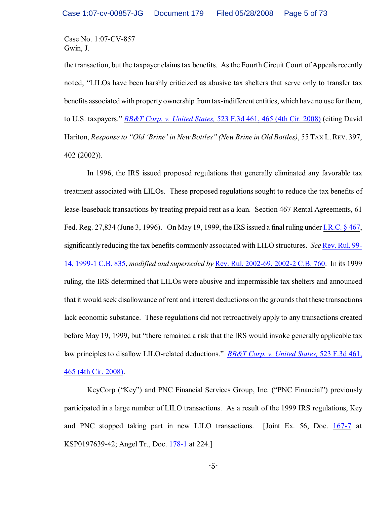the transaction, but the taxpayer claimstax benefits. Asthe Fourth Circuit Court of Appeals recently noted, "LILOs have been harshly criticized as abusive tax shelters that serve only to transfer tax benefits associated with property ownership from tax-indifferent entities, which have no use for them, to U.S. taxpayers." *BB&T Corp. v. United States,* [523 F.3d 461, 465 \(4th Cir. 2008\)](http://www.westlaw.com/keycite/default.wl?rs=CLWP3.0&vr=2.0&cite=523+F.3d+461) (citing David Hariton, *Response to "Old 'Brine' in New Bottles" (New Brine in Old Bottles)*, 55 TAX L.REV. 397, 402 (2002)).

In 1996, the IRS issued proposed regulations that generally eliminated any favorable tax treatment associated with LILOs. These proposed regulations sought to reduce the tax benefits of lease-leaseback transactions by treating prepaid rent as a loan. Section 467 Rental Agreements, 61 Fed. Reg. 27,834 (June 3, 1996). On May 19, 1999, the IRS issued a final ruling under [I.R.C. § 467](http://www.westlaw.com/find/default.wl?rs=CLWP3.0&vr=2.0&cite=I.R.C.+s+467), significantly reducing the tax benefits commonly associated with LILO structures. *See* [Rev. Rul. 99-](http://www.westlaw.com/keycite/default.wl?rs=CLWP3.0&vr=2.0&cite=1999-1+C.B.+835) [14, 1999-1 C.B. 835](http://www.westlaw.com/keycite/default.wl?rs=CLWP3.0&vr=2.0&cite=1999-1+C.B.+835), *modified and superseded by* [Rev. Rul. 2002-69, 2002-2 C.B. 760](http://www.westlaw.com/keycite/default.wl?rs=CLWP3.0&vr=2.0&cite=2002-2+C.B.+760). In its 1999 ruling, the IRS determined that LILOs were abusive and impermissible tax shelters and announced that it would seek disallowance of rent and interest deductions on the grounds that these transactions lack economic substance. These regulations did not retroactively apply to any transactions created before May 19, 1999, but "there remained a risk that the IRS would invoke generally applicable tax law principles to disallow LILO-related deductions." *[BB&T Corp. v. United States,](http://www.westlaw.com/keycite/default.wl?rs=CLWP3.0&vr=2.0&cite=523+F.3d+461)* 523 F.3d 461, [465 \(4th Cir. 2008\)](http://www.westlaw.com/keycite/default.wl?rs=CLWP3.0&vr=2.0&cite=523+F.3d+461).

KeyCorp ("Key") and PNC Financial Services Group, Inc. ("PNC Financial") previously participated in a large number of LILO transactions. As a result of the 1999 IRS regulations, Key and PNC stopped taking part in new LILO transactions. [Joint Ex. 56, Doc. [167-7](https://ecf.ohnd.uscourts.gov/doc1/14113879247) at KSP0197639-42; Angel Tr., Doc. [178-1](https://ecf.ohnd.uscourts.gov/doc1/14103879557) at 224.]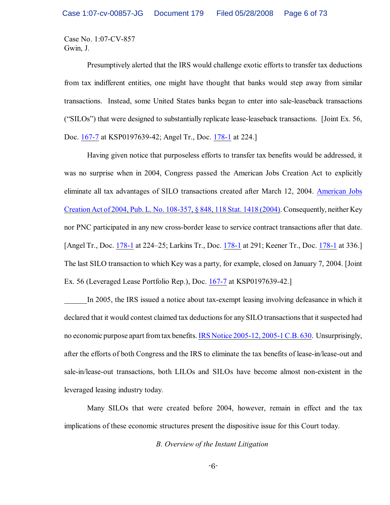Presumptively alerted that the IRS would challenge exotic efforts to transfer tax deductions from tax indifferent entities, one might have thought that banks would step away from similar transactions. Instead, some United States banks began to enter into sale-leaseback transactions ("SILOs") that were designed to substantially replicate lease-leaseback transactions. [Joint Ex. 56, Doc. [167-7](https://ecf.ohnd.uscourts.gov/doc1/14113879247) at KSP0197639-42; Angel Tr., Doc. [178-1](https://ecf.ohnd.uscourts.gov/doc1/14113879558) at 224.]

Having given notice that purposeless efforts to transfer tax benefits would be addressed, it was no surprise when in 2004, Congress passed the American Jobs Creation Act to explicitly eliminate all tax advantages of SILO transactions created after March 12, 2004. [American Jobs](http://www.westlaw.com/find/default.wl?rs=CLWP3.0&vr=2.0&cite=PL+No.+108-357) [Creation Act of](http://www.westlaw.com/find/default.wl?rs=CLWP3.0&vr=2.0&cite=PL+No.+108-357) 2004, Pub. L. No. 108-357, § 848, 118 Stat. 1418 (2004). Consequently, neither Key nor PNC participated in any new cross-border lease to service contract transactions after that date. [Angel Tr., Doc. [178-1](https://ecf.ohnd.uscourts.gov/doc1/14113879558) at 224–25; Larkins Tr., Doc. [178-1](https://ecf.ohnd.uscourts.gov/doc1/14113879558) at 291; Keener Tr., Doc. [178-1](https://ecf.ohnd.uscourts.gov/doc1/14113879558) at 336.] The last SILO transaction to which Key was a party, for example, closed on January 7, 2004. [Joint Ex. 56 (Leveraged Lease Portfolio Rep.), Doc. [167-7](https://ecf.ohnd.uscourts.gov/doc1/14113879247) at KSP0197639-42.]

In 2005, the IRS issued a notice about tax-exempt leasing involving defeasance in which it declared that it would contest claimed tax deductions for any SILO transactions that it suspected had no economic purpose apart from tax benefits. [IRS Notice 2005-12, 2005-1 C.B. 630](http://www.westlaw.com/keycite/default.wl?rs=CLWP3.0&vr=2.0&cite=2005-1+C.B.+630). Unsurprisingly, after the efforts of both Congress and the IRS to eliminate the tax benefits of lease-in/lease-out and sale-in/lease-out transactions, both LILOs and SILOs have become almost non-existent in the leveraged leasing industry today.

Many SILOs that were created before 2004, however, remain in effect and the tax implications of these economic structures present the dispositive issue for this Court today.

*B. Overview of the Instant Litigation*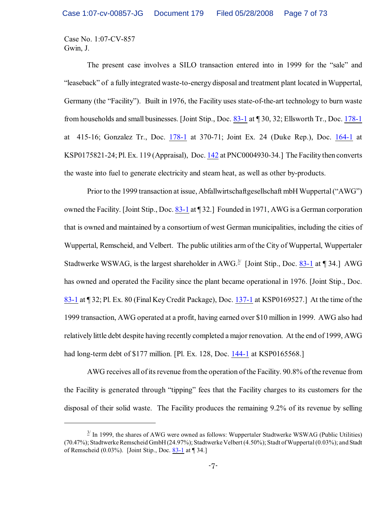The present case involves a SILO transaction entered into in 1999 for the "sale" and "leaseback" of a fully integrated waste-to-energy disposal and treatment plant located in Wuppertal, Germany (the "Facility"). Built in 1976, the Facility uses state-of-the-art technology to burn waste from households and small businesses. [Joint Stip., Doc. [83-1](https://ecf.ohnd.uscourts.gov/doc1/14113678226) at ¶ 30, 32; Ellsworth Tr., Doc. [178-1](https://ecf.ohnd.uscourts.gov/doc1/14113879558) at 415-16; Gonzalez Tr., Doc. [178-1](https://ecf.ohnd.uscourts.gov/doc1/14113879558) at 370-71; Joint Ex. 24 (Duke Rep.), Doc. [164-1](https://ecf.ohnd.uscourts.gov/doc1/14113879174) at KSP0175821-24; Pl. Ex. 119 (Appraisal), Doc. [142](https://ecf.ohnd.uscourts.gov/doc1/14103877393) at PNC0004930-34.] The Facility then converts the waste into fuel to generate electricity and steam heat, as well as other by-products.

Prior to the 1999 transaction at issue, Abfallwirtschaftgesellschaft mbH Wuppertal ("AWG") owned the Facility. [Joint Stip., Doc. [83-1](https://ecf.ohnd.uscourts.gov/doc1/14113678226) at ¶ 32.] Founded in 1971, AWG is a German corporation that is owned and maintained by a consortium of west German municipalities, including the cities of Wuppertal, Remscheid, and Velbert. The public utilities arm of the City of Wuppertal, Wuppertaler Stadtwerke WSWAG, is the largest shareholder in AWG.<sup>3/</sup> [Joint Stip., Doc.  $83-1$  at 134.] AWG has owned and operated the Facility since the plant became operational in 1976. [Joint Stip., Doc. [83-1](https://ecf.ohnd.uscourts.gov/doc1/14113678226) at ¶ 32; Pl. Ex. 80 (Final KeyCredit Package), Doc. [137-1](https://ecf.ohnd.uscourts.gov/doc1/14113877181) at KSP0169527.] At the time of the 1999 transaction, AWG operated at a profit, having earned over \$10 million in 1999. AWG also had relatively little debt despite having recently completed a major renovation. At the end of 1999, AWG had long-term debt of \$177 million. [Pl. Ex. 128, Doc. [144-1](https://ecf.ohnd.uscourts.gov/doc1/14113878062) at KSP0165568.]

AWG receives all of its revenue from the operation of the Facility. 90.8% of the revenue from the Facility is generated through "tipping" fees that the Facility charges to its customers for the disposal of their solid waste. The Facility produces the remaining 9.2% of its revenue by selling

 $\frac{3}{1}$  In 1999, the shares of AWG were owned as follows: Wuppertaler Stadtwerke WSWAG (Public Utilities) (70.47%); Stadtwerke Remscheid GmbH (24.97%); Stadtwerke Velbert (4.50%); Stadt of Wuppertal (0.03%); and Stadt of Remscheid (0.03%). [Joint Stip., Doc. [83-1](https://ecf.ohnd.uscourts.gov/doc1/14113678226) at ¶ 34.]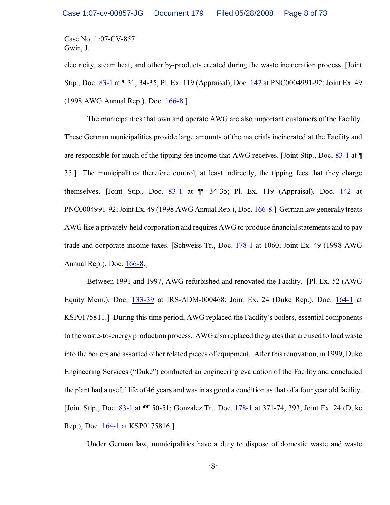electricity, steam heat, and other by-products created during the waste incineration process. [Joint Stip., Doc. [83-1](https://ecf.ohnd.uscourts.gov/doc1/14113678226) at ¶ 31, 34-35; Pl. Ex. 119 (Appraisal), Doc. [142](https://ecf.ohnd.uscourts.gov/doc1/14103877393) at PNC0004991-92; Joint Ex. 49 (1998 AWG Annual Rep.), Doc. [166-8](https://ecf.ohnd.uscourts.gov/doc1/14113879234).]

The municipalities that own and operate AWG are also important customers of the Facility. These German municipalities provide large amounts of the materials incinerated at the Facility and are responsible for much of the tipping fee income that AWG receives. [Joint Stip., Doc. [83-1](https://ecf.ohnd.uscourts.gov/doc1/14113678226) at ¶ 35.] The municipalities therefore control, at least indirectly, the tipping fees that they charge themselves. [Joint Stip., Doc.  $83-1$  at  $\P$  34-35; Pl. Ex. 119 (Appraisal), Doc. [142](https://ecf.ohnd.uscourts.gov/doc1/14103877393) at PNC0004991-92; Joint Ex. 49 (1998 AWG Annual Rep.), Doc. [166-8](https://ecf.ohnd.uscourts.gov/doc1/14113879234).] German law generally treats AWG like a privately-held corporation and requires AWG to produce financial statements and to pay trade and corporate income taxes. [Schweiss Tr., Doc. [178-1](https://ecf.ohnd.uscourts.gov/doc1/14113879558) at 1060; Joint Ex. 49 (1998 AWG Annual Rep.), Doc. [166-8](https://ecf.ohnd.uscourts.gov/doc1/14113879234).]

Between 1991 and 1997, AWG refurbished and renovated the Facility. [Pl. Ex. 52 (AWG Equity Mem.), Doc. [133-39](https://ecf.ohnd.uscourts.gov/doc1/14113876441) at IRS-ADM-000468; Joint Ex. 24 (Duke Rep.), Doc. [164-1](https://ecf.ohnd.uscourts.gov/doc1/14113879174) at KSP0175811.] During this time period, AWG replaced the Facility's boilers, essential components to the waste-to-energy production process. AWG also replaced the grates that are used to load waste into the boilers and assorted other related pieces of equipment. After this renovation, in 1999, Duke Engineering Services ("Duke") conducted an engineering evaluation of the Facility and concluded the plant had a useful life of 46 years and was in as good a condition as that of a four year old facility. [Joint Stip., Doc. [83-1](https://ecf.ohnd.uscourts.gov/doc1/14113678226) at ¶¶ 50-51; Gonzalez Tr., Doc. [178-1](https://ecf.ohnd.uscourts.gov/doc1/14113879558) at 371-74, 393; Joint Ex. 24 (Duke Rep.), Doc. [164-1](https://ecf.ohnd.uscourts.gov/doc1/14113879174) at KSP0175816.]

Under German law, municipalities have a duty to dispose of domestic waste and waste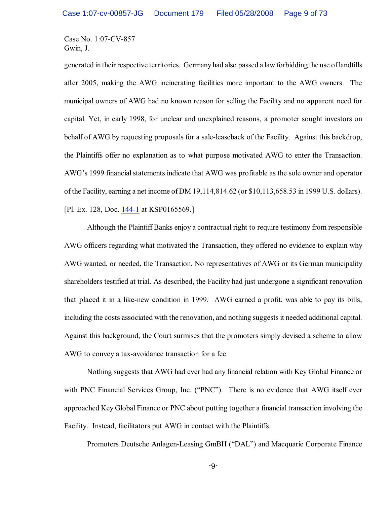generated in their respective territories. Germany had also passed a law forbidding the use of landfills after 2005, making the AWG incinerating facilities more important to the AWG owners. The municipal owners of AWG had no known reason for selling the Facility and no apparent need for capital. Yet, in early 1998, for unclear and unexplained reasons, a promoter sought investors on behalf of AWG by requesting proposals for a sale-leaseback of the Facility. Against this backdrop, the Plaintiffs offer no explanation as to what purpose motivated AWG to enter the Transaction. AWG's 1999 financial statements indicate that AWG was profitable as the sole owner and operator of the Facility, earning a net income of DM 19,114,814.62 (or \$10,113,658.53 in 1999 U.S. dollars). [Pl. Ex. 128, Doc. [144-1](https://ecf.ohnd.uscourts.gov/doc1/14113878062) at KSP0165569.]

Although the Plaintiff Banks enjoy a contractual right to require testimony from responsible AWG officers regarding what motivated the Transaction, they offered no evidence to explain why AWG wanted, or needed, the Transaction. No representatives of AWG or its German municipality shareholders testified at trial. As described, the Facility had just undergone a significant renovation that placed it in a like-new condition in 1999. AWG earned a profit, was able to pay its bills, including the costs associated with the renovation, and nothing suggests it needed additional capital. Against this background, the Court surmises that the promoters simply devised a scheme to allow AWG to convey a tax-avoidance transaction for a fee.

Nothing suggests that AWG had ever had any financial relation with Key Global Finance or with PNC Financial Services Group, Inc. ("PNC"). There is no evidence that AWG itself ever approached Key Global Finance or PNC about putting together a financial transaction involving the Facility. Instead, facilitators put AWG in contact with the Plaintiffs.

Promoters Deutsche Anlagen-Leasing GmBH ("DAL") and Macquarie Corporate Finance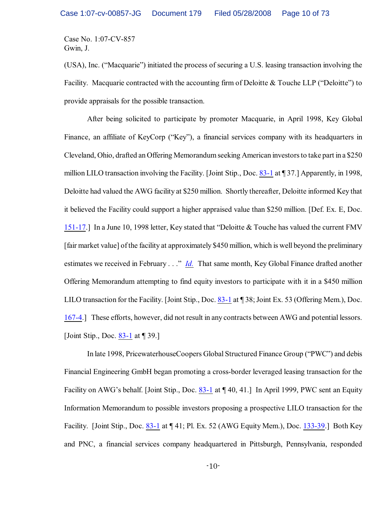(USA), Inc. ("Macquarie") initiated the process of securing a U.S. leasing transaction involving the Facility. Macquarie contracted with the accounting firm of Deloitte & Touche LLP ("Deloitte") to provide appraisals for the possible transaction.

After being solicited to participate by promoter Macquarie, in April 1998, Key Global Finance, an affiliate of KeyCorp ("Key"), a financial services company with its headquarters in Cleveland, Ohio, drafted an Offering Memorandumseeking American investors to take part in a \$250 million LILO transaction involving the Facility. [Joint Stip., Doc. [83-1](https://ecf.ohnd.uscourts.gov/doc1/14113678226) at ¶ 37.] Apparently, in 1998, Deloitte had valued the AWG facility at \$250 million. Shortly thereafter, Deloitte informed Key that it believed the Facility could support a higher appraised value than \$250 million. [Def. Ex. E, Doc. [151-17](https://ecf.ohnd.uscourts.gov/doc1/14113878427).] In a June 10, 1998 letter, Key stated that "Deloitte & Touche has valued the current FMV [fair market value] ofthe facility at approximately \$450 million, which is well beyond the preliminary estimates we received in February . . ." *[Id.](https://ecf.ohnd.uscourts.gov/doc1/14113878427)* That same month, Key Global Finance drafted another Offering Memorandum attempting to find equity investors to participate with it in a \$450 million LILO transaction for the Facility. [Joint Stip., Doc. [83-1](https://ecf.ohnd.uscourts.gov/doc1/14113678226) at ¶ 38; Joint Ex. 53 (Offering Mem.), Doc. [167-4](https://ecf.ohnd.uscourts.gov/doc1/14113879244).] These efforts, however, did not result in any contracts between AWG and potential lessors. [Joint Stip., Doc. [83-1](https://ecf.ohnd.uscourts.gov/doc1/14113678226) at ¶ 39.]

In late 1998, PricewaterhouseCoopers Global Structured Finance Group ("PWC") and debis Financial Engineering GmbH began promoting a cross-border leveraged leasing transaction for the Facility on AWG's behalf. [Joint Stip., Doc. [83-1](https://ecf.ohnd.uscourts.gov/doc1/14113678226) at  $\P$  40, 41.] In April 1999, PWC sent an Equity Information Memorandum to possible investors proposing a prospective LILO transaction for the Facility. [Joint Stip., Doc. [83-1](https://ecf.ohnd.uscourts.gov/doc1/14113678226) at ¶ 41; Pl. Ex. 52 (AWG Equity Mem.), Doc. [133-39](https://ecf.ohnd.uscourts.gov/doc1/14113876441).] Both Key and PNC, a financial services company headquartered in Pittsburgh, Pennsylvania, responded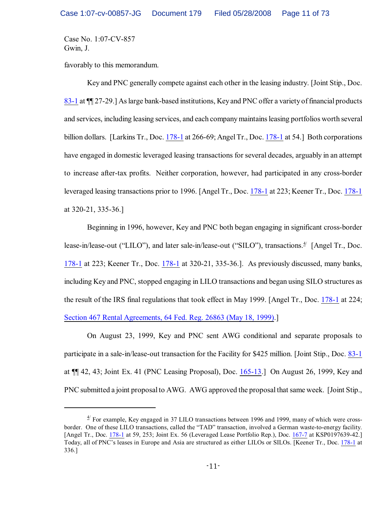favorably to this memorandum.

Key and PNC generally compete against each other in the leasing industry. [Joint Stip., Doc. [83-1](https://ecf.ohnd.uscourts.gov/doc1/14113678226) at ¶¶ 27-29.] As large bank-based institutions, Keyand PNC offer a variety of financial products and services, including leasing services, and each company maintains leasing portfolios worth several billion dollars. [Larkins Tr., Doc. [178-1](https://ecf.ohnd.uscourts.gov/doc1/14113879558) at 266-69; Angel Tr., Doc. [178-1](https://ecf.ohnd.uscourts.gov/doc1/14113879558) at 54.] Both corporations have engaged in domestic leveraged leasing transactions for several decades, arguably in an attempt to increase after-tax profits. Neither corporation, however, had participated in any cross-border leveraged leasing transactions prior to 1996. [Angel Tr., Doc. [178-1](https://ecf.ohnd.uscourts.gov/doc1/14113879558) at 223; Keener Tr., Doc. [178-1](https://ecf.ohnd.uscourts.gov/doc1/14113879558) at 320-21, 335-36.]

Beginning in 1996, however, Key and PNC both began engaging in significant cross-border lease-in/lease-out ("LILO"), and later sale-in/lease-out ("SILO"), transactions.<sup>4/</sup> [Angel Tr., Doc. [178-1](https://ecf.ohnd.uscourts.gov/doc1/14113879558) at 223; Keener Tr., Doc. [178-1](https://ecf.ohnd.uscourts.gov/doc1/14113879558) at 320-21, 335-36.]. As previously discussed, many banks, including Key and PNC, stopped engaging in LILO transactions and began using SILO structures as the result of the IRS final regulations that took effect in May 1999. [Angel Tr., Doc. [178-1](https://ecf.ohnd.uscourts.gov/doc1/14113879558) at 224; [Section 467 Rental Agreements, 64 Fed. Reg. 26863 \(May 18, 1999\)](http://www.westlaw.com/find/default.wl?rs=CLWP3.0&vr=2.0&cite=64+FR+26863).]

On August 23, 1999, Key and PNC sent AWG conditional and separate proposals to participate in a sale-in/lease-out transaction for the Facility for \$425 million. [Joint Stip., Doc. [83-1](https://ecf.ohnd.uscourts.gov/doc1/14113678226) at ¶¶ 42, 43; Joint Ex. 41 (PNC Leasing Proposal), Doc. [165-13](https://ecf.ohnd.uscourts.gov/doc1/14113879211).] On August 26, 1999, Key and PNC submitted a joint proposal to AWG. AWG approved the proposal that same week. [Joint Stip.,

 $4/$  For example, Key engaged in 37 LILO transactions between 1996 and 1999, many of which were crossborder. One of these LILO transactions, called the "TAD" transaction, involved a German waste-to-energy facility. [Angel Tr., Doc. [178-1](https://ecf.ohnd.uscourts.gov/doc1/14113879558) at 59, 253; Joint Ex. 56 (Leveraged Lease Portfolio Rep.), Doc. [167-7](https://ecf.ohnd.uscourts.gov/doc1/14113879247) at KSP0197639-42.] Today, all of PNC's leases in Europe and Asia are structured as either LILOs or SILOs. [Keener Tr., Doc. [178-1](https://ecf.ohnd.uscourts.gov/doc1/14113879558) at 336.]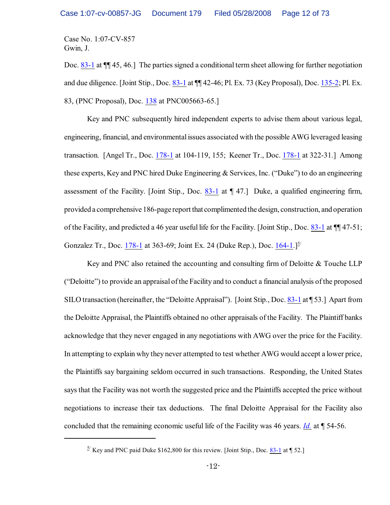Doc. [83-1](https://ecf.ohnd.uscourts.gov/doc1/14113678226) at ¶¶ 45, 46.] The parties signed a conditional term sheet allowing for further negotiation and due diligence. [Joint Stip., Doc. [83-1](https://ecf.ohnd.uscourts.gov/doc1/14113678226) at ¶¶ 42-46; Pl. Ex. 73 (Key Proposal), Doc. [135-2](https://ecf.ohnd.uscourts.gov/doc1/14113876785); Pl. Ex. 83, (PNC Proposal), Doc. [138](https://ecf.ohnd.uscourts.gov/doc1/14103877228) at PNC005663-65.]

Key and PNC subsequently hired independent experts to advise them about various legal, engineering, financial, and environmental issues associated with the possible AWG leveraged leasing transaction. [Angel Tr., Doc. [178-1](https://ecf.ohnd.uscourts.gov/doc1/14113879558) at 104-119, 155; Keener Tr., Doc. [178-1](https://ecf.ohnd.uscourts.gov/doc1/14113879558) at 322-31.] Among these experts, Key and PNC hired Duke Engineering & Services, Inc. ("Duke") to do an engineering assessment of the Facility. [Joint Stip., Doc. [83-1](https://ecf.ohnd.uscourts.gov/doc1/14113678226) at ¶ 47.] Duke, a qualified engineering firm, provided a comprehensive 186-page report that complimented the design, construction, and operation of the Facility, and predicted a 46 year useful life for the Facility. [Joint Stip., Doc. [83-1](https://ecf.ohnd.uscourts.gov/doc1/14113678226) at ¶¶ 47-51; Gonzalez Tr., Doc. [178-1](https://ecf.ohnd.uscourts.gov/doc1/14113879558) at 363-69; Joint Ex. 24 (Duke Rep.), Doc. [164-1](https://ecf.ohnd.uscourts.gov/doc1/14113879174).]<sup>5/</sup>

Key and PNC also retained the accounting and consulting firm of Deloitte & Touche LLP ("Deloitte") to provide an appraisal ofthe Facility and to conduct a financial analysis of the proposed SILO transaction (hereinafter, the "Deloitte Appraisal"). [Joint Stip., Doc. [83-1](https://ecf.ohnd.uscourts.gov/doc1/14113678226) at [53.] Apart from the Deloitte Appraisal, the Plaintiffs obtained no other appraisals of the Facility. The Plaintiff banks acknowledge that they never engaged in any negotiations with AWG over the price for the Facility. In attempting to explain why they never attempted to test whether AWG would accept a lower price, the Plaintiffs say bargaining seldom occurred in such transactions. Responding, the United States says that the Facility was not worth the suggested price and the Plaintiffs accepted the price without negotiations to increase their tax deductions. The final Deloitte Appraisal for the Facility also concluded that the remaining economic useful life of the Facility was 46 years. *[Id.](https://ecf.ohnd.uscourts.gov/doc1/14113678226)* at ¶ 54-56.

 $\frac{5}{2}$  Key and PNC paid Duke \$162,800 for this review. [Joint Stip., Doc.  $\frac{83-1}{1}$  $\frac{83-1}{1}$  $\frac{83-1}{1}$  at  $\frac{1}{3}$  52.]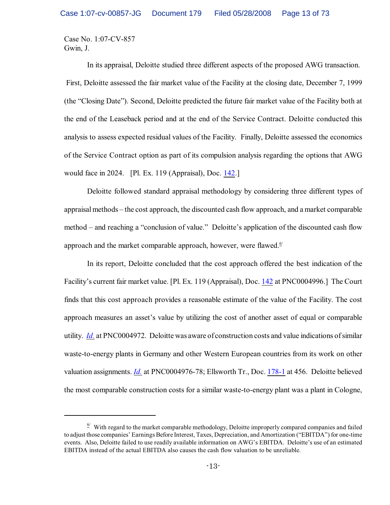In its appraisal, Deloitte studied three different aspects of the proposed AWG transaction. First, Deloitte assessed the fair market value of the Facility at the closing date, December 7, 1999 (the "Closing Date"). Second, Deloitte predicted the future fair market value of the Facility both at the end of the Leaseback period and at the end of the Service Contract. Deloitte conducted this analysis to assess expected residual values of the Facility. Finally, Deloitte assessed the economics of the Service Contract option as part of its compulsion analysis regarding the options that AWG would face in 2024. [Pl. Ex. 119 (Appraisal), Doc. [142](https://ecf.ohnd.uscourts.gov/doc1/14103877393).]

Deloitte followed standard appraisal methodology by considering three different types of appraisal methods – the cost approach, the discounted cash flow approach, and a market comparable method – and reaching a "conclusion of value." Deloitte's application of the discounted cash flow approach and the market comparable approach, however, were flawed.<sup> $6/$ </sup>

In its report, Deloitte concluded that the cost approach offered the best indication of the Facility's current fair market value. [Pl. Ex. 119 (Appraisal), Doc. [142](https://ecf.ohnd.uscourts.gov/doc1/14103877393) at PNC0004996.] The Court finds that this cost approach provides a reasonable estimate of the value of the Facility. The cost approach measures an asset's value by utilizing the cost of another asset of equal or comparable utility. *[Id.](https://ecf.ohnd.uscourts.gov/doc1/14103877393)* at PNC0004972. Deloitte was aware of construction costs and value indications of similar waste-to-energy plants in Germany and other Western European countries from its work on other valuation assignments. *[Id.](https://ecf.ohnd.uscourts.gov/doc1/14103877393)* at PNC0004976-78; Ellsworth Tr., Doc. [178-1](https://ecf.ohnd.uscourts.gov/doc1/14113879558) at 456. Deloitte believed the most comparable construction costs for a similar waste-to-energy plant was a plant in Cologne,

 $\frac{6}{1}$  With regard to the market comparable methodology, Deloitte improperly compared companies and failed to adjust those companies' Earnings Before Interest, Taxes, Depreciation, and Amortization ("EBITDA") for one-time events. Also, Deloitte failed to use readily available information on AWG's EBITDA. Deloitte's use of an estimated EBITDA instead of the actual EBITDA also causes the cash flow valuation to be unreliable.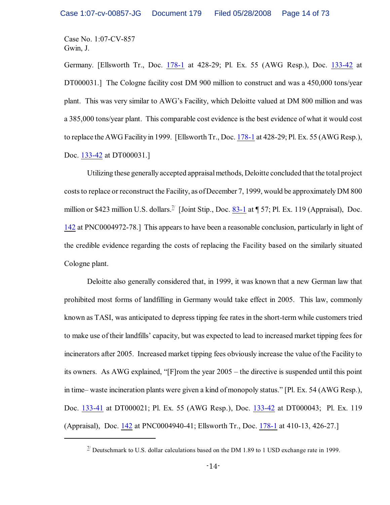Germany. [Ellsworth Tr., Doc. [178-1](https://ecf.ohnd.uscourts.gov/doc1/14113879558) at 428-29; Pl. Ex. 55 (AWG Resp.), Doc. [133-42](https://ecf.ohnd.uscourts.gov/doc1/14113876444) at DT000031.] The Cologne facility cost DM 900 million to construct and was a 450,000 tons/year plant. This was very similar to AWG's Facility, which Deloitte valued at DM 800 million and was a 385,000 tons/year plant. This comparable cost evidence is the best evidence of what it would cost to replace the AWG Facility in 1999. [Ellsworth Tr., Doc. [178-1](https://ecf.ohnd.uscourts.gov/doc1/14113879558) at 428-29; Pl. Ex. 55 (AWG Resp.), Doc. [133-42](https://ecf.ohnd.uscourts.gov/doc1/14113876444) at DT000031.]

Utilizing these generally accepted appraisal methods, Deloitte concluded that the total project costs to replace or reconstruct the Facility, as ofDecember 7, 1999, would be approximately DM 800 million or \$423 million U.S. dollars.<sup>2/</sup> [Joint Stip., Doc.  $83-1$  at  $\P$  57; Pl. Ex. 119 (Appraisal), Doc. [142](https://ecf.ohnd.uscourts.gov/doc1/14103877393) at PNC0004972-78.] This appearsto have been a reasonable conclusion, particularly in light of the credible evidence regarding the costs of replacing the Facility based on the similarly situated Cologne plant.

Deloitte also generally considered that, in 1999, it was known that a new German law that prohibited most forms of landfilling in Germany would take effect in 2005. This law, commonly known as TASI, was anticipated to depress tipping fee rates in the short-term while customers tried to make use of their landfills' capacity, but was expected to lead to increased market tipping fees for incinerators after 2005. Increased market tipping fees obviously increase the value of the Facility to its owners. As AWG explained, "[F]rom the year 2005 – the directive is suspended until this point in time– waste incineration plants were given a kind of monopoly status." [Pl. Ex. 54 (AWG Resp.), Doc. [133-41](https://ecf.ohnd.uscourts.gov/doc1/14113876443) at DT000021; Pl. Ex. 55 (AWG Resp.), Doc. [133-42](https://ecf.ohnd.uscourts.gov/doc1/14113876444) at DT000043; Pl. Ex. 119 (Appraisal), Doc. [142](https://ecf.ohnd.uscourts.gov/doc1/14103877393) at PNC0004940-41; Ellsworth Tr., Doc. [178-1](https://ecf.ohnd.uscourts.gov/doc1/14113879558) at 410-13, 426-27.]

 $\frac{\pi}{2}$  Deutschmark to U.S. dollar calculations based on the DM 1.89 to 1 USD exchange rate in 1999.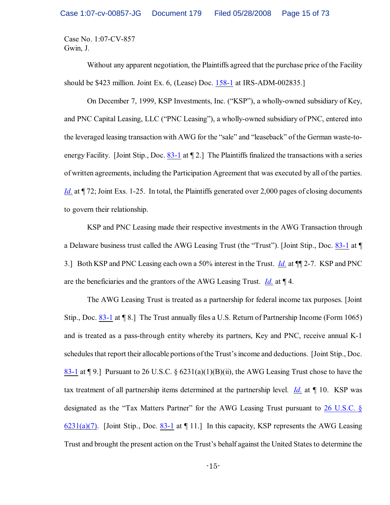Without any apparent negotiation, the Plaintiffs agreed that the purchase price of the Facility should be \$423 million. Joint Ex. 6, (Lease) Doc. [158-1](https://ecf.ohnd.uscourts.gov/doc1/14113878655) at IRS-ADM-002835.]

On December 7, 1999, KSP Investments, Inc. ("KSP"), a wholly-owned subsidiary of Key, and PNC Capital Leasing, LLC ("PNC Leasing"), a wholly-owned subsidiary of PNC, entered into the leveraged leasing transaction with AWG for the "sale" and "leaseback" of the German waste-to-energy Facility. [Joint Stip., Doc. [83-1](https://ecf.ohnd.uscourts.gov/doc1/14113678226) at  $\P$  2.] The Plaintiffs finalized the transactions with a series of written agreements, including the Participation Agreement that was executed by all of the parties. *[Id.](https://ecf.ohnd.uscourts.gov/doc1/14113678226)* at ¶ 72; Joint Exs. 1-25. In total, the Plaintiffs generated over 2,000 pages of closing documents to govern their relationship.

KSP and PNC Leasing made their respective investments in the AWG Transaction through a Delaware business trust called the AWG Leasing Trust (the "Trust"). [Joint Stip., Doc. [83-1](https://ecf.ohnd.uscourts.gov/doc1/14113678226) at ¶ 3.] Both KSP and PNC Leasing each own a 50% interest in the Trust. *[Id.](https://ecf.ohnd.uscourts.gov/doc1/14113678226)* at ¶¶ 2-7. KSP and PNC are the beneficiaries and the grantors of the AWG Leasing Trust. *[Id.](https://ecf.ohnd.uscourts.gov/doc1/14113678226)* at ¶ 4.

The AWG Leasing Trust is treated as a partnership for federal income tax purposes. [Joint Stip., Doc. [83-1](https://ecf.ohnd.uscourts.gov/doc1/14113678226) at ¶ 8.] The Trust annually files a U.S. Return of Partnership Income (Form 1065) and is treated as a pass-through entity whereby its partners, Key and PNC, receive annual K-1 schedules that report their allocable portions of the Trust's income and deductions. [Joint Stip., Doc. [83-1](https://ecf.ohnd.uscourts.gov/doc1/14113678226) at ¶ 9.] Pursuant to 26 U.S.C. § 6231(a)(1)(B)(ii), the AWG Leasing Trust chose to have the tax treatment of all partnership items determined at the partnership level. *[Id.](https://ecf.ohnd.uscourts.gov/doc1/14113678226)* at ¶ 10. KSP was designated as the "Tax Matters Partner" for the AWG Leasing Trust pursuant to [26 U.S.C. §](http://www.westlaw.com/find/default.wl?rs=CLWP3.0&vr=2.0&cite=26+USCA+s+6231%28a%29%287%29) [6231\(a\)\(7\)](http://www.westlaw.com/find/default.wl?rs=CLWP3.0&vr=2.0&cite=26+USCA+s+6231%28a%29%287%29). [Joint Stip., Doc. [83-1](https://ecf.ohnd.uscourts.gov/doc1/14113678226) at  $\P$  11.] In this capacity, KSP represents the AWG Leasing Trust and brought the present action on the Trust's behalf against the United States to determine the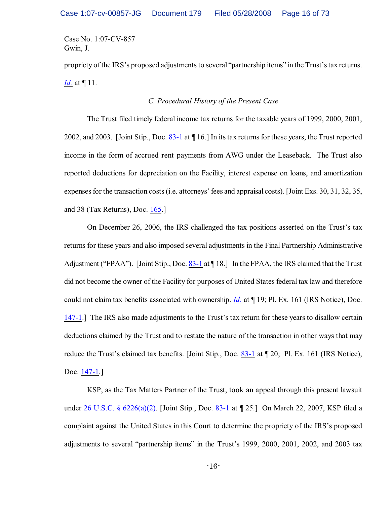propriety of the IRS's proposed adjustments to several "partnership items" in the Trust's tax returns. *[Id.](https://ecf.ohnd.uscourts.gov/doc1/14113678226)* at ¶ 11.

# *C. Procedural History of the Present Case*

The Trust filed timely federal income tax returns for the taxable years of 1999, 2000, 2001, 2002, and 2003. [Joint Stip., Doc. [83-1](https://ecf.ohnd.uscourts.gov/doc1/14113678226) at ¶ 16.] In its tax returns for these years, the Trust reported income in the form of accrued rent payments from AWG under the Leaseback. The Trust also reported deductions for depreciation on the Facility, interest expense on loans, and amortization expenses for the transaction costs (i.e. attorneys' fees and appraisal costs). [Joint Exs. 30, 31, 32, 35, and 38 (Tax Returns), Doc. [165](https://ecf.ohnd.uscourts.gov/doc1/14103879198).]

On December 26, 2006, the IRS challenged the tax positions asserted on the Trust's tax returns for these years and also imposed several adjustments in the Final Partnership Administrative Adjustment ("FPAA"). [Joint Stip., Doc. [83-1](https://ecf.ohnd.uscourts.gov/doc1/14113678226) at \[18.] In the FPAA, the IRS claimed that the Trust did not become the owner of the Facility for purposes of United States federal tax law and therefore could not claim tax benefits associated with ownership. *[Id.](https://ecf.ohnd.uscourts.gov/doc1/14113678226)* at ¶ 19; Pl. Ex. 161 (IRS Notice), Doc. [147-1](https://ecf.ohnd.uscourts.gov/doc1/14113878244).] The IRS also made adjustments to the Trust's tax return for these years to disallow certain deductions claimed by the Trust and to restate the nature of the transaction in other ways that may reduce the Trust's claimed tax benefits. [Joint Stip., Doc. [83-1](https://ecf.ohnd.uscourts.gov/doc1/14113678226) at  $\P$  20; Pl. Ex. 161 (IRS Notice), Doc. [147-1](https://ecf.ohnd.uscourts.gov/doc1/14113878244).]

KSP, as the Tax Matters Partner of the Trust, took an appeal through this present lawsuit under [26 U.S.C. § 6226\(a\)\(2\)](http://www.westlaw.com/find/default.wl?rs=CLWP3.0&vr=2.0&cite=26+USCA+s+6226%28a%29%282%29). [Joint Stip., Doc. [83-1](https://ecf.ohnd.uscourts.gov/doc1/14113678226) at ¶ 25.] On March 22, 2007, KSP filed a complaint against the United States in this Court to determine the propriety of the IRS's proposed adjustments to several "partnership items" in the Trust's 1999, 2000, 2001, 2002, and 2003 tax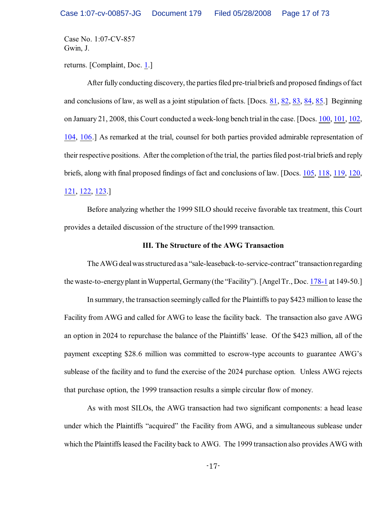returns. [Complaint, Doc. [1](https://ecf.ohnd.uscourts.gov/doc1/1411670874).]

After fully conducting discovery, the parties filed pre-trial briefs and proposed findings of fact and conclusions of law, as well as a joint stipulation of facts. [Docs. [81](https://ecf.ohnd.uscourts.gov/doc1/14113678177), [82](https://ecf.ohnd.uscourts.gov/doc1/14113678177), [83](https://ecf.ohnd.uscourts.gov/doc1/14103678225), [84](https://ecf.ohnd.uscourts.gov/doc1/14113678234), [85](https://ecf.ohnd.uscourts.gov/doc1/14113678260).] Beginning on January 21, 2008, this Court conducted a week-long bench trial in the case. [Docs. [100](https://ecf.ohnd.uscourts.gov/doc1/14113688351), [101](https://ecf.ohnd.uscourts.gov/doc1/14113690706), [102](https://ecf.ohnd.uscourts.gov/doc1/14113692938), [104](https://ecf.ohnd.uscourts.gov/doc1/14113695291), [106](https://ecf.ohnd.uscourts.gov/doc1/14113697305).] As remarked at the trial, counsel for both parties provided admirable representation of their respective positions. After the completion of the trial, the parties filed post-trial briefs and reply briefs, along with final proposed findings of fact and conclusions of law. [Docs. [105](https://ecf.ohnd.uscourts.gov/doc1/14113696730), [118](https://ecf.ohnd.uscourts.gov/doc1/14113745473), [119](https://ecf.ohnd.uscourts.gov/doc1/14113745486), [120](https://ecf.ohnd.uscourts.gov/doc1/14113745722), [121](https://ecf.ohnd.uscourts.gov/doc1/14113745730), [122](https://ecf.ohnd.uscourts.gov/doc1/14113796229), [123](https://ecf.ohnd.uscourts.gov/doc1/14113796271).]

Before analyzing whether the 1999 SILO should receive favorable tax treatment, this Court provides a detailed discussion of the structure of the1999 transaction.

## **III. The Structure of the AWG Transaction**

The AWG deal was structured as a "sale-leaseback-to-service-contract" transaction regarding the waste-to-energyplant in Wuppertal, Germany (the "Facility"). [Angel Tr., Doc. [178-1](https://ecf.ohnd.uscourts.gov/doc1/14113879558) at 149-50.]

In summary, the transaction seemingly called for the Plaintiffs to pay \$423 million to lease the Facility from AWG and called for AWG to lease the facility back. The transaction also gave AWG an option in 2024 to repurchase the balance of the Plaintiffs' lease. Of the \$423 million, all of the payment excepting \$28.6 million was committed to escrow-type accounts to guarantee AWG's sublease of the facility and to fund the exercise of the 2024 purchase option. Unless AWG rejects that purchase option, the 1999 transaction results a simple circular flow of money.

As with most SILOs, the AWG transaction had two significant components: a head lease under which the Plaintiffs "acquired" the Facility from AWG, and a simultaneous sublease under which the Plaintiffs leased the Facility back to AWG. The 1999 transaction also provides AWG with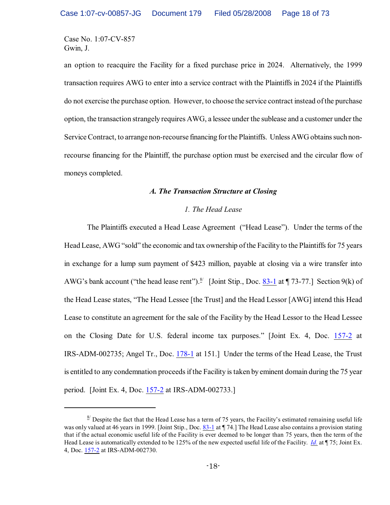an option to reacquire the Facility for a fixed purchase price in 2024. Alternatively, the 1999 transaction requires AWG to enter into a service contract with the Plaintiffs in 2024 if the Plaintiffs do not exercise the purchase option. However, to choose the service contract instead of the purchase option, the transaction strangely requires AWG, a lessee under the sublease and a customer under the Service Contract, to arrange non-recourse financing forthe Plaintiffs. Unless AWG obtains such nonrecourse financing for the Plaintiff, the purchase option must be exercised and the circular flow of moneys completed.

#### *A. The Transaction Structure at Closing*

## *1. The Head Lease*

The Plaintiffs executed a Head Lease Agreement ("Head Lease"). Under the terms of the Head Lease, AWG "sold" the economic and tax ownership of the Facility to the Plaintiffs for 75 years in exchange for a lump sum payment of \$423 million, payable at closing via a wire transfer into AWG's bank account ("the head lease rent").<sup>8/</sup> [Joint Stip., Doc.  $83-1$  at  $\P$  73-77.] Section 9(k) of the Head Lease states, "The Head Lessee [the Trust] and the Head Lessor [AWG] intend this Head Lease to constitute an agreement for the sale of the Facility by the Head Lessor to the Head Lessee on the Closing Date for U.S. federal income tax purposes." [Joint Ex. 4, Doc. [157-2](https://ecf.ohnd.uscourts.gov/doc1/14113878634) at IRS-ADM-002735; Angel Tr., Doc. [178-1](https://ecf.ohnd.uscourts.gov/doc1/14113879558) at 151.] Under the terms of the Head Lease, the Trust is entitled to any condemnation proceeds if the Facility is taken by eminent domain during the 75 year period. [Joint Ex. 4, Doc. [157-2](https://ecf.ohnd.uscourts.gov/doc1/14113878634) at IRS-ADM-002733.]

 $\frac{8}{3}$  Despite the fact that the Head Lease has a term of 75 years, the Facility's estimated remaining useful life was only valued at 46 years in 1999. [Joint Stip., Doc. [83-1](https://ecf.ohnd.uscourts.gov/doc1/14113678226) at ¶ 74.] The Head Lease also contains a provision stating that if the actual economic useful life of the Facility is ever deemed to be longer than 75 years, then the term of the Head Lease is automatically extended to be 125% of the new expected useful life of the Facility. *[Id.](https://ecf.ohnd.uscourts.gov/doc1/14113678226)* at ¶ 75; Joint Ex. 4, Doc. [157-2](https://ecf.ohnd.uscourts.gov/doc1/14113878634) at IRS-ADM-002730.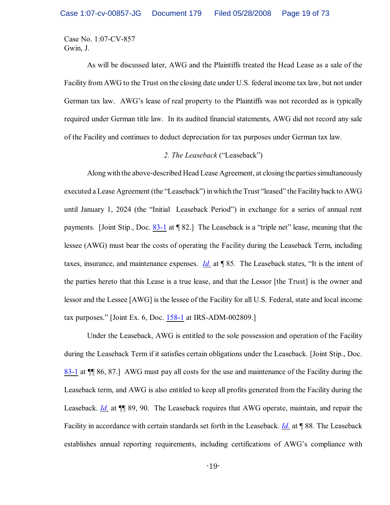As will be discussed later, AWG and the Plaintiffs treated the Head Lease as a sale of the Facility from AWG to the Trust on the closing date under U.S. federal income tax law, but not under German tax law. AWG's lease of real property to the Plaintiffs was not recorded as is typically required under German title law. In its audited financial statements, AWG did not record any sale of the Facility and continues to deduct depreciation for tax purposes under German tax law.

#### *2. The Leaseback* ("Leaseback")

Along with the above-described Head Lease Agreement, at closing the parties simultaneously executed a Lease Agreement (the "Leaseback") in which the Trust "leased" the Facilityback to AWG until January 1, 2024 (the "Initial Leaseback Period") in exchange for a series of annual rent payments. [Joint Stip., Doc. [83-1](https://ecf.ohnd.uscourts.gov/doc1/14113678226) at ¶ 82.] The Leaseback is a "triple net" lease, meaning that the lessee (AWG) must bear the costs of operating the Facility during the Leaseback Term, including taxes, insurance, and maintenance expenses. *[Id.](https://ecf.ohnd.uscourts.gov/doc1/14113678226)* at ¶ 85. The Leaseback states, "It is the intent of the parties hereto that this Lease is a true lease, and that the Lessor [the Trust] is the owner and lessor and the Lessee [AWG] is the lessee of the Facility for all U.S. Federal, state and local income tax purposes." [Joint Ex. 6, Doc. [158-1](https://ecf.ohnd.uscourts.gov/doc1/14113878655) at IRS-ADM-002809.]

Under the Leaseback, AWG is entitled to the sole possession and operation of the Facility during the Leaseback Term if it satisfies certain obligations under the Leaseback. [Joint Stip., Doc. [83-1](https://ecf.ohnd.uscourts.gov/doc1/14113678226) at ¶¶ 86, 87.] AWG must pay all costs for the use and maintenance of the Facility during the Leaseback term, and AWG is also entitled to keep all profits generated from the Facility during the Leaseback. *[Id.](https://ecf.ohnd.uscourts.gov/doc1/14113678226)* at  $\P$  89, 90. The Leaseback requires that AWG operate, maintain, and repair the Facility in accordance with certain standards set forth in the Leaseback. *[Id.](https://ecf.ohnd.uscourts.gov/doc1/14113678226)* at ¶ 88. The Leaseback establishes annual reporting requirements, including certifications of AWG's compliance with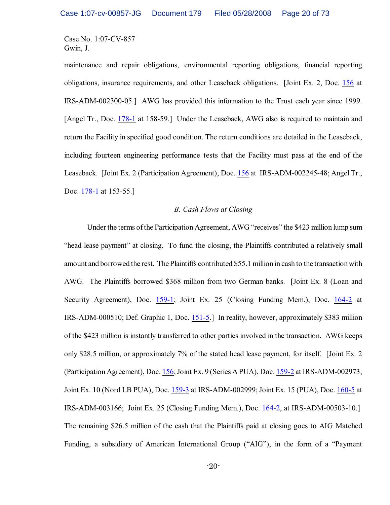maintenance and repair obligations, environmental reporting obligations, financial reporting obligations, insurance requirements, and other Leaseback obligations. [Joint Ex. 2, Doc. [156](https://ecf.ohnd.uscourts.gov/doc1/14103878601) at IRS-ADM-002300-05.] AWG has provided this information to the Trust each year since 1999. [Angel Tr., Doc. [178-1](https://ecf.ohnd.uscourts.gov/doc1/14113879558) at 158-59.] Under the Leaseback, AWG also is required to maintain and return the Facility in specified good condition. The return conditions are detailed in the Leaseback, including fourteen engineering performance tests that the Facility must pass at the end of the Leaseback. [Joint Ex. 2 (Participation Agreement), Doc. [156](https://ecf.ohnd.uscourts.gov/doc1/14103878601) at IRS-ADM-002245-48; Angel Tr., Doc. [178-1](https://ecf.ohnd.uscourts.gov/doc1/14113879558) at 153-55.]

### *B. Cash Flows at Closing*

Under the terms of the Participation Agreement, AWG "receives" the \$423 million lump sum "head lease payment" at closing. To fund the closing, the Plaintiffs contributed a relatively small amount and borrowed the rest. The Plaintiffs contributed \$55.1 million in cash to the transaction with AWG. The Plaintiffs borrowed \$368 million from two German banks. [Joint Ex. 8 (Loan and Security Agreement), Doc. [159-1](https://ecf.ohnd.uscourts.gov/doc1/14113878675); Joint Ex. 25 (Closing Funding Mem.), Doc. [164-2](https://ecf.ohnd.uscourts.gov/doc1/14113879175) at IRS-ADM-000510; Def. Graphic 1, Doc. [151-5](https://ecf.ohnd.uscourts.gov/doc1/14113878415).] In reality, however, approximately \$383 million of the \$423 million is instantly transferred to other parties involved in the transaction. AWG keeps only \$28.5 million, or approximately 7% of the stated head lease payment, for itself. [Joint Ex. 2 (Participation Agreement), Doc. [156](https://ecf.ohnd.uscourts.gov/doc1/14103878601); Joint Ex. 9 (Series A PUA), Doc. [159-2](https://ecf.ohnd.uscourts.gov/doc1/14113878676) at IRS-ADM-002973; Joint Ex. 10 (Nord LB PUA), Doc. [159-3](https://ecf.ohnd.uscourts.gov/doc1/14113878677) at IRS-ADM-002999; Joint Ex. 15 (PUA), Doc. [160-5](https://ecf.ohnd.uscourts.gov/doc1/14113878718) at IRS-ADM-003166; Joint Ex. 25 (Closing Funding Mem.), Doc. [164-2](https://ecf.ohnd.uscourts.gov/doc1/14113879175), at IRS-ADM-00503-10.] The remaining \$26.5 million of the cash that the Plaintiffs paid at closing goes to AIG Matched Funding, a subsidiary of American International Group ("AIG"), in the form of a "Payment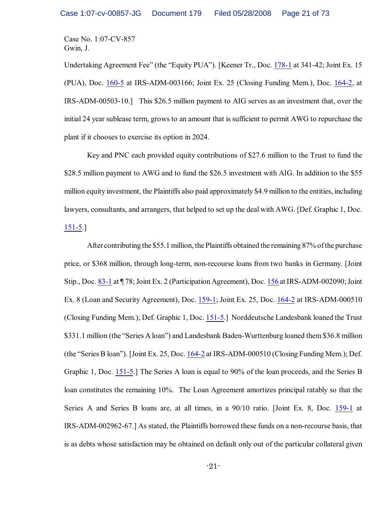Undertaking Agreement Fee" (the "Equity PUA"). [Keener Tr., Doc. [178-1](https://ecf.ohnd.uscourts.gov/doc1/14113879558) at 341-42; Joint Ex. 15 (PUA), Doc. [160-5](https://ecf.ohnd.uscourts.gov/doc1/14113878718) at IRS-ADM-003166; Joint Ex. 25 (Closing Funding Mem.), Doc. [164-2](https://ecf.ohnd.uscourts.gov/doc1/14113879175), at IRS-ADM-00503-10.] This \$26.5 million payment to AIG serves as an investment that, over the initial 24 year sublease term, grows to an amount that is sufficient to permit AWG to repurchase the plant if it chooses to exercise its option in 2024.

Key and PNC each provided equity contributions of \$27.6 million to the Trust to fund the \$28.5 million payment to AWG and to fund the \$26.5 investment with AIG. In addition to the \$55 million equity investment, the Plaintiffs also paid approximately \$4.9 million to the entities, including lawyers, consultants, and arrangers, that helped to set up the deal with AWG. [Def. Graphic 1, Doc. [151-5](https://ecf.ohnd.uscourts.gov/doc1/14113878415).]

After contributing the \$55.1 million, the Plaintiffs obtained the remaining 87% ofthe purchase price, or \$368 million, through long-term, non-recourse loans from two banks in Germany. [Joint Stip., Doc. [83-1](https://ecf.ohnd.uscourts.gov/doc1/14113678226) at ¶ 78; Joint Ex. 2 (Participation Agreement), Doc. [156](https://ecf.ohnd.uscourts.gov/doc1/14103878601) at IRS-ADM-002090; Joint Ex. 8 (Loan and Security Agreement), Doc. [159-1](https://ecf.ohnd.uscourts.gov/doc1/14113878675); Joint Ex. 25, Doc. [164-2](https://ecf.ohnd.uscourts.gov/doc1/14113879175) at IRS-ADM-000510 (Closing Funding Mem.); Def. Graphic 1, Doc. [151-5](https://ecf.ohnd.uscourts.gov/doc1/14113878415).] Norddeutsche Landesbank loaned the Trust \$331.1 million (the "Series A loan") and Landesbank Baden-Wurttenburg loaned them \$36.8 million (the "Series B loan"). [Joint Ex. 25, Doc. [164-2](https://ecf.ohnd.uscourts.gov/doc1/14113879175) at IRS-ADM-000510 (Closing Funding Mem.); Def. Graphic 1, Doc. [151-5](https://ecf.ohnd.uscourts.gov/doc1/14113878415).] The Series A loan is equal to 90% of the loan proceeds, and the Series B loan constitutes the remaining 10%. The Loan Agreement amortizes principal ratably so that the Series A and Series B loans are, at all times, in a  $90/10$  ratio. [Joint Ex. 8, Doc. [159-1](https://ecf.ohnd.uscourts.gov/doc1/14113878675) at IRS-ADM-002962-67.] As stated, the Plaintiffs borrowed these funds on a non-recourse basis, that is as debts whose satisfaction may be obtained on default only out of the particular collateral given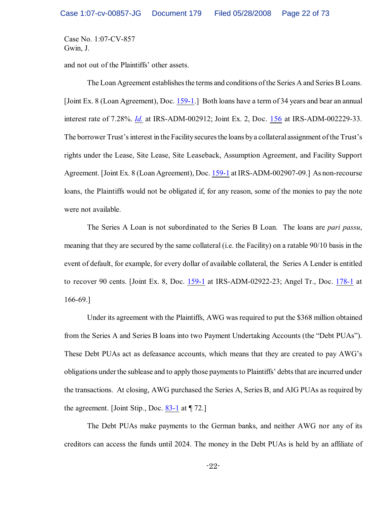and not out of the Plaintiffs' other assets.

The Loan Agreement establishes the terms and conditions of the Series A and Series B Loans. [Joint Ex. 8 (Loan Agreement), Doc. [159-1](https://ecf.ohnd.uscourts.gov/doc1/14113878675).] Both loans have a term of 34 years and bear an annual interest rate of 7.28%. *[Id.](https://ecf.ohnd.uscourts.gov/doc1/14113878675)* at IRS-ADM-002912; Joint Ex. 2, Doc. [156](https://ecf.ohnd.uscourts.gov/doc1/14103878601) at IRS-ADM-002229-33. The borrower Trust's interest in the Facilitysecures the loans bya collateral assignment of the Trust's rights under the Lease, Site Lease, Site Leaseback, Assumption Agreement, and Facility Support Agreement. [Joint Ex. 8 (Loan Agreement), Doc. [159-1](https://ecf.ohnd.uscourts.gov/doc1/14113878675) at IRS-ADM-002907-09.] As non-recourse loans, the Plaintiffs would not be obligated if, for any reason, some of the monies to pay the note were not available.

The Series A Loan is not subordinated to the Series B Loan. The loans are *pari passu*, meaning that they are secured by the same collateral (i.e. the Facility) on a ratable 90/10 basis in the event of default, for example, for every dollar of available collateral, the Series A Lender is entitled to recover 90 cents. [Joint Ex. 8, Doc. [159-1](https://ecf.ohnd.uscourts.gov/doc1/14113878675) at IRS-ADM-02922-23; Angel Tr., Doc. [178-1](https://ecf.ohnd.uscourts.gov/doc1/14113879558) at 166-69.]

Under its agreement with the Plaintiffs, AWG was required to put the \$368 million obtained from the Series A and Series B loans into two Payment Undertaking Accounts (the "Debt PUAs"). These Debt PUAs act as defeasance accounts, which means that they are created to pay AWG's obligations under the sublease and to apply those payments to Plaintiffs' debts that are incurred under the transactions. At closing, AWG purchased the Series A, Series B, and AIG PUAs as required by the agreement. [Joint Stip., Doc.  $83-1$  at  $\P$  72.]

The Debt PUAs make payments to the German banks, and neither AWG nor any of its creditors can access the funds until 2024. The money in the Debt PUAs is held by an affiliate of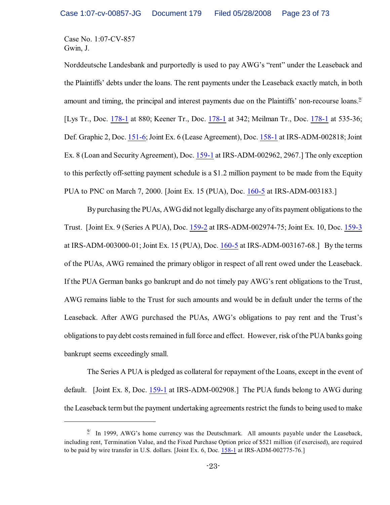Norddeutsche Landesbank and purportedly is used to pay AWG's "rent" under the Leaseback and the Plaintiffs' debts under the loans. The rent payments under the Leaseback exactly match, in both amount and timing, the principal and interest payments due on the Plaintiffs' non-recourse loans. $\frac{9}{2}$ [Lys Tr., Doc. [178-1](https://ecf.ohnd.uscourts.gov/doc1/14113879558) at 880; Keener Tr., Doc. [178-1](https://ecf.ohnd.uscourts.gov/doc1/14113879558) at 342; Meilman Tr., Doc. [178-1](https://ecf.ohnd.uscourts.gov/doc1/14113879558) at 535-36; Def. Graphic 2, Doc. [151-6](https://ecf.ohnd.uscourts.gov/doc1/14113878416); Joint Ex. 6 (Lease Agreement), Doc. [158-1](https://ecf.ohnd.uscourts.gov/doc1/14113878655) at IRS-ADM-002818; Joint Ex. 8 (Loan and Security Agreement), Doc. [159-1](https://ecf.ohnd.uscourts.gov/doc1/14113878675) at IRS-ADM-002962, 2967.] The only exception to this perfectly off-setting payment schedule is a \$1.2 million payment to be made from the Equity PUA to PNC on March 7, 2000. [Joint Ex. 15 (PUA), Doc. [160-5](https://ecf.ohnd.uscourts.gov/doc1/14113878718) at IRS-ADM-003183.]

By purchasing the PUAs, AWG did not legally discharge any of its payment obligations to the Trust. [Joint Ex. 9 (Series A PUA), Doc. [159-2](https://ecf.ohnd.uscourts.gov/doc1/14113878676) at IRS-ADM-002974-75; Joint Ex. 10, Doc. [159-3](https://ecf.ohnd.uscourts.gov/doc1/14113878677) at IRS-ADM-003000-01; Joint Ex. 15 (PUA), Doc. [160-5](https://ecf.ohnd.uscourts.gov/doc1/14113878718) at IRS-ADM-003167-68.] By the terms of the PUAs, AWG remained the primary obligor in respect of all rent owed under the Leaseback. If the PUA German banks go bankrupt and do not timely pay AWG's rent obligations to the Trust, AWG remains liable to the Trust for such amounts and would be in default under the terms of the Leaseback. After AWG purchased the PUAs, AWG's obligations to pay rent and the Trust's obligations to paydebt costs remained in full force and effect. However, risk of the PUA banks going bankrupt seems exceedingly small.

The Series A PUA is pledged as collateral for repayment of the Loans, except in the event of default. [Joint Ex. 8, Doc. [159-1](https://ecf.ohnd.uscourts.gov/doc1/14113878675) at IRS-ADM-002908.] The PUA funds belong to AWG during the Leaseback term but the payment undertaking agreements restrict the funds to being used to make

 $\frac{9}{2}$  In 1999, AWG's home currency was the Deutschmark. All amounts payable under the Leaseback, including rent, Termination Value, and the Fixed Purchase Option price of \$521 million (if exercised), are required to be paid by wire transfer in U.S. dollars. [Joint Ex. 6, Doc. [158-1](https://ecf.ohnd.uscourts.gov/doc1/14113878655) at IRS-ADM-002775-76.]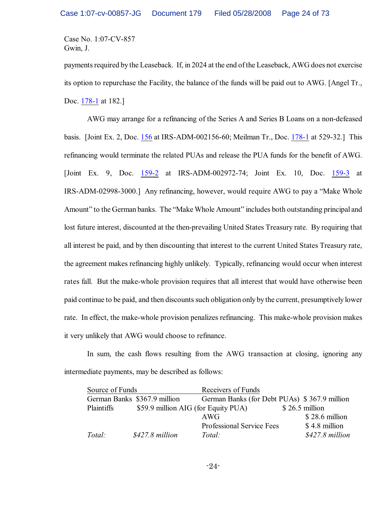payments required by the Leaseback. If, in 2024 at the end of the Leaseback, AWG does not exercise its option to repurchase the Facility, the balance of the funds will be paid out to AWG. [Angel Tr., Doc. [178-1](https://ecf.ohnd.uscourts.gov/doc1/14113879558) at 182.]

AWG may arrange for a refinancing of the Series A and Series B Loans on a non-defeased basis. [Joint Ex. 2, Doc. [156](https://ecf.ohnd.uscourts.gov/doc1/14103878601) at IRS-ADM-002156-60; Meilman Tr., Doc. [178-1](https://ecf.ohnd.uscourts.gov/doc1/14113879558) at 529-32.] This refinancing would terminate the related PUAs and release the PUA funds for the benefit of AWG. [Joint Ex. 9, Doc. [159-2](https://ecf.ohnd.uscourts.gov/doc1/14113878676) at IRS-ADM-002972-74; Joint Ex. 10, Doc. [159-3](https://ecf.ohnd.uscourts.gov/doc1/14113878677) at IRS-ADM-02998-3000.] Any refinancing, however, would require AWG to pay a "Make Whole Amount" to the German banks. The "Make Whole Amount" includes both outstanding principal and lost future interest, discounted at the then-prevailing United States Treasury rate. By requiring that all interest be paid, and by then discounting that interest to the current United States Treasury rate, the agreement makes refinancing highly unlikely. Typically, refinancing would occur when interest rates fall. But the make-whole provision requires that all interest that would have otherwise been paid continue to be paid, and then discounts such obligation only by the current, presumptively lower rate. In effect, the make-whole provision penalizes refinancing. This make-whole provision makes it very unlikely that AWG would choose to refinance.

In sum, the cash flows resulting from the AWG transaction at closing, ignoring any intermediate payments, may be described as follows:

| Source of Funds              |                                     | Receivers of Funds                           |                  |
|------------------------------|-------------------------------------|----------------------------------------------|------------------|
| German Banks \$367.9 million |                                     | German Banks (for Debt PUAs) \$367.9 million |                  |
| Plaintiffs                   | \$59.9 million AIG (for Equity PUA) |                                              | $$26.5$ million  |
|                              |                                     | AWG                                          | $$28.6$ million  |
|                              |                                     | <b>Professional Service Fees</b>             | \$4.8 million    |
| Total:                       | $$427.8$ million                    | Total:                                       | $$427.8$ million |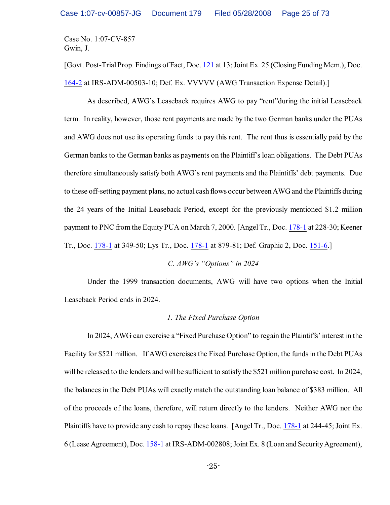[Govt. Post-Trial Prop. Findings of Fact, Doc. [121](https://ecf.ohnd.uscourts.gov/doc1/14103745730) at 13; Joint Ex. 25 (Closing Funding Mem.), Doc. [164-2](https://ecf.ohnd.uscourts.gov/doc1/14113879175) at IRS-ADM-00503-10; Def. Ex. VVVVV (AWG Transaction Expense Detail).]

As described, AWG's Leaseback requires AWG to pay "rent"during the initial Leaseback term. In reality, however, those rent payments are made by the two German banks under the PUAs and AWG does not use its operating funds to pay this rent. The rent thus is essentially paid by the German banks to the German banks as payments on the Plaintiff's loan obligations. The Debt PUAs therefore simultaneously satisfy both AWG's rent payments and the Plaintiffs' debt payments. Due to these off-setting payment plans, no actual cash flows occur between AWG and the Plaintiffs during the 24 years of the Initial Leaseback Period, except for the previously mentioned \$1.2 million payment to PNC from the Equity PUA on March 7, 2000. [Angel Tr., Doc. [178-1](https://ecf.ohnd.uscourts.gov/doc1/14113879558) at 228-30; Keener Tr., Doc. [178-1](https://ecf.ohnd.uscourts.gov/doc1/14113879558) at 349-50; Lys Tr., Doc. [178-1](https://ecf.ohnd.uscourts.gov/doc1/14113879558) at 879-81; Def. Graphic 2, Doc. [151-6](https://ecf.ohnd.uscourts.gov/doc1/14113878416).]

*C. AWG's "Options" in 2024*

Under the 1999 transaction documents, AWG will have two options when the Initial Leaseback Period ends in 2024.

## *1. The Fixed Purchase Option*

In 2024, AWG can exercise a "Fixed Purchase Option" to regain the Plaintiffs' interest in the Facility for \$521 million. If AWG exercises the Fixed Purchase Option, the funds in the Debt PUAs will be released to the lenders and will be sufficient to satisfy the \$521 million purchase cost. In 2024, the balances in the Debt PUAs will exactly match the outstanding loan balance of \$383 million. All of the proceeds of the loans, therefore, will return directly to the lenders. Neither AWG nor the Plaintiffs have to provide any cash to repay these loans. [Angel Tr., Doc. [178-1](https://ecf.ohnd.uscourts.gov/doc1/14113879558) at 244-45; Joint Ex. 6 (Lease Agreement), Doc. [158-1](https://ecf.ohnd.uscourts.gov/doc1/14113878655) at IRS-ADM-002808;Joint Ex. 8 (Loan and Security Agreement),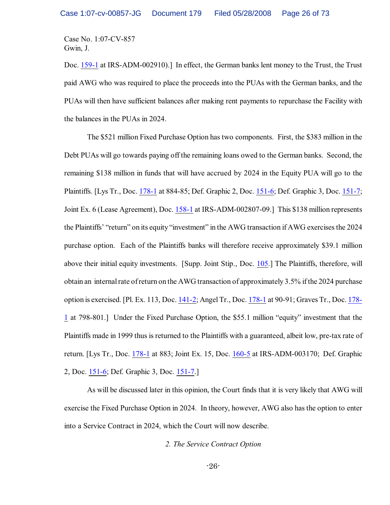Doc. [159-1](https://ecf.ohnd.uscourts.gov/doc1/14113878675) at IRS-ADM-002910).] In effect, the German banks lent money to the Trust, the Trust paid AWG who was required to place the proceeds into the PUAs with the German banks, and the PUAs will then have sufficient balances after making rent payments to repurchase the Facility with the balances in the PUAs in 2024.

The \$521 million Fixed Purchase Option has two components. First, the \$383 million in the Debt PUAs will go towards paying off the remaining loans owed to the German banks. Second, the remaining \$138 million in funds that will have accrued by 2024 in the Equity PUA will go to the Plaintiffs. [Lys Tr., Doc. [178-1](https://ecf.ohnd.uscourts.gov/doc1/14113879558) at 884-85; Def. Graphic 2, Doc. [151-6](https://ecf.ohnd.uscourts.gov/doc1/14113878416); Def. Graphic 3, Doc. [151-7](https://ecf.ohnd.uscourts.gov/doc1/14113878417); Joint Ex. 6 (Lease Agreement), Doc. [158-1](https://ecf.ohnd.uscourts.gov/doc1/14113878655) at IRS-ADM-002807-09.] This \$138 million represents the Plaintiffs' "return" on its equity "investment" in the AWG transaction if AWG exercises the 2024 purchase option. Each of the Plaintiffs banks will therefore receive approximately \$39.1 million above their initial equity investments. [Supp. Joint Stip., Doc. [105](https://ecf.ohnd.uscourts.gov/doc1/14103696730).] The Plaintiffs, therefore, will obtain an internal rate of return on the AWG transaction of approximately 3.5% if the 2024 purchase option is exercised. [Pl. Ex. 113, Doc. [141-2](https://ecf.ohnd.uscourts.gov/doc1/14113877345); Angel Tr., Doc. [178-1](https://ecf.ohnd.uscourts.gov/doc1/14113879558) at 90-91; Graves Tr., Doc. [178-](https://ecf.ohnd.uscourts.gov/doc1/14113879558) [1](https://ecf.ohnd.uscourts.gov/doc1/14113879558) at 798-801.] Under the Fixed Purchase Option, the \$55.1 million "equity" investment that the Plaintiffs made in 1999 thus is returned to the Plaintiffs with a guaranteed, albeit low, pre-tax rate of return. [Lys Tr., Doc. [178-1](https://ecf.ohnd.uscourts.gov/doc1/14113879558) at 883; Joint Ex. 15, Doc. [160-5](https://ecf.ohnd.uscourts.gov/doc1/14113878718) at IRS-ADM-003170; Def. Graphic 2, Doc. [151-6](https://ecf.ohnd.uscourts.gov/doc1/14113878416); Def. Graphic 3, Doc. [151-7](https://ecf.ohnd.uscourts.gov/doc1/14113878417).]

As will be discussed later in this opinion, the Court finds that it is very likely that AWG will exercise the Fixed Purchase Option in 2024. In theory, however, AWG also has the option to enter into a Service Contract in 2024, which the Court will now describe.

*2. The Service Contract Option*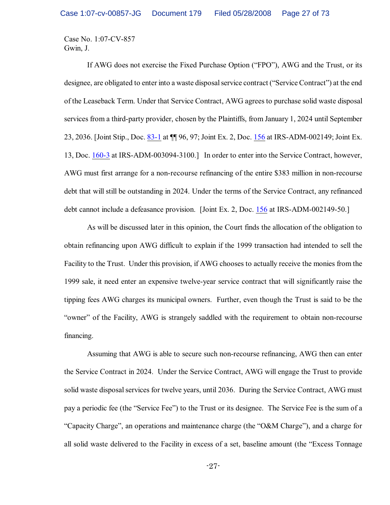If AWG does not exercise the Fixed Purchase Option ("FPO"), AWG and the Trust, or its designee, are obligated to enter into a waste disposalservice contract ("Service Contract") at the end of the Leaseback Term. Under that Service Contract, AWG agrees to purchase solid waste disposal services from a third-party provider, chosen by the Plaintiffs, from January 1, 2024 until September 23, 2036. [Joint Stip., Doc. [83-1](https://ecf.ohnd.uscourts.gov/doc1/14113678226) at ¶¶ 96, 97; Joint Ex. 2, Doc. [156](https://ecf.ohnd.uscourts.gov/doc1/14103878601) at IRS-ADM-002149; Joint Ex. 13, Doc. [160-3](https://ecf.ohnd.uscourts.gov/doc1/14113878716) at IRS-ADM-003094-3100.] In order to enter into the Service Contract, however, AWG must first arrange for a non-recourse refinancing of the entire \$383 million in non-recourse debt that will still be outstanding in 2024. Under the terms of the Service Contract, any refinanced debt cannot include a defeasance provision. [Joint Ex. 2, Doc. [156](https://ecf.ohnd.uscourts.gov/doc1/14103878601) at IRS-ADM-002149-50.]

As will be discussed later in this opinion, the Court finds the allocation of the obligation to obtain refinancing upon AWG difficult to explain if the 1999 transaction had intended to sell the Facility to the Trust. Under this provision, if AWG chooses to actually receive the monies from the 1999 sale, it need enter an expensive twelve-year service contract that will significantly raise the tipping fees AWG charges its municipal owners. Further, even though the Trust is said to be the "owner" of the Facility, AWG is strangely saddled with the requirement to obtain non-recourse financing.

Assuming that AWG is able to secure such non-recourse refinancing, AWG then can enter the Service Contract in 2024. Under the Service Contract, AWG will engage the Trust to provide solid waste disposal services for twelve years, until 2036. During the Service Contract, AWG must pay a periodic fee (the "Service Fee") to the Trust or its designee. The Service Fee is the sum of a "Capacity Charge", an operations and maintenance charge (the "O&M Charge"), and a charge for all solid waste delivered to the Facility in excess of a set, baseline amount (the "Excess Tonnage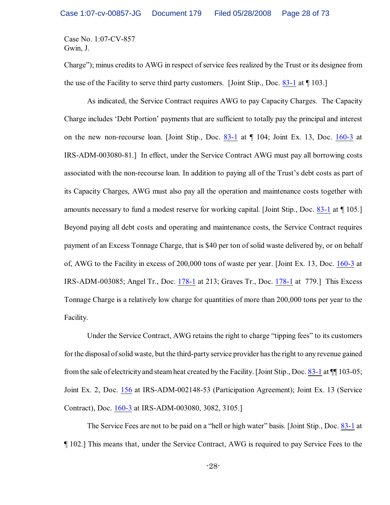Charge"); minus credits to AWG in respect of service fees realized by the Trust or its designee from the use of the Facility to serve third party customers. [Joint Stip., Doc. [83-1](https://ecf.ohnd.uscourts.gov/doc1/14113678226) at ¶ 103.]

As indicated, the Service Contract requires AWG to pay Capacity Charges. The Capacity Charge includes 'Debt Portion' payments that are sufficient to totally pay the principal and interest on the new non-recourse loan. [Joint Stip., Doc. [83-1](https://ecf.ohnd.uscourts.gov/doc1/14113678226) at ¶ 104; Joint Ex. 13, Doc. [160-3](https://ecf.ohnd.uscourts.gov/doc1/14113878716) at IRS-ADM-003080-81.] In effect, under the Service Contract AWG must pay all borrowing costs associated with the non-recourse loan. In addition to paying all of the Trust's debt costs as part of its Capacity Charges, AWG must also pay all the operation and maintenance costs together with amounts necessary to fund a modest reserve for working capital. [Joint Stip., Doc. [83-1](https://ecf.ohnd.uscourts.gov/doc1/14113678226) at ¶ 105.] Beyond paying all debt costs and operating and maintenance costs, the Service Contract requires payment of an Excess Tonnage Charge, that is \$40 per ton of solid waste delivered by, or on behalf of, AWG to the Facility in excess of 200,000 tons of waste per year. [Joint Ex. 13, Doc. [160-3](https://ecf.ohnd.uscourts.gov/doc1/14113878716) at IRS-ADM-003085; Angel Tr., Doc. [178-1](https://ecf.ohnd.uscourts.gov/doc1/14113879558) at 213; Graves Tr., Doc. [178-1](https://ecf.ohnd.uscourts.gov/doc1/14113879558) at 779.] This Excess Tonnage Charge is a relatively low charge for quantities of more than 200,000 tons per year to the Facility.

Under the Service Contract, AWG retains the right to charge "tipping fees" to its customers for the disposal of solid waste, but the third-party service provider hasthe right to any revenue gained from the sale of electricityand steam heat created by the Facility. [Joint Stip., Doc. [83-1](https://ecf.ohnd.uscourts.gov/doc1/14113678226) at ¶¶ 103-05; Joint Ex. 2, Doc. [156](https://ecf.ohnd.uscourts.gov/doc1/14103878601) at IRS-ADM-002148-53 (Participation Agreement); Joint Ex. 13 (Service Contract), Doc. [160-3](https://ecf.ohnd.uscourts.gov/doc1/14113878716) at IRS-ADM-003080, 3082, 3105.]

The Service Fees are not to be paid on a "hell or high water" basis. [Joint Stip., Doc. [83-1](https://ecf.ohnd.uscourts.gov/doc1/14113678226) at ¶ 102.] This means that, under the Service Contract, AWG is required to pay Service Fees to the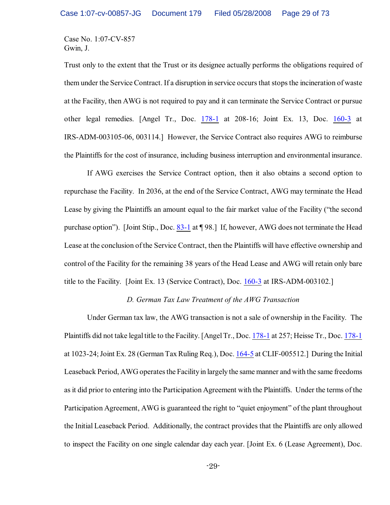Trust only to the extent that the Trust or its designee actually performs the obligations required of them under the Service Contract. If a disruption in service occurs that stops the incineration of waste at the Facility, then AWG is not required to pay and it can terminate the Service Contract or pursue other legal remedies. [Angel Tr., Doc. [178-1](https://ecf.ohnd.uscourts.gov/doc1/14113879558) at 208-16; Joint Ex. 13, Doc. [160-3](https://ecf.ohnd.uscourts.gov/doc1/14113878716) at IRS-ADM-003105-06, 003114.] However, the Service Contract also requires AWG to reimburse the Plaintiffs for the cost of insurance, including business interruption and environmental insurance.

If AWG exercises the Service Contract option, then it also obtains a second option to repurchase the Facility. In 2036, at the end of the Service Contract, AWG may terminate the Head Lease by giving the Plaintiffs an amount equal to the fair market value of the Facility ("the second purchase option"). [Joint Stip., Doc. [83-1](https://ecf.ohnd.uscourts.gov/doc1/14113678226) at ¶ 98.] If, however, AWG does not terminate the Head Lease at the conclusion of the Service Contract, then the Plaintiffs will have effective ownership and control of the Facility for the remaining 38 years of the Head Lease and AWG will retain only bare title to the Facility. [Joint Ex. 13 (Service Contract), Doc. [160-3](https://ecf.ohnd.uscourts.gov/doc1/14113878716) at IRS-ADM-003102.]

#### *D. German Tax Law Treatment of the AWG Transaction*

Under German tax law, the AWG transaction is not a sale of ownership in the Facility. The Plaintiffs did not take legal title to the Facility. [Angel Tr., Doc. [178-1](https://ecf.ohnd.uscourts.gov/doc1/14113879558) at 257; Heisse Tr., Doc. [178-1](https://ecf.ohnd.uscourts.gov/doc1/14113879558) at 1023-24; Joint Ex. 28 (German Tax Ruling Req.), Doc. [164-5](https://ecf.ohnd.uscourts.gov/doc1/14113879178) at CLIF-005512.] During the Initial Leaseback Period, AWG operates the Facility in largely the same manner and with the same freedoms as it did prior to entering into the Participation Agreement with the Plaintiffs. Under the terms of the Participation Agreement, AWG is guaranteed the right to "quiet enjoyment" of the plant throughout the Initial Leaseback Period. Additionally, the contract provides that the Plaintiffs are only allowed to inspect the Facility on one single calendar day each year. [Joint Ex. 6 (Lease Agreement), Doc.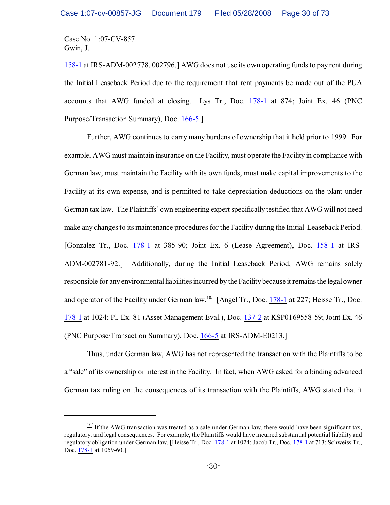[158-1](https://ecf.ohnd.uscourts.gov/doc1/14113878655) at IRS-ADM-002778, 002796.] AWG does not use its own operating fundsto pay rent during the Initial Leaseback Period due to the requirement that rent payments be made out of the PUA accounts that AWG funded at closing. Lys Tr., Doc. [178-1](https://ecf.ohnd.uscourts.gov/doc1/14113879558) at 874; Joint Ex. 46 (PNC Purpose/Transaction Summary), Doc. [166-5](https://ecf.ohnd.uscourts.gov/doc1/14113879231).]

Further, AWG continues to carry many burdens of ownership that it held prior to 1999. For example, AWG must maintain insurance on the Facility, must operate the Facility in compliance with German law, must maintain the Facility with its own funds, must make capital improvements to the Facility at its own expense, and is permitted to take depreciation deductions on the plant under German tax law. The Plaintiffs' own engineering expert specifically testified that AWG will not need make any changes to its maintenance procedures for the Facility during the Initial Leaseback Period. [Gonzalez Tr., Doc. [178-1](https://ecf.ohnd.uscourts.gov/doc1/14113879558) at 385-90; Joint Ex. 6 (Lease Agreement), Doc. [158-1](https://ecf.ohnd.uscourts.gov/doc1/14113878655) at IRS-ADM-002781-92.] Additionally, during the Initial Leaseback Period, AWG remains solely responsible for any environmental liabilities incurred by the Facility because it remains the legal owner and operator of the Facility under German law.<sup>10/</sup> [Angel Tr., Doc. [178-1](https://ecf.ohnd.uscourts.gov/doc1/14113879558) at 227; Heisse Tr., Doc. [178-1](https://ecf.ohnd.uscourts.gov/doc1/14113879558) at 1024; Pl. Ex. 81 (Asset Management Eval.), Doc. [137-2](https://ecf.ohnd.uscourts.gov/doc1/14113877182) at KSP0169558-59; Joint Ex. 46 (PNC Purpose/Transaction Summary), Doc. [166-5](https://ecf.ohnd.uscourts.gov/doc1/14113879231) at IRS-ADM-E0213.]

Thus, under German law, AWG has not represented the transaction with the Plaintiffs to be a "sale" of its ownership or interest in the Facility. In fact, when AWG asked for a binding advanced German tax ruling on the consequences of its transaction with the Plaintiffs, AWG stated that it

 $\frac{10}{10}$  If the AWG transaction was treated as a sale under German law, there would have been significant tax, regulatory, and legal consequences. For example, the Plaintiffs would have incurred substantial potential liability and regulatory obligation under German law. [Heisse Tr., Doc. [178-1](https://ecf.ohnd.uscourts.gov/doc1/14113879558) at 1024; Jacob Tr., Doc. [178-1](https://ecf.ohnd.uscourts.gov/doc1/14113879558) at 713; Schweiss Tr., Doc. [178-1](https://ecf.ohnd.uscourts.gov/doc1/14113879558) at 1059-60.]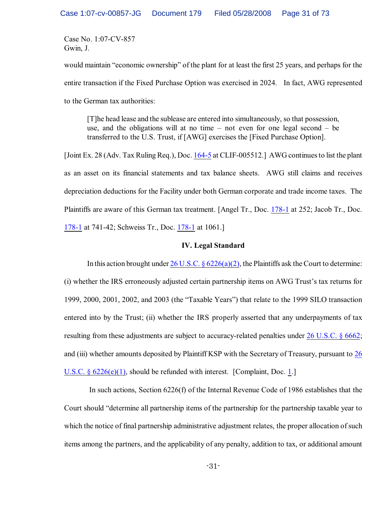would maintain "economic ownership" of the plant for at least the first 25 years, and perhaps for the entire transaction if the Fixed Purchase Option was exercised in 2024. In fact, AWG represented to the German tax authorities:

[T]he head lease and the sublease are entered into simultaneously, so that possession, use, and the obligations will at no time – not even for one legal second – be transferred to the U.S. Trust, if [AWG] exercises the [Fixed Purchase Option].

[Joint Ex. 28 (Adv. Tax Ruling Req.), Doc. [164-5](https://ecf.ohnd.uscourts.gov/doc1/14113879178) at CLIF-005512.] AWG continues to list the plant as an asset on its financial statements and tax balance sheets. AWG still claims and receives depreciation deductions for the Facility under both German corporate and trade income taxes. The Plaintiffs are aware of this German tax treatment. [Angel Tr., Doc. [178-1](https://ecf.ohnd.uscourts.gov/doc1/14113879558) at 252; Jacob Tr., Doc. [178-1](https://ecf.ohnd.uscourts.gov/doc1/14113879558) at 741-42; Schweiss Tr., Doc. [178-1](https://ecf.ohnd.uscourts.gov/doc1/14113879558) at 1061.]

## **IV. Legal Standard**

In this action brought under 26 U.S.C.  $\frac{6226(a)(2)}{2}$ , the Plaintiffs ask the Court to determine:

(i) whether the IRS erroneously adjusted certain partnership items on AWG Trust's tax returns for 1999, 2000, 2001, 2002, and 2003 (the "Taxable Years") that relate to the 1999 SILO transaction entered into by the Trust; (ii) whether the IRS properly asserted that any underpayments of tax resulting from these adjustments are subject to accuracy-related penalties under [26 U.S.C. § 6662](http://www.westlaw.com/find/default.wl?rs=CLWP3.0&vr=2.0&cite=26+USCA+s+6662); and (iii) whether amounts deposited by Plaintiff KSP with the Secretary of Treasury, pursuant to [26](http://www.westlaw.com/find/default.wl?rs=CLWP3.0&vr=2.0&cite=26+USCA+s+6226%28e%29%281%29) [U.S.C. § 6226\(e\)\(1\)](http://www.westlaw.com/find/default.wl?rs=CLWP3.0&vr=2.0&cite=26+USCA+s+6226%28e%29%281%29), should be refunded with interest. [Complaint, Doc. [1](https://ecf.ohnd.uscourts.gov/doc1/1411670874).]

 In such actions, Section 6226(f) of the Internal Revenue Code of 1986 establishes that the Court should "determine all partnership items of the partnership for the partnership taxable year to which the notice of final partnership administrative adjustment relates, the proper allocation of such items among the partners, and the applicability of any penalty, addition to tax, or additional amount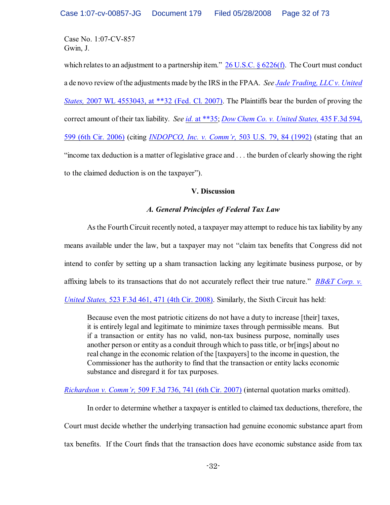which relates to an adjustment to a partnership item."  $26$  U.S.C. §  $6226(f)$ . The Court must conduct a de novo review ofthe adjustments made by the IRS in the FPAA. *See [Jade Trading, LLC v. United](http://www.westlaw.com/find/default.wl?rs=CLWP3.0&vr=2.0&cite=2007+WL+4553043) States,* [2007 WL 4553043, at \\*\\*32](http://www.westlaw.com/find/default.wl?rs=CLWP3.0&vr=2.0&cite=2007+WL+4553043) (Fed. Cl. 2007). The Plaintiffs bear the burden of proving the correct amount of their tax liability. *See id.* [at \\*\\*35](http://www.westlaw.com/find/default.wl?rs=CLWP3.0&vr=2.0&cite=2007+WL+4553043); *[Dow Chem Co. v. United States,](http://www.westlaw.com/find/default.wl?rs=CLWP3.0&vr=2.0&cite=435+F.3d+599)* 435 F.3d 594, [599 \(6th Cir. 2006\)](http://www.westlaw.com/find/default.wl?rs=CLWP3.0&vr=2.0&cite=435+F.3d+599) (citing *[INDOPCO, Inc. v. Comm'r,](http://www.westlaw.com/find/default.wl?rs=CLWP3.0&vr=2.0&cite=503+U.S.+79)* 503 U.S. 79, 84 (1992) (stating that an "income tax deduction is a matter of legislative grace and . . . the burden of clearly showing the right to the claimed deduction is on the taxpayer").

# **V. Discussion**

# *A. General Principles of Federal Tax Law*

As the Fourth Circuit recently noted, a taxpayer may attempt to reduce his tax liability by any means available under the law, but a taxpayer may not "claim tax benefits that Congress did not intend to confer by setting up a sham transaction lacking any legitimate business purpose, or by affixing labels to its transactions that do not accurately reflect their true nature." *[BB&T Corp. v.](http://www.westlaw.com/keycite/default.wl?rs=CLWP3.0&vr=2.0&cite=523+F.3d+461) United States,* [523 F.3d 461, 471 \(4th Cir. 2008\)](http://www.westlaw.com/keycite/default.wl?rs=CLWP3.0&vr=2.0&cite=523+F.3d+461). Similarly, the Sixth Circuit has held:

Because even the most patriotic citizens do not have a duty to increase [their] taxes, it is entirely legal and legitimate to minimize taxes through permissible means. But if a transaction or entity has no valid, non-tax business purpose, nominally uses another person or entity as a conduit through which to pass title, or br[ings] about no real change in the economic relation of the [taxpayers] to the income in question, the Commissioner has the authority to find that the transaction or entity lacks economic substance and disregard it for tax purposes.

*Richardson v. Comm'r,* [509 F.3d 736, 741 \(6th Cir. 2007\)](http://www.westlaw.com/find/default.wl?rs=CLWP3.0&vr=2.0&cite=509+F.3d+736) (internal quotation marks omitted).

In order to determine whether a taxpayer is entitled to claimed tax deductions, therefore, the Court must decide whether the underlying transaction had genuine economic substance apart from tax benefits. If the Court finds that the transaction does have economic substance aside from tax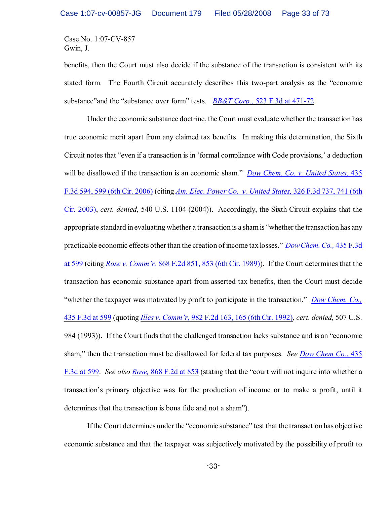benefits, then the Court must also decide if the substance of the transaction is consistent with its stated form. The Fourth Circuit accurately describes this two-part analysis as the "economic substance"and the "substance over form" tests. *BB&T Corp.,* [523 F.3d at 471-72](http://www.westlaw.com/keycite/default.wl?rs=CLWP3.0&vr=2.0&cite=523+F.3d+461).

Under the economic substance doctrine, the Court must evaluate whether the transaction has true economic merit apart from any claimed tax benefits. In making this determination, the Sixth Circuit notes that "even if a transaction is in 'formal compliance with Code provisions,' a deduction will be disallowed if the transaction is an economic sham." *[Dow Chem. Co. v. United States,](http://www.westlaw.com/find/default.wl?rs=CLWP3.0&vr=2.0&cite=435+F.3d+594)* 435 [F.3d 594, 599 \(6th Cir. 2006\)](http://www.westlaw.com/find/default.wl?rs=CLWP3.0&vr=2.0&cite=435+F.3d+594) (citing *[Am. Elec. Power Co. v. United States,](http://www.westlaw.com/keycite/default.wl?rs=CLWP3.0&vr=2.0&cite=326+F.3d+737)* 326 F.3d 737, 741 (6th [Cir. 2003\)](http://www.westlaw.com/keycite/default.wl?rs=CLWP3.0&vr=2.0&cite=326+F.3d+737), *cert. denied*, 540 U.S. 1104 (2004)). Accordingly, the Sixth Circuit explains that the appropriate standard in evaluating whether a transaction is a sham is "whether the transaction has any practicable economic effects other than the creation ofincome tax losses." *[Dow Chem. Co.,](http://www.westlaw.com/find/default.wl?rs=CLWP3.0&vr=2.0&cite=435+F.3d+599)* 435 F.3d [at 599](http://www.westlaw.com/find/default.wl?rs=CLWP3.0&vr=2.0&cite=435+F.3d+599) (citing *[Rose v. Comm'r,](http://www.westlaw.com/keycite/default.wl?rs=CLWP3.0&vr=2.0&cite=868+F.2d+851)* 868 F.2d 851, 853 (6th Cir. 1989)). If the Court determines that the transaction has economic substance apart from asserted tax benefits, then the Court must decide "whether the taxpayer was motivated by profit to participate in the transaction." *[Dow Chem. Co.,](http://www.westlaw.com/find/default.wl?rs=CLWP3.0&vr=2.0&cite=435+F.3d+599)* [435 F.3d at 599](http://www.westlaw.com/find/default.wl?rs=CLWP3.0&vr=2.0&cite=435+F.3d+599) (quoting *Illes v. Comm'r,* [982 F.2d 163, 165 \(6th Cir. 1992\)](http://www.westlaw.com/keycite/default.wl?rs=CLWP3.0&vr=2.0&cite=982+F.2d+163), *cert. denied,* 507 U.S. 984 (1993)). If the Court finds that the challenged transaction lacks substance and is an "economic sham," then the transaction must be disallowed for federal tax purposes. *See [Dow Chem Co.](http://www.westlaw.com/find/default.wl?rs=CLWP3.0&vr=2.0&cite=435+F.3d+599)*, 435 [F.3d at 599](http://www.westlaw.com/find/default.wl?rs=CLWP3.0&vr=2.0&cite=435+F.3d+599). *See also Rose,* [868 F.2d at 853](http://www.westlaw.com/keycite/default.wl?rs=CLWP3.0&vr=2.0&cite=868+F.2d+851) (stating that the "court will not inquire into whether a transaction's primary objective was for the production of income or to make a profit, until it determines that the transaction is bona fide and not a sham").

If the Court determines under the "economic substance" test that the transaction has objective economic substance and that the taxpayer was subjectively motivated by the possibility of profit to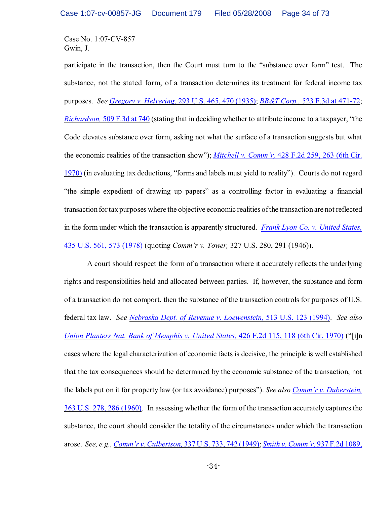participate in the transaction, then the Court must turn to the "substance over form" test. The substance, not the stated form, of a transaction determines its treatment for federal income tax purposes. *See [Gregory v. Helvering,](http://www.westlaw.com/find/default.wl?rs=CLWP3.0&vr=2.0&cite=293+U.S.+465)* 293 U.S. 465, 470 (1935); *BB&T Corp.,* [523 F.3d at 471-72](http://www.westlaw.com/keycite/default.wl?rs=CLWP3.0&vr=2.0&cite=523+F.3d+461); *Richardson,* [509 F.3d at 740](http://www.westlaw.com/keycite/default.wl?rs=CLWP3.0&vr=2.0&cite=509+F.3d+736) (stating that in deciding whether to attribute income to a taxpayer, "the Code elevates substance over form, asking not what the surface of a transaction suggests but what the economic realities of the transaction show"); *Mitchell v. Comm'r,* [428 F.2d 259, 263 \(6th Cir.](http://www.westlaw.com/find/default.wl?rs=CLWP3.0&vr=2.0&cite=428+F.2d+259) [1970\)](http://www.westlaw.com/find/default.wl?rs=CLWP3.0&vr=2.0&cite=428+F.2d+259) (in evaluating tax deductions, "forms and labels must yield to reality"). Courts do not regard "the simple expedient of drawing up papers" as a controlling factor in evaluating a financial transaction for tax purposes where the objective economic realities of the transaction are not reflected in the form under which the transaction is apparently structured. *[Frank Lyon Co. v. United States,](http://www.westlaw.com/find/default.wl?rs=CLWP3.0&vr=2.0&cite=435+U.S.+572)* [435 U.S. 561, 573 \(1978\)](http://www.westlaw.com/find/default.wl?rs=CLWP3.0&vr=2.0&cite=435+U.S.+572) (quoting *Comm'r v. Tower,* 327 U.S. 280, 291 (1946)).

A court should respect the form of a transaction where it accurately reflects the underlying rights and responsibilities held and allocated between parties. If, however, the substance and form of a transaction do not comport, then the substance of the transaction controls for purposes of U.S. federal tax law. *See [Nebraska Dept. of Revenue v. Loewenstein,](http://www.westlaw.com/find/default.wl?rs=CLWP3.0&vr=2.0&cite=513+U.S.+123)* 513 U.S. 123 (1994). *See also Union Planters Nat. Bank of Memphis v. United States,* [426 F.2d 115, 118 \(6th Cir. 1970\)](http://www.westlaw.com/find/default.wl?rs=CLWP3.0&vr=2.0&cite=426+F.2d+115) ("[i]n cases where the legal characterization of economic facts is decisive, the principle is well established that the tax consequences should be determined by the economic substance of the transaction, not the labels put on it for property law (or tax avoidance) purposes"). *See also [Comm'r v. Duberstein,](http://www.westlaw.com/find/default.wl?rs=CLWP3.0&vr=2.0&cite=363+U.S.+278)* 363 U.S. 278, [286 \(1960\)](http://www.westlaw.com/find/default.wl?rs=CLWP3.0&vr=2.0&cite=363+U.S.+278). In assessing whether the form of the transaction accurately captures the substance, the court should consider the totality of the circumstances under which the transaction arose. *See, e.g., Comm'r v. Culbertson,* [337 U.S. 733, 742 \(1949\)](http://www.westlaw.com/keycite/default.wl?rs=CLWP3.0&vr=2.0&cite=337+U.S.+733); *[Smith v. Comm'r,](http://www.westlaw.com/keycite/default.wl?rs=CLWP3.0&vr=2.0&cite=937+F.2d+1089)* 937 F.2d 1089,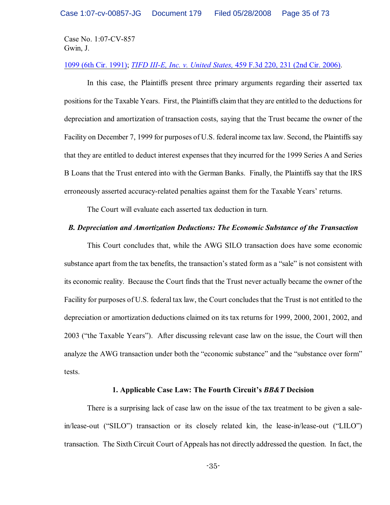#### 1099 (6th Cir. 1991); *TIFD III-E, Inc. v. United States,* [459 F.3d 220, 231 \(2nd Cir. 2006\)](http://www.westlaw.com/find/default.wl?rs=CLWP3.0&vr=2.0&cite=459+F.3d+220).

In this case, the Plaintiffs present three primary arguments regarding their asserted tax positions for the Taxable Years. First, the Plaintiffs claim that they are entitled to the deductions for depreciation and amortization of transaction costs, saying that the Trust became the owner of the Facility on December 7, 1999 for purposes of U.S. federal income tax law. Second, the Plaintiffs say that they are entitled to deduct interest expenses that they incurred for the 1999 Series A and Series B Loans that the Trust entered into with the German Banks. Finally, the Plaintiffs say that the IRS erroneously asserted accuracy-related penalties against them for the Taxable Years' returns.

The Court will evaluate each asserted tax deduction in turn.

#### *B. Depreciation and Amortization Deductions: The Economic Substance of the Transaction*

This Court concludes that, while the AWG SILO transaction does have some economic substance apart from the tax benefits, the transaction's stated form as a "sale" is not consistent with its economic reality. Because the Court finds that the Trust never actually became the owner of the Facility for purposes of U.S. federal tax law, the Court concludes that the Trust is not entitled to the depreciation or amortization deductions claimed on its tax returns for 1999, 2000, 2001, 2002, and 2003 ("the Taxable Years"). After discussing relevant case law on the issue, the Court will then analyze the AWG transaction under both the "economic substance" and the "substance over form" tests.

## **1. Applicable Case Law: The Fourth Circuit's** *BB&T* **Decision**

There is a surprising lack of case law on the issue of the tax treatment to be given a salein/lease-out ("SILO") transaction or its closely related kin, the lease-in/lease-out ("LILO") transaction. The Sixth Circuit Court of Appeals has not directly addressed the question. In fact, the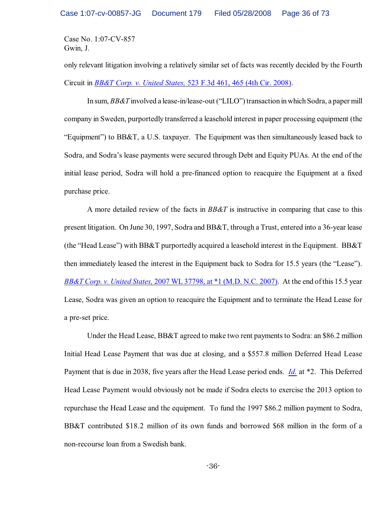only relevant litigation involving a relatively similar set of facts was recently decided by the Fourth Circuit in *BB&T Corp. v. United States,* [523 F.3d 461, 465 \(4th Cir. 2008\)](http://www.westlaw.com/keycite/default.wl?rs=CLWP3.0&vr=2.0&cite=523+F.3d+461).

In sum, *BB&T* involved a lease-in/lease-out ("LILO") transaction in which Sodra, a paper mill company in Sweden, purportedly transferred a leasehold interest in paper processing equipment (the "Equipment") to BB&T, a U.S. taxpayer. The Equipment was then simultaneously leased back to Sodra, and Sodra's lease payments were secured through Debt and Equity PUAs. At the end of the initial lease period, Sodra will hold a pre-financed option to reacquire the Equipment at a fixed purchase price.

A more detailed review of the facts in *BB&T* is instructive in comparing that case to this present litigation. On June 30, 1997, Sodra and BB&T, through a Trust, entered into a 36-year lease (the "Head Lease") with BB&T purportedly acquired a leasehold interest in the Equipment. BB&T then immediately leased the interest in the Equipment back to Sodra for 15.5 years (the "Lease"). *BB&T Corp. v. United States,* [2007 WL 37798, at \\*1 \(M.D. N.C. 2007\)](http://www.westlaw.com/keycite/default.wl?rs=CLWP3.0&vr=2.0&cite=2007+WL+37798). At the end of this 15.5 year Lease, Sodra was given an option to reacquire the Equipment and to terminate the Head Lease for a pre-set price.

Under the Head Lease, BB&T agreed to make two rent payments to Sodra: an \$86.2 million Initial Head Lease Payment that was due at closing, and a \$557.8 million Deferred Head Lease Payment that is due in 2038, five years after the Head Lease period ends. *[Id.](http://www.westlaw.com/keycite/default.wl?rs=CLWP3.0&vr=2.0&cite=2007+WL+37798)* at \*2. This Deferred Head Lease Payment would obviously not be made if Sodra elects to exercise the 2013 option to repurchase the Head Lease and the equipment. To fund the 1997 \$86.2 million payment to Sodra, BB&T contributed \$18.2 million of its own funds and borrowed \$68 million in the form of a non-recourse loan from a Swedish bank.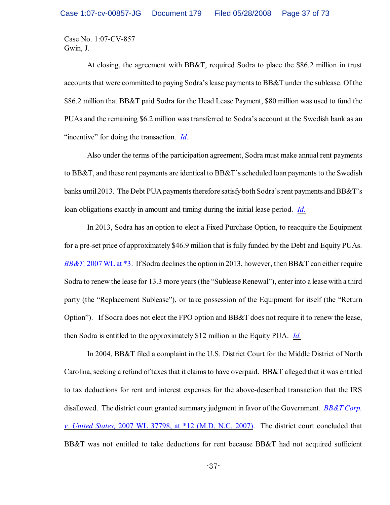At closing, the agreement with BB&T, required Sodra to place the \$86.2 million in trust accounts that were committed to paying Sodra's lease payments to BB&T under the sublease. Of the \$86.2 million that BB&T paid Sodra for the Head Lease Payment, \$80 million was used to fund the PUAs and the remaining \$6.2 million was transferred to Sodra's account at the Swedish bank as an "incentive" for doing the transaction. *[Id.](http://www.westlaw.com/keycite/default.wl?rs=CLWP3.0&vr=2.0&cite=2007+WL+37798)*

Also under the terms of the participation agreement, Sodra must make annual rent payments to BB&T, and these rent payments are identical to BB&T's scheduled loan payments to the Swedish banks until 2013. The Debt PUA payments therefore satisfy both Sodra's rent payments and BB&T's loan obligations exactly in amount and timing during the initial lease period. *[Id.](http://www.westlaw.com/keycite/default.wl?rs=CLWP3.0&vr=2.0&cite=2007+WL+37798)*

In 2013, Sodra has an option to elect a Fixed Purchase Option, to reacquire the Equipment for a pre-set price of approximately \$46.9 million that is fully funded by the Debt and Equity PUAs. *BB&T*, [2007 WL at \\*3](http://www.westlaw.com/keycite/default.wl?rs=CLWP3.0&vr=2.0&cite=2007+WL+37798). If Sodra declines the option in 2013, however, then BB&T can either require Sodra to renew the lease for 13.3 more years (the "Sublease Renewal"), enter into a lease with a third party (the "Replacement Sublease"), or take possession of the Equipment for itself (the "Return Option"). If Sodra does not elect the FPO option and BB&T does not require it to renew the lease, then Sodra is entitled to the approximately \$12 million in the Equity PUA. *[Id.](http://www.westlaw.com/keycite/default.wl?rs=CLWP3.0&vr=2.0&cite=2007+WL+37798)*

In 2004, BB&T filed a complaint in the U.S. District Court for the Middle District of North Carolina, seeking a refund oftaxes that it claims to have overpaid. BB&T alleged that it was entitled to tax deductions for rent and interest expenses for the above-described transaction that the IRS disallowed. The district court granted summary judgment in favor of the Government. *[BB&T Corp.](http://www.westlaw.com/keycite/default.wl?rs=CLWP3.0&vr=2.0&cite=2007+WL+37798) v. United States,* [2007 WL 37798, at \\*12 \(M.D. N.C. 2007\)](http://www.westlaw.com/keycite/default.wl?rs=CLWP3.0&vr=2.0&cite=2007+WL+37798). The district court concluded that BB&T was not entitled to take deductions for rent because BB&T had not acquired sufficient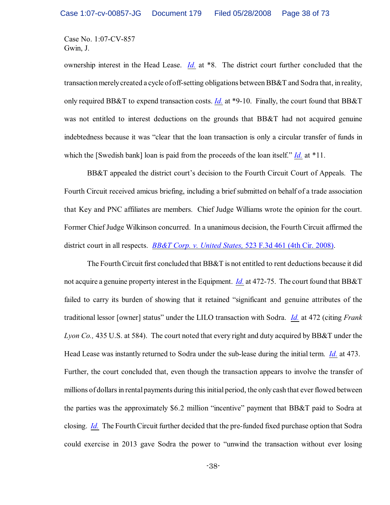ownership interest in the Head Lease. *[Id.](http://www.westlaw.com/keycite/default.wl?rs=CLWP3.0&vr=2.0&cite=2007+WL+37798)* at \*8. The district court further concluded that the transaction merely created a cycle of off-setting obligations between BB&T and Sodra that, in reality, only required BB&T to expend transaction costs. *[Id.](http://www.westlaw.com/keycite/default.wl?rs=CLWP3.0&vr=2.0&cite=2007+WL+37798)* at \*9-10. Finally, the court found that BB&T was not entitled to interest deductions on the grounds that BB&T had not acquired genuine indebtedness because it was "clear that the loan transaction is only a circular transfer of funds in which the [Swedish bank] loan is paid from the proceeds of the loan itself." *[Id.](http://www.westlaw.com/keycite/default.wl?rs=CLWP3.0&vr=2.0&cite=2007+WL+37798)* at \*11.

BB&T appealed the district court's decision to the Fourth Circuit Court of Appeals. The Fourth Circuit received amicus briefing, including a brief submitted on behalf of a trade association that Key and PNC affiliates are members. Chief Judge Williams wrote the opinion for the court. Former Chief Judge Wilkinson concurred. In a unanimous decision, the Fourth Circuit affirmed the district court in all respects. *[BB&T Corp. v. United States,](http://www.westlaw.com/keycite/default.wl?rs=CLWP3.0&vr=2.0&cite=523+F.3d+461)* 523 F.3d 461 (4th Cir. 2008).

The Fourth Circuit first concluded that BB&T is not entitled to rent deductions because it did not acquire a genuine property interest in the Equipment. *[Id.](http://www.westlaw.com/keycite/default.wl?rs=CLWP3.0&vr=2.0&cite=523+F.3d+461)* at 472-75. The court found that BB&T failed to carry its burden of showing that it retained "significant and genuine attributes of the traditional lessor [owner] status" under the LILO transaction with Sodra. *[Id.](http://www.westlaw.com/keycite/default.wl?rs=CLWP3.0&vr=2.0&cite=523+F.3d+461)* at 472 (citing *Frank Lyon Co.,* 435 U.S. at 584). The court noted that every right and duty acquired by BB&T under the Head Lease was instantly returned to Sodra under the sub-lease during the initial term. *[Id.](http://www.westlaw.com/keycite/default.wl?rs=CLWP3.0&vr=2.0&cite=523+F.3d+461)* at 473. Further, the court concluded that, even though the transaction appears to involve the transfer of millions of dollars in rental payments during this initial period, the only cash that ever flowed between the parties was the approximately \$6.2 million "incentive" payment that BB&T paid to Sodra at closing. *[Id.](http://www.westlaw.com/keycite/default.wl?rs=CLWP3.0&vr=2.0&cite=523+F.3d+461)* The Fourth Circuit further decided that the pre-funded fixed purchase option that Sodra could exercise in 2013 gave Sodra the power to "unwind the transaction without ever losing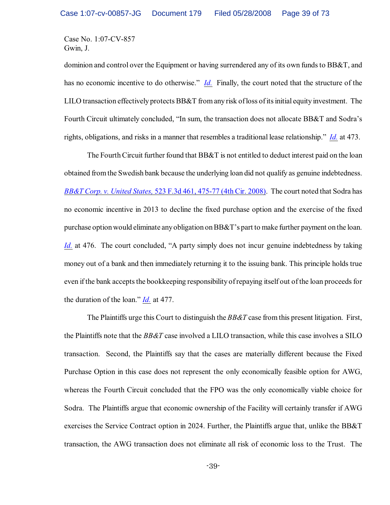dominion and control over the Equipment or having surrendered any of its own funds to BB&T, and has no economic incentive to do otherwise." *[Id.](http://www.westlaw.com/keycite/default.wl?rs=CLWP3.0&vr=2.0&cite=523+F.3d+461)* Finally, the court noted that the structure of the LILO transaction effectively protects BB&T from any risk ofloss of its initial equity investment. The Fourth Circuit ultimately concluded, "In sum, the transaction does not allocate BB&T and Sodra's rights, obligations, and risks in a manner that resembles a traditional lease relationship." *[Id.](http://www.westlaw.com/keycite/default.wl?rs=CLWP3.0&vr=2.0&cite=523+F.3d+461)* at 473.

The Fourth Circuit further found that BB&T is not entitled to deduct interest paid on the loan obtained fromthe Swedish bank because the underlying loan did not qualify as genuine indebtedness. *BB&T Corp. v. United States,* [523 F.3d 461, 475-77 \(4th Cir. 2008\)](http://www.westlaw.com/keycite/default.wl?rs=CLWP3.0&vr=2.0&cite=523+F.3d+461). The court noted that Sodra has no economic incentive in 2013 to decline the fixed purchase option and the exercise of the fixed purchase option would eliminate any obligation on BB&T's part to make further payment on the loan. *[Id.](http://www.westlaw.com/keycite/default.wl?rs=CLWP3.0&vr=2.0&cite=523+F.3d+461)* at 476. The court concluded, "A party simply does not incur genuine indebtedness by taking money out of a bank and then immediately returning it to the issuing bank. This principle holds true even if the bank accepts the bookkeeping responsibility of repaying itself out of the loan proceeds for the duration of the loan." *[Id.](http://www.westlaw.com/keycite/default.wl?rs=CLWP3.0&vr=2.0&cite=523+F.3d+461)* at 477.

The Plaintiffs urge this Court to distinguish the *BB&T* case from this present litigation. First, the Plaintiffs note that the *BB&T* case involved a LILO transaction, while this case involves a SILO transaction. Second, the Plaintiffs say that the cases are materially different because the Fixed Purchase Option in this case does not represent the only economically feasible option for AWG, whereas the Fourth Circuit concluded that the FPO was the only economically viable choice for Sodra. The Plaintiffs argue that economic ownership of the Facility will certainly transfer if AWG exercises the Service Contract option in 2024. Further, the Plaintiffs argue that, unlike the BB&T transaction, the AWG transaction does not eliminate all risk of economic loss to the Trust. The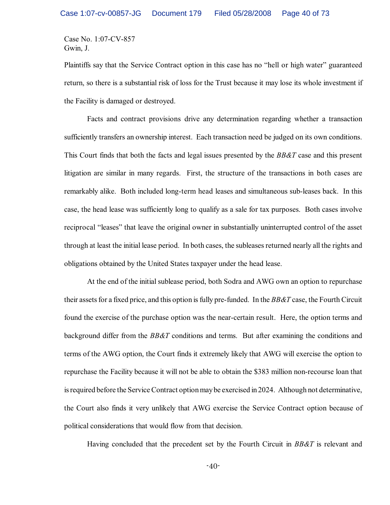Plaintiffs say that the Service Contract option in this case has no "hell or high water" guaranteed return, so there is a substantial risk of loss for the Trust because it may lose its whole investment if the Facility is damaged or destroyed.

Facts and contract provisions drive any determination regarding whether a transaction sufficiently transfers an ownership interest. Each transaction need be judged on its own conditions. This Court finds that both the facts and legal issues presented by the *BB&T* case and this present litigation are similar in many regards. First, the structure of the transactions in both cases are remarkably alike. Both included long-term head leases and simultaneous sub-leases back. In this case, the head lease was sufficiently long to qualify as a sale for tax purposes. Both cases involve reciprocal "leases" that leave the original owner in substantially uninterrupted control of the asset through at least the initial lease period. In both cases, the subleasesreturned nearly all the rights and obligations obtained by the United States taxpayer under the head lease.

At the end of the initial sublease period, both Sodra and AWG own an option to repurchase their assetsfor a fixed price, and this option is fully pre-funded. In the *BB&T* case, the Fourth Circuit found the exercise of the purchase option was the near-certain result. Here, the option terms and background differ from the *BB&T* conditions and terms. But after examining the conditions and terms of the AWG option, the Court finds it extremely likely that AWG will exercise the option to repurchase the Facility because it will not be able to obtain the \$383 million non-recourse loan that is required before the Service Contract option may be exercised in 2024. Although not determinative, the Court also finds it very unlikely that AWG exercise the Service Contract option because of political considerations that would flow from that decision.

Having concluded that the precedent set by the Fourth Circuit in *BB&T* is relevant and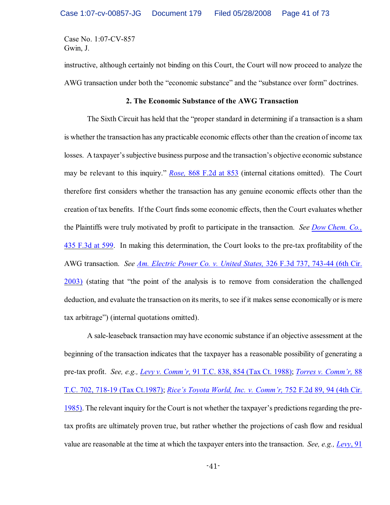instructive, although certainly not binding on this Court, the Court will now proceed to analyze the AWG transaction under both the "economic substance" and the "substance over form" doctrines.

### **2. The Economic Substance of the AWG Transaction**

The Sixth Circuit has held that the "proper standard in determining if a transaction is a sham is whether the transaction has any practicable economic effects other than the creation of income tax losses. A taxpayer's subjective business purpose and the transaction's objective economic substance may be relevant to this inquiry." *Rose,* [868 F.2d at 853](http://www.westlaw.com/find/default.wl?rs=CLWP3.0&vr=2.0&cite=868+F.2d+851) (internal citations omitted). The Court therefore first considers whether the transaction has any genuine economic effects other than the creation of tax benefits. If the Court finds some economic effects, then the Court evaluates whether the Plaintiffs were truly motivated by profit to participate in the transaction. *See [Dow Chem. Co.,](http://www.westlaw.com/find/default.wl?rs=CLWP3.0&vr=2.0&cite=435+F.3d+599)* [435 F.3d at 599](http://www.westlaw.com/find/default.wl?rs=CLWP3.0&vr=2.0&cite=435+F.3d+599). In making this determination, the Court looks to the pre-tax profitability of the AWG transaction. *See [Am. Electric Power Co. v. United States,](http://www.westlaw.com/find/default.wl?rs=CLWP3.0&vr=2.0&cite=326+F.3d+737)* 326 F.3d 737, 743-44 (6th Cir. [2003\)](http://www.westlaw.com/find/default.wl?rs=CLWP3.0&vr=2.0&cite=326+F.3d+737) (stating that "the point of the analysis is to remove from consideration the challenged deduction, and evaluate the transaction on its merits, to see if it makes sense economically or is mere tax arbitrage") (internal quotations omitted).

A sale-leaseback transaction may have economic substance if an objective assessment at the beginning of the transaction indicates that the taxpayer has a reasonable possibility of generating a pre-tax profit. *See, e.g., [Levy v. Comm'r,](http://www.westlaw.com/keycite/default.wl?rs=CLWP3.0&vr=2.0&cite=91+T.C.+838)* 91 T.C. 838, 854 (Tax Ct. 1988); *[Torres v. Comm'r,](http://www.westlaw.com/keycite/default.wl?rs=CLWP3.0&vr=2.0&cite=88+T.C.+702)* 88 T.C. 702, [718-19 \(Tax Ct.1987\)](http://www.westlaw.com/keycite/default.wl?rs=CLWP3.0&vr=2.0&cite=88+T.C.+702); *Rice's Toyota World, Inc. v. Comm'r,* [752 F.2d 89, 94 \(4th Cir.](http://www.westlaw.com/keycite/default.wl?rs=CLWP3.0&vr=2.0&cite=752+F.2d+89) [1985\)](http://www.westlaw.com/keycite/default.wl?rs=CLWP3.0&vr=2.0&cite=752+F.2d+89). The relevant inquiry for the Court is not whether the taxpayer's predictions regarding the pretax profits are ultimately proven true, but rather whether the projections of cash flow and residual value are reasonable at the time at which the taxpayer enters into the transaction. *See, e.g., [Levy](http://www.westlaw.com/keycite/default.wl?rs=CLWP3.0&vr=2.0&cite=91+T.C.+838)*, 91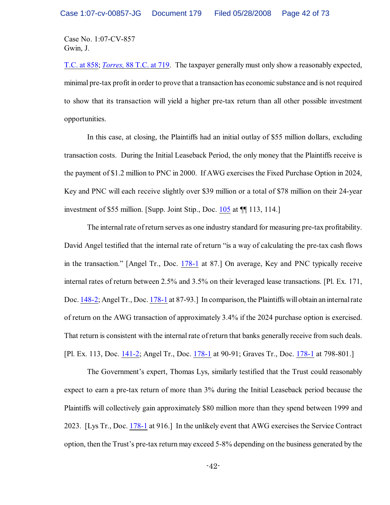T.C. at 858; *Torres,* [88 T.C. at 719](http://www.westlaw.com/keycite/default.wl?rs=CLWP3.0&vr=2.0&cite=88+T.C.+702). The taxpayer generally must only show a reasonably expected, minimal pre-tax profit in order to prove that a transaction has economic substance and is not required to show that its transaction will yield a higher pre-tax return than all other possible investment opportunities.

In this case, at closing, the Plaintiffs had an initial outlay of \$55 million dollars, excluding transaction costs. During the Initial Leaseback Period, the only money that the Plaintiffs receive is the payment of \$1.2 million to PNC in 2000. If AWG exercises the Fixed Purchase Option in 2024, Key and PNC will each receive slightly over \$39 million or a total of \$78 million on their 24-year investment of \$55 million. [Supp. Joint Stip., Doc. [105](https://ecf.ohnd.uscourts.gov/doc1/14103696730) at ¶¶ 113, 114.]

The internal rate of return serves as one industry standard for measuring pre-tax profitability. David Angel testified that the internal rate of return "is a way of calculating the pre-tax cash flows in the transaction." [Angel Tr., Doc. [178-1](https://ecf.ohnd.uscourts.gov/doc1/14113879558) at 87.] On average, Key and PNC typically receive internal rates of return between 2.5% and 3.5% on their leveraged lease transactions. [Pl. Ex. 171, Doc. [148-2](https://ecf.ohnd.uscourts.gov/doc1/14113878269); Angel Tr., Doc. [178-1](https://ecf.ohnd.uscourts.gov/doc1/14113879558) at 87-93.] In comparison, the Plaintiffs will obtain an internal rate of return on the AWG transaction of approximately 3.4% if the 2024 purchase option is exercised. That return is consistent with the internal rate of return that banks generally receive from such deals. [Pl. Ex. 113, Doc. [141-2](https://ecf.ohnd.uscourts.gov/doc1/14113877345); Angel Tr., Doc. [178-1](https://ecf.ohnd.uscourts.gov/doc1/14113879558) at 90-91; Graves Tr., Doc. [178-1](https://ecf.ohnd.uscourts.gov/doc1/14113879558) at 798-801.]

The Government's expert, Thomas Lys, similarly testified that the Trust could reasonably expect to earn a pre-tax return of more than 3% during the Initial Leaseback period because the Plaintiffs will collectively gain approximately \$80 million more than they spend between 1999 and 2023. [Lys Tr., Doc. [178-1](https://ecf.ohnd.uscourts.gov/doc1/14113879558) at 916.] In the unlikely event that AWG exercises the Service Contract option, then the Trust's pre-tax return may exceed 5-8% depending on the business generated by the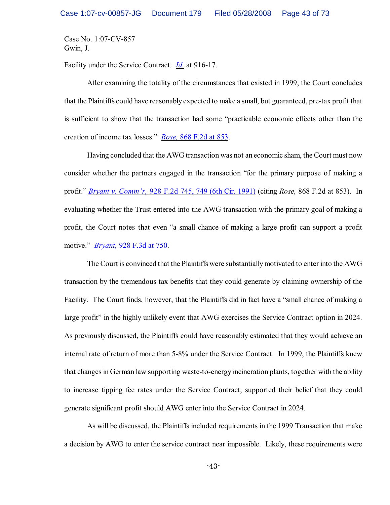Facility under the Service Contract. *[Id.](https://ecf.ohnd.uscourts.gov/doc1/14113879558)* at 916-17.

After examining the totality of the circumstances that existed in 1999, the Court concludes that the Plaintiffs could have reasonably expected to make a small, but guaranteed, pre-tax profit that is sufficient to show that the transaction had some "practicable economic effects other than the creation of income tax losses." *Rose,* [868 F.2d at 853](http://www.westlaw.com/find/default.wl?rs=CLWP3.0&vr=2.0&cite=868+F.2d+851).

Having concluded that the AWG transaction was not an economic sham, the Court must now consider whether the partners engaged in the transaction "for the primary purpose of making a profit." *Bryant v. Comm'r,* 928 F.2d [745, 749 \(6th Cir. 1991\)](http://www.westlaw.com/find/default.wl?rs=CLWP3.0&vr=2.0&cite=928+F.2d+745) (citing *Rose,* 868 F.2d at 853). In evaluating whether the Trust entered into the AWG transaction with the primary goal of making a profit, the Court notes that even "a small chance of making a large profit can support a profit motive." *Bryant,* [928 F.3d at 750](http://www.westlaw.com/find/default.wl?rs=CLWP3.0&vr=2.0&cite=928+F.3d+750).

The Court is convinced that the Plaintiffs were substantiallymotivated to enter into the AWG transaction by the tremendous tax benefits that they could generate by claiming ownership of the Facility. The Court finds, however, that the Plaintiffs did in fact have a "small chance of making a large profit" in the highly unlikely event that AWG exercises the Service Contract option in 2024. As previously discussed, the Plaintiffs could have reasonably estimated that they would achieve an internal rate of return of more than 5-8% under the Service Contract. In 1999, the Plaintiffs knew that changes in German law supporting waste-to-energy incineration plants, together with the ability to increase tipping fee rates under the Service Contract, supported their belief that they could generate significant profit should AWG enter into the Service Contract in 2024.

As will be discussed, the Plaintiffs included requirements in the 1999 Transaction that make a decision by AWG to enter the service contract near impossible. Likely, these requirements were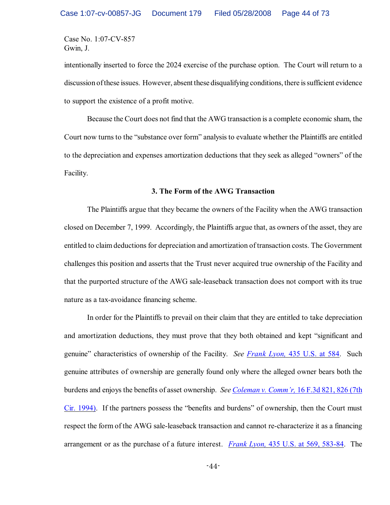intentionally inserted to force the 2024 exercise of the purchase option. The Court will return to a discussion of these issues. However, absent these disqualifying conditions, there is sufficient evidence to support the existence of a profit motive.

Because the Court does not find that the AWG transaction is a complete economic sham, the Court now turns to the "substance over form" analysis to evaluate whether the Plaintiffs are entitled to the depreciation and expenses amortization deductions that they seek as alleged "owners" of the Facility.

#### **3. The Form of the AWG Transaction**

The Plaintiffs argue that they became the owners of the Facility when the AWG transaction closed on December 7, 1999. Accordingly, the Plaintiffs argue that, as owners of the asset, they are entitled to claim deductions for depreciation and amortization of transaction costs. The Government challenges this position and asserts that the Trust never acquired true ownership of the Facility and that the purported structure of the AWG sale-leaseback transaction does not comport with its true nature as a tax-avoidance financing scheme.

In order for the Plaintiffs to prevail on their claim that they are entitled to take depreciation and amortization deductions, they must prove that they both obtained and kept "significant and genuine" characteristics of ownership of the Facility. *See Frank Lyon,* [435 U.S. at 584](http://www.westlaw.com/find/default.wl?rs=CLWP3.0&vr=2.0&cite=435+U.S.+584). Such genuine attributes of ownership are generally found only where the alleged owner bears both the burdens and enjoys the benefits of asset ownership. *See [Coleman v. Comm'r,](http://www.westlaw.com/find/default.wl?rs=CLWP3.0&vr=2.0&cite=16+F.3d+821)* 16 F.3d 821, 826 (7th [Cir. 1994\)](http://www.westlaw.com/find/default.wl?rs=CLWP3.0&vr=2.0&cite=16+F.3d+821). If the partners possess the "benefits and burdens" of ownership, then the Court must respect the form of the AWG sale-leaseback transaction and cannot re-characterize it as a financing arrangement or as the purchase of a future interest. *Frank Lyon,* [435 U.S. at 569, 583-84](http://www.westlaw.com/find/default.wl?rs=CLWP3.0&vr=2.0&cite=435+U.S.+583). The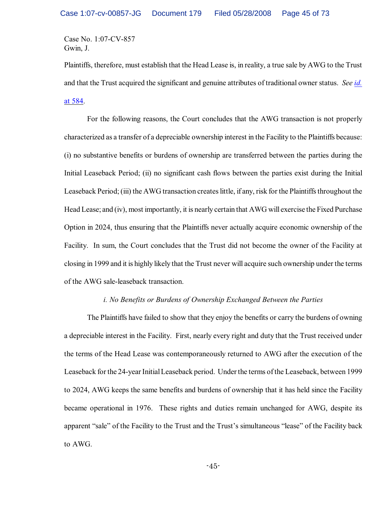Plaintiffs, therefore, must establish that the Head Lease is, in reality, a true sale by AWG to the Trust and that the Trust acquired the significant and genuine attributes of traditional owner status. *See [id.](http://www.westlaw.com/find/default.wl?rs=CLWP3.0&vr=2.0&cite=435+U.S.+584)* [at 584](http://www.westlaw.com/find/default.wl?rs=CLWP3.0&vr=2.0&cite=435+U.S.+584).

For the following reasons, the Court concludes that the AWG transaction is not properly characterized as a transfer of a depreciable ownership interest in the Facility to the Plaintiffs because: (i) no substantive benefits or burdens of ownership are transferred between the parties during the Initial Leaseback Period; (ii) no significant cash flows between the parties exist during the Initial Leaseback Period; (iii) the AWG transaction creates little, if any, risk for the Plaintiffs throughout the Head Lease; and (iv), most importantly, it is nearly certain that AWG will exercise the Fixed Purchase Option in 2024, thus ensuring that the Plaintiffs never actually acquire economic ownership of the Facility. In sum, the Court concludes that the Trust did not become the owner of the Facility at closing in 1999 and it is highly likely that the Trust never will acquire such ownership under the terms of the AWG sale-leaseback transaction.

## *i. No Benefits or Burdens of Ownership Exchanged Between the Parties*

The Plaintiffs have failed to show that they enjoy the benefits or carry the burdens of owning a depreciable interest in the Facility. First, nearly every right and duty that the Trust received under the terms of the Head Lease was contemporaneously returned to AWG after the execution of the Leaseback for the 24-year InitialLeaseback period. Under the terms of the Leaseback, between 1999 to 2024, AWG keeps the same benefits and burdens of ownership that it has held since the Facility became operational in 1976. These rights and duties remain unchanged for AWG, despite its apparent "sale" of the Facility to the Trust and the Trust's simultaneous "lease" of the Facility back to AWG.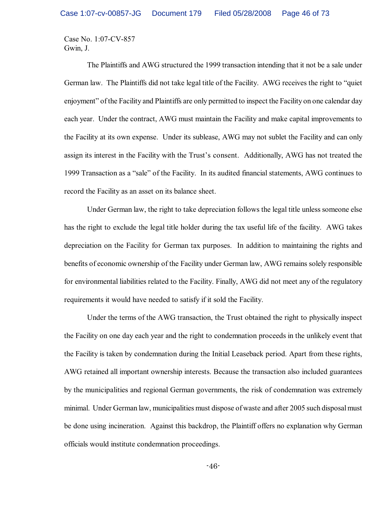The Plaintiffs and AWG structured the 1999 transaction intending that it not be a sale under German law. The Plaintiffs did not take legal title of the Facility. AWG receives the right to "quiet enjoyment" of the Facility and Plaintiffs are only permitted to inspect the Facility on one calendar day each year. Under the contract, AWG must maintain the Facility and make capital improvements to the Facility at its own expense. Under its sublease, AWG may not sublet the Facility and can only assign its interest in the Facility with the Trust's consent. Additionally, AWG has not treated the 1999 Transaction as a "sale" of the Facility. In its audited financial statements, AWG continues to record the Facility as an asset on its balance sheet.

Under German law, the right to take depreciation follows the legal title unless someone else has the right to exclude the legal title holder during the tax useful life of the facility. AWG takes depreciation on the Facility for German tax purposes. In addition to maintaining the rights and benefits of economic ownership of the Facility under German law, AWG remains solely responsible for environmental liabilities related to the Facility. Finally, AWG did not meet any of the regulatory requirements it would have needed to satisfy if it sold the Facility.

Under the terms of the AWG transaction, the Trust obtained the right to physically inspect the Facility on one day each year and the right to condemnation proceeds in the unlikely event that the Facility is taken by condemnation during the Initial Leaseback period. Apart from these rights, AWG retained all important ownership interests. Because the transaction also included guarantees by the municipalities and regional German governments, the risk of condemnation was extremely minimal. Under German law, municipalities must dispose of waste and after 2005 such disposal must be done using incineration. Against this backdrop, the Plaintiff offers no explanation why German officials would institute condemnation proceedings.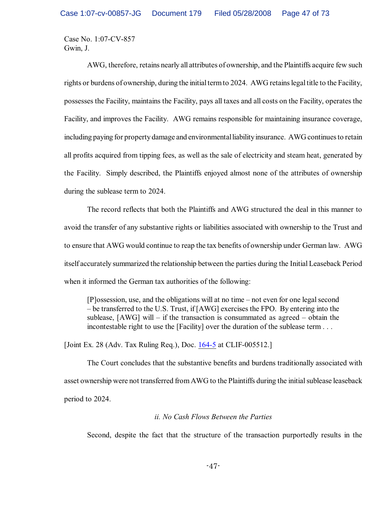AWG, therefore, retains nearly all attributes of ownership, and the Plaintiffs acquire few such rights or burdens of ownership, during the initial term to 2024. AWG retains legal title to the Facility, possesses the Facility, maintains the Facility, pays all taxes and all costs on the Facility, operates the Facility, and improves the Facility. AWG remains responsible for maintaining insurance coverage, including paying for property damage and environmental liability insurance. AWG continues to retain all profits acquired from tipping fees, as well as the sale of electricity and steam heat, generated by the Facility. Simply described, the Plaintiffs enjoyed almost none of the attributes of ownership during the sublease term to 2024.

The record reflects that both the Plaintiffs and AWG structured the deal in this manner to avoid the transfer of any substantive rights or liabilities associated with ownership to the Trust and to ensure that AWG would continue to reap the tax benefits of ownership under German law. AWG itself accurately summarized the relationship between the parties during the Initial Leaseback Period when it informed the German tax authorities of the following:

[P]ossession, use, and the obligations will at no time – not even for one legal second – be transferred to the U.S. Trust, if [AWG] exercises the FPO. By entering into the sublease, [AWG] will – if the transaction is consummated as agreed – obtain the incontestable right to use the [Facility] over the duration of the sublease term . . .

[Joint Ex. 28 (Adv. Tax Ruling Req.), Doc. [164-5](https://ecf.ohnd.uscourts.gov/doc1/14113879178) at CLIF-005512.]

The Court concludes that the substantive benefits and burdens traditionally associated with asset ownership were not transferred from AWG to the Plaintiffs during the initial sublease leaseback period to 2024.

# *ii. No Cash Flows Between the Parties*

Second, despite the fact that the structure of the transaction purportedly results in the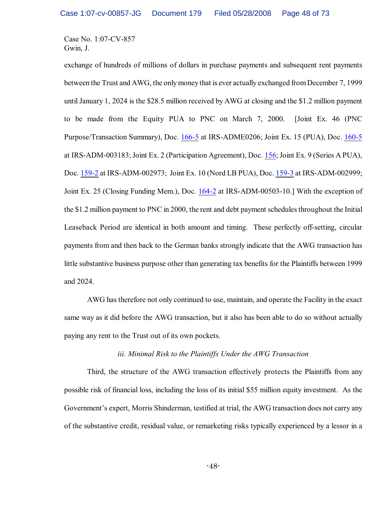exchange of hundreds of millions of dollars in purchase payments and subsequent rent payments between the Trust and AWG, the onlymoney that is ever actually exchanged fromDecember 7, 1999 until January 1, 2024 is the \$28.5 million received by AWG at closing and the \$1.2 million payment to be made from the Equity PUA to PNC on March 7, 2000. [Joint Ex. 46 (PNC Purpose/Transaction Summary), Doc. [166-5](https://ecf.ohnd.uscourts.gov/doc1/14113879231) at IRS-ADME0206; Joint Ex. 15 (PUA), Doc. [160-5](https://ecf.ohnd.uscourts.gov/doc1/14113878718) at IRS-ADM-003183; Joint Ex. 2 (Participation Agreement), Doc. [156](https://ecf.ohnd.uscourts.gov/doc1/14103878601); Joint Ex. 9 (Series A PUA), Doc. [159-2](https://ecf.ohnd.uscourts.gov/doc1/14113878676) at IRS-ADM-002973; Joint Ex. 10 (Nord LB PUA), Doc. [159-3](https://ecf.ohnd.uscourts.gov/doc1/14113878677) at IRS-ADM-002999; Joint Ex. 25 (Closing Funding Mem.), Doc. [164-2](https://ecf.ohnd.uscourts.gov/doc1/14113879175) at IRS-ADM-00503-10.] With the exception of the \$1.2 million payment to PNC in 2000, the rent and debt payment schedules throughout the Initial Leaseback Period are identical in both amount and timing. These perfectly off-setting, circular payments from and then back to the German banks strongly indicate that the AWG transaction has little substantive business purpose other than generating tax benefits for the Plaintiffs between 1999 and 2024.

AWG has therefore not only continued to use, maintain, and operate the Facility in the exact same way as it did before the AWG transaction, but it also has been able to do so without actually paying any rent to the Trust out of its own pockets.

### *iii. Minimal Risk to the Plaintiffs Under the AWG Transaction*

Third, the structure of the AWG transaction effectively protects the Plaintiffs from any possible risk of financial loss, including the loss of its initial \$55 million equity investment. As the Government's expert, Morris Shinderman, testified at trial, the AWG transaction does not carry any of the substantive credit, residual value, or remarketing risks typically experienced by a lessor in a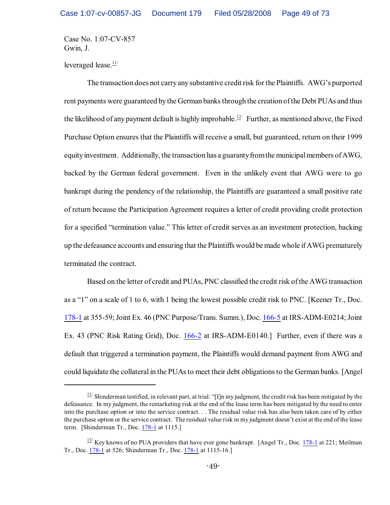leveraged lease.<sup>11/</sup>

The transaction does not carry any substantive credit risk for the Plaintiffs. AWG's purported rent payments were guaranteed by the German banks through the creation of the Debt PUAs and thus the likelihood of any payment default is highly improbable.<sup> $12/1$ </sup> Further, as mentioned above, the Fixed Purchase Option ensures that the Plaintiffs will receive a small, but guaranteed, return on their 1999 equity investment. Additionally, the transaction has a guaranty from the municipal members of AWG, backed by the German federal government. Even in the unlikely event that AWG were to go bankrupt during the pendency of the relationship, the Plaintiffs are guaranteed a small positive rate of return because the Participation Agreement requires a letter of credit providing credit protection for a specified "termination value." This letter of credit serves as an investment protection, backing up the defeasance accounts and ensuring that the Plaintiffs would be made whole if AWG prematurely terminated the contract.

Based on the letter of credit and PUAs, PNC classified the credit risk of the AWG transaction as a "1" on a scale of 1 to 6, with 1 being the lowest possible credit risk to PNC. [Keener Tr., Doc. [178-1](https://ecf.ohnd.uscourts.gov/doc1/14113879558) at 355-59; Joint Ex. 46 (PNC Purpose/Trans. Summ.), Doc. [166-5](https://ecf.ohnd.uscourts.gov/doc1/14113879231) at IRS-ADM-E0214; Joint Ex. 43 (PNC Risk Rating Grid), Doc. [166-2](https://ecf.ohnd.uscourts.gov/doc1/14113879228) at IRS-ADM-E0140.] Further, even if there was a default that triggered a termination payment, the Plaintiffs would demand payment from AWG and could liquidate the collateral in the PUAs to meet their debt obligations to the German banks. [Angel

 $\frac{11}{11}$  Shinderman testified, in relevant part, at trial: "[I]n my judgment, the credit risk has been mitigated by the defeasance. In my judgment, the remarketing risk at the end of the lease term has been mitigated by the need to enter into the purchase option or into the service contract. . . The residual value risk has also been taken care of by either the purchase option or the service contract. The residual value risk in my judgment doesn't exist at the end of the lease term. [Shinderman Tr., Doc. [178-1](https://ecf.ohnd.uscourts.gov/doc1/14113879558) at 1115.]

 $\frac{12}{12}$  Key knows of no PUA providers that have ever gone bankrupt. [Angel Tr., Doc. [178-1](https://ecf.ohnd.uscourts.gov/doc1/14113879558) at 221; Meilman Tr., Doc. [178-1](https://ecf.ohnd.uscourts.gov/doc1/14113879558) at 526; Shinderman Tr., Doc. [178-1](https://ecf.ohnd.uscourts.gov/doc1/14113879558) at 1115-16.]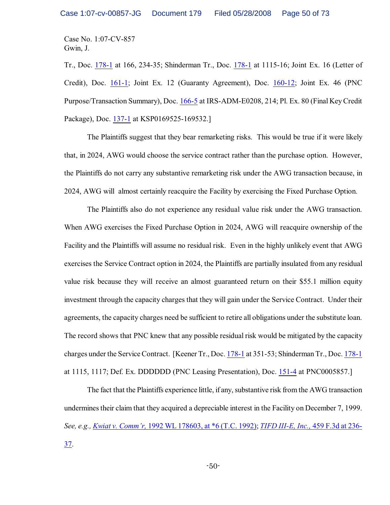Tr., Doc. [178-1](https://ecf.ohnd.uscourts.gov/doc1/14113879558) at 166, 234-35; Shinderman Tr., Doc. [178-1](https://ecf.ohnd.uscourts.gov/doc1/14113879558) at 1115-16; Joint Ex. 16 (Letter of Credit), Doc. [161-1](https://ecf.ohnd.uscourts.gov/doc1/14113878753); Joint Ex. 12 (Guaranty Agreement), Doc. [160-12](https://ecf.ohnd.uscourts.gov/doc1/14113878715); Joint Ex. 46 (PNC Purpose/Transaction Summary), Doc. [166-5](https://ecf.ohnd.uscourts.gov/doc1/14113879231) at IRS-ADM-E0208, 214; Pl. Ex. 80 (Final Key Credit Package), Doc. [137-1](https://ecf.ohnd.uscourts.gov/doc1/14113877181) at KSP0169525-169532.]

The Plaintiffs suggest that they bear remarketing risks. This would be true if it were likely that, in 2024, AWG would choose the service contract rather than the purchase option. However, the Plaintiffs do not carry any substantive remarketing risk under the AWG transaction because, in 2024, AWG will almost certainly reacquire the Facility by exercising the Fixed Purchase Option.

The Plaintiffs also do not experience any residual value risk under the AWG transaction. When AWG exercises the Fixed Purchase Option in 2024, AWG will reacquire ownership of the Facility and the Plaintiffs will assume no residual risk. Even in the highly unlikely event that AWG exercises the Service Contract option in 2024, the Plaintiffs are partially insulated from any residual value risk because they will receive an almost guaranteed return on their \$55.1 million equity investment through the capacity charges that they will gain under the Service Contract. Under their agreements, the capacity charges need be sufficient to retire all obligations under the substitute loan. The record shows that PNC knew that any possible residual risk would be mitigated by the capacity charges under the Service Contract. [Keener Tr., Doc. [178-1](https://ecf.ohnd.uscourts.gov/doc1/14113879558) at 351-53; Shinderman Tr., Doc. [178-1](https://ecf.ohnd.uscourts.gov/doc1/14113879558) at 1115, 1117; Def. Ex. DDDDDD (PNC Leasing Presentation), Doc. [151-4](https://ecf.ohnd.uscourts.gov/doc1/14113878414) at PNC0005857.]

The fact that the Plaintiffs experience little, if any, substantive risk from the AWG transaction undermines their claim that they acquired a depreciable interest in the Facility on December 7, 1999. *See, e.g., Kwiat v. Comm'r,* [1992 WL 178603, at \\*6 \(T.C. 1992\)](http://www.westlaw.com/keycite/default.wl?rs=CLWP3.0&vr=2.0&cite=1992+WL+178603); *[TIFD III-E, Inc.,](http://www.westlaw.com/find/default.wl?rs=CLWP3.0&vr=2.0&cite=459+F.3d+236)* 459 F.3d at 236- [37](http://www.westlaw.com/find/default.wl?rs=CLWP3.0&vr=2.0&cite=459+F.3d+236).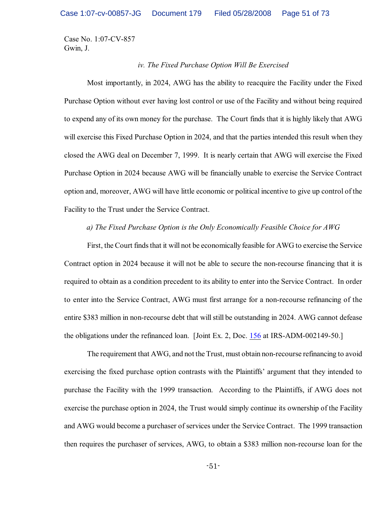### *iv. The Fixed Purchase Option Will Be Exercised*

Most importantly, in 2024, AWG has the ability to reacquire the Facility under the Fixed Purchase Option without ever having lost control or use of the Facility and without being required to expend any of its own money for the purchase. The Court finds that it is highly likely that AWG will exercise this Fixed Purchase Option in 2024, and that the parties intended this result when they closed the AWG deal on December 7, 1999. It is nearly certain that AWG will exercise the Fixed Purchase Option in 2024 because AWG will be financially unable to exercise the Service Contract option and, moreover, AWG will have little economic or political incentive to give up control of the Facility to the Trust under the Service Contract.

## *a) The Fixed Purchase Option is the Only Economically Feasible Choice for AWG*

First, the Court finds that it will not be economically feasible for AWG to exercise the Service Contract option in 2024 because it will not be able to secure the non-recourse financing that it is required to obtain as a condition precedent to its ability to enter into the Service Contract. In order to enter into the Service Contract, AWG must first arrange for a non-recourse refinancing of the entire \$383 million in non-recourse debt that will still be outstanding in 2024. AWG cannot defease the obligations under the refinanced loan. [Joint Ex. 2, Doc. [156](https://ecf.ohnd.uscourts.gov/doc1/14103878601) at IRS-ADM-002149-50.]

The requirement that AWG, and not the Trust, must obtain non-recourse refinancing to avoid exercising the fixed purchase option contrasts with the Plaintiffs' argument that they intended to purchase the Facility with the 1999 transaction. According to the Plaintiffs, if AWG does not exercise the purchase option in 2024, the Trust would simply continue its ownership of the Facility and AWG would become a purchaser of services under the Service Contract. The 1999 transaction then requires the purchaser of services, AWG, to obtain a \$383 million non-recourse loan for the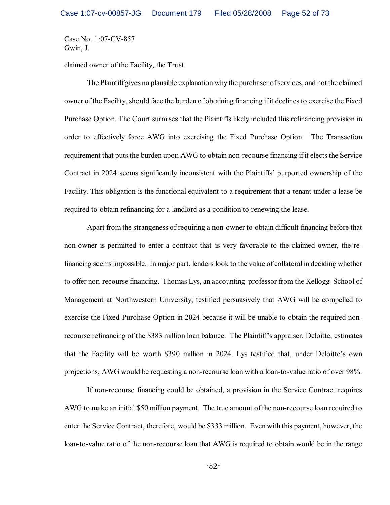claimed owner of the Facility, the Trust.

The Plaintiff gives no plausible explanation why the purchaser ofservices, and not the claimed owner of the Facility, should face the burden of obtaining financing ifit declines to exercise the Fixed Purchase Option. The Court surmises that the Plaintiffs likely included this refinancing provision in order to effectively force AWG into exercising the Fixed Purchase Option. The Transaction requirement that puts the burden upon AWG to obtain non-recourse financing if it elects the Service Contract in 2024 seems significantly inconsistent with the Plaintiffs' purported ownership of the Facility. This obligation is the functional equivalent to a requirement that a tenant under a lease be required to obtain refinancing for a landlord as a condition to renewing the lease.

Apart from the strangeness of requiring a non-owner to obtain difficult financing before that non-owner is permitted to enter a contract that is very favorable to the claimed owner, the refinancing seems impossible. In major part, lenders look to the value of collateral in deciding whether to offer non-recourse financing. Thomas Lys, an accounting professor from the Kellogg School of Management at Northwestern University, testified persuasively that AWG will be compelled to exercise the Fixed Purchase Option in 2024 because it will be unable to obtain the required nonrecourse refinancing of the \$383 million loan balance. The Plaintiff's appraiser, Deloitte, estimates that the Facility will be worth \$390 million in 2024. Lys testified that, under Deloitte's own projections, AWG would be requesting a non-recourse loan with a loan-to-value ratio of over 98%.

If non-recourse financing could be obtained, a provision in the Service Contract requires AWG to make an initial \$50 million payment. The true amount of the non-recourse loan required to enter the Service Contract, therefore, would be \$333 million. Even with this payment, however, the loan-to-value ratio of the non-recourse loan that AWG is required to obtain would be in the range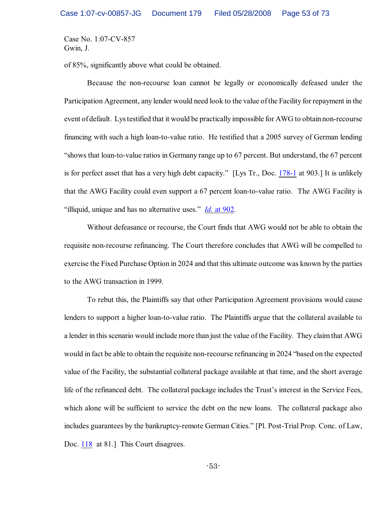of 85%, significantly above what could be obtained.

Because the non-recourse loan cannot be legally or economically defeased under the Participation Agreement, any lender would need look to the value ofthe Facility for repayment in the event of default. Lys testified that it would be practically impossible for AWG to obtain non-recourse financing with such a high loan-to-value ratio. He testified that a 2005 survey of German lending "shows that loan-to-value ratios in Germany range up to 67 percent. But understand, the 67 percent is for perfect asset that has a very high debt capacity." [Lys Tr., Doc. [178-1](https://ecf.ohnd.uscourts.gov/doc1/14113879558) at 903.] It is unlikely that the AWG Facility could even support a 67 percent loan-to-value ratio. The AWG Facility is "illiquid, unique and has no alternative uses." *Id.* [at 902](https://ecf.ohnd.uscourts.gov/doc1/14113879558).

Without defeasance or recourse, the Court finds that AWG would not be able to obtain the requisite non-recourse refinancing. The Court therefore concludes that AWG will be compelled to exercise the Fixed Purchase Option in 2024 and that this ultimate outcome was known by the parties to the AWG transaction in 1999.

To rebut this, the Plaintiffs say that other Participation Agreement provisions would cause lenders to support a higher loan-to-value ratio. The Plaintiffs argue that the collateral available to a lender in this scenario would include more than just the value of the Facility. They claim that AWG would in fact be able to obtain the requisite non-recourse refinancing in 2024 "based on the expected value of the Facility, the substantial collateral package available at that time, and the short average life of the refinanced debt. The collateral package includes the Trust's interest in the Service Fees, which alone will be sufficient to service the debt on the new loans. The collateral package also includes guarantees by the bankruptcy-remote German Cities." [Pl. Post-Trial Prop. Conc. of Law, Doc. [118](https://ecf.ohnd.uscourts.gov/doc1/14103745473) at 81.] This Court disagrees.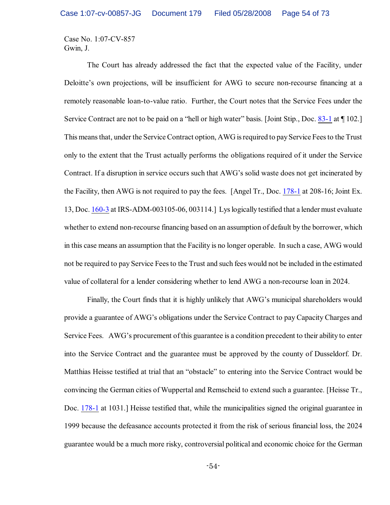The Court has already addressed the fact that the expected value of the Facility, under Deloitte's own projections, will be insufficient for AWG to secure non-recourse financing at a remotely reasonable loan-to-value ratio. Further, the Court notes that the Service Fees under the Service Contract are not to be paid on a "hell or high water" basis. [Joint Stip., Doc. [83-1](https://ecf.ohnd.uscourts.gov/doc1/14113678226) at  $\P$  102.] This means that, under the Service Contract option, AWG is required to payService Fees to the Trust only to the extent that the Trust actually performs the obligations required of it under the Service Contract. If a disruption in service occurs such that AWG's solid waste does not get incinerated by the Facility, then AWG is not required to pay the fees. [Angel Tr., Doc. [178-1](https://ecf.ohnd.uscourts.gov/doc1/14113879558) at 208-16; Joint Ex. 13, Doc. [160-3](https://ecf.ohnd.uscourts.gov/doc1/14113878716) at IRS-ADM-003105-06, 003114.] Lyslogically testified that a lender must evaluate whether to extend non-recourse financing based on an assumption of default by the borrower, which in this case means an assumption that the Facility is no longer operable. In such a case, AWG would not be required to pay Service Fees to the Trust and such fees would not be included in the estimated value of collateral for a lender considering whether to lend AWG a non-recourse loan in 2024.

Finally, the Court finds that it is highly unlikely that AWG's municipal shareholders would provide a guarantee of AWG's obligations under the Service Contract to pay Capacity Charges and Service Fees. AWG's procurement of this guarantee is a condition precedent to their ability to enter into the Service Contract and the guarantee must be approved by the county of Dusseldorf. Dr. Matthias Heisse testified at trial that an "obstacle" to entering into the Service Contract would be convincing the German cities of Wuppertal and Remscheid to extend such a guarantee. [Heisse Tr., Doc. [178-1](https://ecf.ohnd.uscourts.gov/doc1/14113879558) at 1031.] Heisse testified that, while the municipalities signed the original guarantee in 1999 because the defeasance accounts protected it from the risk of serious financial loss, the 2024 guarantee would be a much more risky, controversial political and economic choice for the German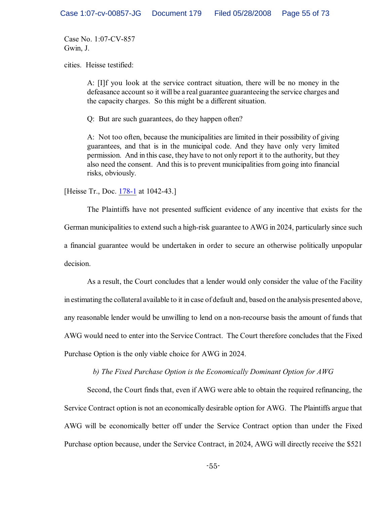cities. Heisse testified:

A: [I]f you look at the service contract situation, there will be no money in the defeasance account so it will be a real guarantee guaranteeing the service charges and the capacity charges. So this might be a different situation.

Q: But are such guarantees, do they happen often?

A: Not too often, because the municipalities are limited in their possibility of giving guarantees, and that is in the municipal code. And they have only very limited permission. And in this case, they have to not only report it to the authority, but they also need the consent. And this is to prevent municipalities from going into financial risks, obviously.

[Heisse Tr., Doc. [178-1](https://ecf.ohnd.uscourts.gov/doc1/14113879558) at 1042-43.]

The Plaintiffs have not presented sufficient evidence of any incentive that exists for the German municipalities to extend such a high-risk guarantee to AWG in 2024, particularly since such a financial guarantee would be undertaken in order to secure an otherwise politically unpopular decision.

As a result, the Court concludes that a lender would only consider the value of the Facility in estimating the collateral available to it in case of default and, based on the analysis presented above, any reasonable lender would be unwilling to lend on a non-recourse basis the amount of funds that AWG would need to enter into the Service Contract. The Court therefore concludes that the Fixed Purchase Option is the only viable choice for AWG in 2024.

*b) The Fixed Purchase Option is the Economically Dominant Option for AWG*

Second, the Court finds that, even if AWG were able to obtain the required refinancing, the Service Contract option is not an economically desirable option for AWG. The Plaintiffs argue that AWG will be economically better off under the Service Contract option than under the Fixed Purchase option because, under the Service Contract, in 2024, AWG will directly receive the \$521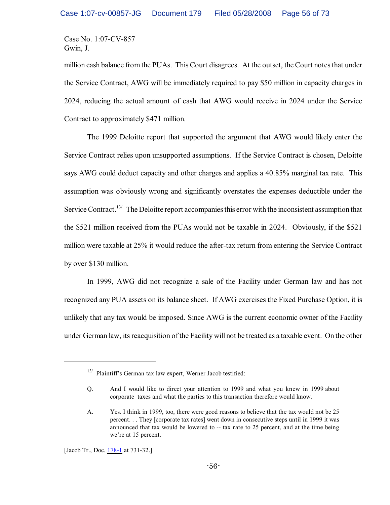million cash balance from the PUAs. This Court disagrees. At the outset, the Court notes that under the Service Contract, AWG will be immediately required to pay \$50 million in capacity charges in 2024, reducing the actual amount of cash that AWG would receive in 2024 under the Service Contract to approximately \$471 million.

The 1999 Deloitte report that supported the argument that AWG would likely enter the Service Contract relies upon unsupported assumptions. If the Service Contract is chosen, Deloitte says AWG could deduct capacity and other charges and applies a 40.85% marginal tax rate. This assumption was obviously wrong and significantly overstates the expenses deductible under the Service Contract.<sup> $13/2$ </sup> The Deloitte report accompanies this error with the inconsistent assumption that the \$521 million received from the PUAs would not be taxable in 2024. Obviously, if the \$521 million were taxable at 25% it would reduce the after-tax return from entering the Service Contract by over \$130 million.

In 1999, AWG did not recognize a sale of the Facility under German law and has not recognized any PUA assets on its balance sheet. If AWG exercises the Fixed Purchase Option, it is unlikely that any tax would be imposed. Since AWG is the current economic owner of the Facility under German law, its reacquisition of the Facility will not be treated as a taxable event. On the other

[Jacob Tr., Doc. [178-1](https://ecf.ohnd.uscourts.gov/doc1/14113879558) at 731-32.]

 $\frac{13}{12}$  Plaintiff's German tax law expert, Werner Jacob testified:

Q. And I would like to direct your attention to 1999 and what you knew in 1999 about corporate taxes and what the parties to this transaction therefore would know.

A. Yes. I think in 1999, too, there were good reasons to believe that the tax would not be 25 percent. . . They [corporate tax rates] went down in consecutive steps until in 1999 it was announced that tax would be lowered to -- tax rate to 25 percent, and at the time being we're at 15 percent.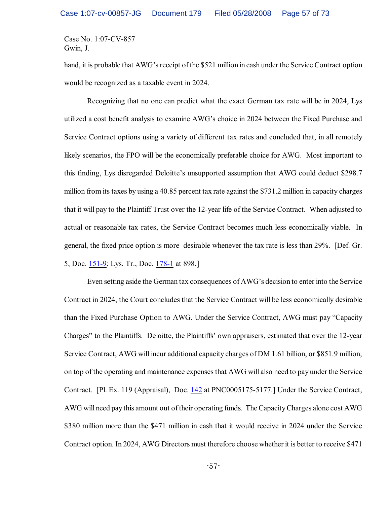hand, it is probable that AWG's receipt of the \$521 million in cash under the Service Contract option would be recognized as a taxable event in 2024.

Recognizing that no one can predict what the exact German tax rate will be in 2024, Lys utilized a cost benefit analysis to examine AWG's choice in 2024 between the Fixed Purchase and Service Contract options using a variety of different tax rates and concluded that, in all remotely likely scenarios, the FPO will be the economically preferable choice for AWG. Most important to this finding, Lys disregarded Deloitte's unsupported assumption that AWG could deduct \$298.7 million from its taxes by using a 40.85 percent tax rate against the \$731.2 million in capacity charges that it will pay to the Plaintiff Trust over the 12-year life of the Service Contract. When adjusted to actual or reasonable tax rates, the Service Contract becomes much less economically viable. In general, the fixed price option is more desirable whenever the tax rate is less than 29%. [Def. Gr. 5, Doc. [151-9](https://ecf.ohnd.uscourts.gov/doc1/14113878419); Lys. Tr., Doc. [178-1](https://ecf.ohnd.uscourts.gov/doc1/14113879558) at 898.]

Even setting aside the German tax consequences of AWG's decision to enter into the Service Contract in 2024, the Court concludes that the Service Contract will be less economically desirable than the Fixed Purchase Option to AWG. Under the Service Contract, AWG must pay "Capacity Charges" to the Plaintiffs. Deloitte, the Plaintiffs' own appraisers, estimated that over the 12-year Service Contract, AWG will incur additional capacity charges of DM 1.61 billion, or \$851.9 million, on top of the operating and maintenance expenses that AWG will also need to pay under the Service Contract. [Pl. Ex. 119 (Appraisal), Doc. [142](https://ecf.ohnd.uscourts.gov/doc1/14103877393) at PNC0005175-5177.] Under the Service Contract, AWG will need pay this amount out of their operating funds. The Capacity Charges alone cost AWG \$380 million more than the \$471 million in cash that it would receive in 2024 under the Service Contract option. In 2024, AWG Directors must therefore choose whether it is better to receive \$471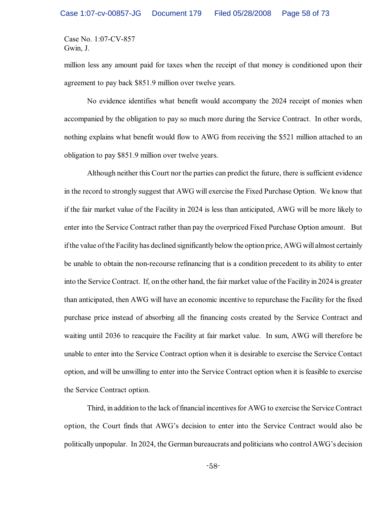million less any amount paid for taxes when the receipt of that money is conditioned upon their agreement to pay back \$851.9 million over twelve years.

No evidence identifies what benefit would accompany the 2024 receipt of monies when accompanied by the obligation to pay so much more during the Service Contract. In other words, nothing explains what benefit would flow to AWG from receiving the \$521 million attached to an obligation to pay \$851.9 million over twelve years.

Although neither this Court nor the parties can predict the future, there is sufficient evidence in the record to strongly suggest that AWG will exercise the Fixed Purchase Option. We know that if the fair market value of the Facility in 2024 is less than anticipated, AWG will be more likely to enter into the Service Contract rather than pay the overpriced Fixed Purchase Option amount. But if the value of the Facility has declined significantly below the option price, AWG will almost certainly be unable to obtain the non-recourse refinancing that is a condition precedent to its ability to enter into the Service Contract. If, on the other hand, the fair market value of the Facility in 2024 is greater than anticipated, then AWG will have an economic incentive to repurchase the Facility for the fixed purchase price instead of absorbing all the financing costs created by the Service Contract and waiting until 2036 to reacquire the Facility at fair market value. In sum, AWG will therefore be unable to enter into the Service Contract option when it is desirable to exercise the Service Contact option, and will be unwilling to enter into the Service Contract option when it is feasible to exercise the Service Contract option.

Third, in addition to the lack of financial incentives for AWG to exercise the Service Contract option, the Court finds that AWG's decision to enter into the Service Contract would also be politically unpopular. In 2024, the German bureaucrats and politicians who control AWG's decision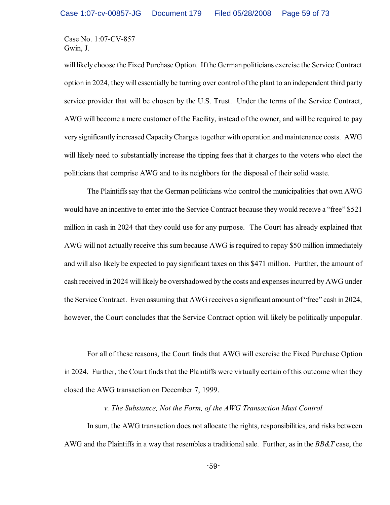will likely choose the Fixed Purchase Option. If the German politicians exercise the Service Contract option in 2024, they will essentially be turning over control of the plant to an independent third party service provider that will be chosen by the U.S. Trust. Under the terms of the Service Contract, AWG will become a mere customer of the Facility, instead of the owner, and will be required to pay very significantly increased CapacityCharges together with operation and maintenance costs. AWG will likely need to substantially increase the tipping fees that it charges to the voters who elect the politicians that comprise AWG and to its neighbors for the disposal of their solid waste.

The Plaintiffs say that the German politicians who control the municipalities that own AWG would have an incentive to enter into the Service Contract because they would receive a "free" \$521 million in cash in 2024 that they could use for any purpose. The Court has already explained that AWG will not actually receive this sum because AWG is required to repay \$50 million immediately and will also likely be expected to pay significant taxes on this \$471 million. Further, the amount of cash received in 2024 will likely be overshadowed by the costs and expensesincurred by AWG under the Service Contract. Even assuming that AWG receives a significant amount of "free" cash in 2024, however, the Court concludes that the Service Contract option will likely be politically unpopular.

For all of these reasons, the Court finds that AWG will exercise the Fixed Purchase Option in 2024. Further, the Court finds that the Plaintiffs were virtually certain of this outcome when they closed the AWG transaction on December 7, 1999.

### *v. The Substance, Not the Form, of the AWG Transaction Must Control*

In sum, the AWG transaction does not allocate the rights, responsibilities, and risks between AWG and the Plaintiffs in a way that resembles a traditional sale. Further, as in the *BB&T* case, the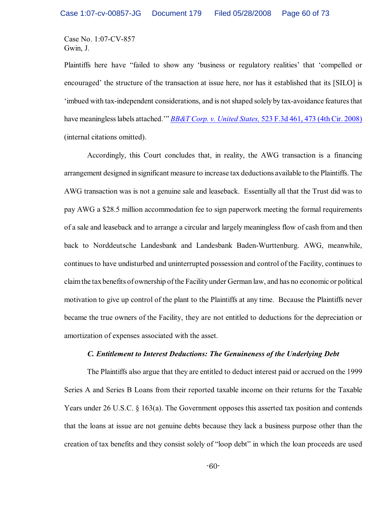Plaintiffs here have "failed to show any 'business or regulatory realities' that 'compelled or encouraged' the structure of the transaction at issue here, nor has it established that its [SILO] is 'imbued with tax-independent considerations, and is not shaped solely by tax-avoidance features that have meaningless labels attached.'" *[BB&T Corp. v. United States,](http://www.westlaw.com/keycite/default.wl?rs=CLWP3.0&vr=2.0&cite=523+F.3d+461)* 523 F.3d 461, 473 (4th Cir. 2008) (internal citations omitted).

Accordingly, this Court concludes that, in reality, the AWG transaction is a financing arrangement designed in significant measure to increase tax deductions available to the Plaintiffs. The AWG transaction was is not a genuine sale and leaseback. Essentially all that the Trust did was to pay AWG a \$28.5 million accommodation fee to sign paperwork meeting the formal requirements of a sale and leaseback and to arrange a circular and largely meaningless flow of cash from and then back to Norddeutsche Landesbank and Landesbank Baden-Wurttenburg. AWG, meanwhile, continuesto have undisturbed and uninterrupted possession and control of the Facility, continues to claim the tax benefits of ownership ofthe Facility under German law, and has no economic or political motivation to give up control of the plant to the Plaintiffs at any time. Because the Plaintiffs never became the true owners of the Facility, they are not entitled to deductions for the depreciation or amortization of expenses associated with the asset.

### *C. Entitlement to Interest Deductions: The Genuineness of the Underlying Debt*

The Plaintiffs also argue that they are entitled to deduct interest paid or accrued on the 1999 Series A and Series B Loans from their reported taxable income on their returns for the Taxable Years under 26 U.S.C. § 163(a). The Government opposes this asserted tax position and contends that the loans at issue are not genuine debts because they lack a business purpose other than the creation of tax benefits and they consist solely of "loop debt" in which the loan proceeds are used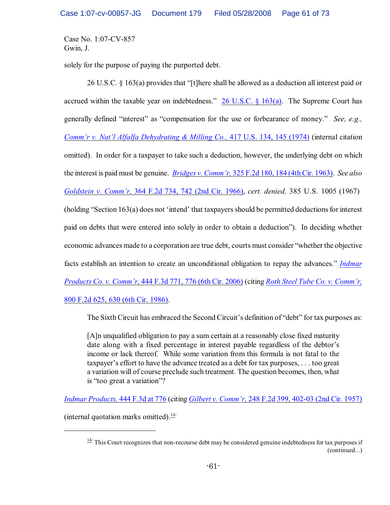solely for the purpose of paying the purported debt.

26 U.S.C. § 163(a) provides that "[t]here shall be allowed as a deduction all interest paid or accrued within the taxable year on indebtedness."  $26$  U.S.C. § 163(a). The Supreme Court has generally defined "interest" as "compensation for the use or forbearance of money." *See, e.g., [Comm'r v. Nat'l Alfalfa Dehydrating & Milling Co.,](http://www.westlaw.com/find/default.wl?rs=CLWP3.0&vr=2.0&cite=417+U.S.+134)* 417 U.S. 134, 145 (1974) (internal citation omitted). In order for a taxpayer to take such a deduction, however, the underlying debt on which the interest is paid must be genuine. *Bridges v. Comm'r,* [325 F.2d 180, 184 \(4th Cir. 1963\)](http://www.westlaw.com/find/default.wl?rs=CLWP3.0&vr=2.0&cite=325+F.2d+180). *See also Goldstein v. Comm'r,* [364 F.2d 734, 742 \(2nd Cir. 1966\)](http://www.westlaw.com/keycite/default.wl?rs=CLWP3.0&vr=2.0&cite=364+F.2d+734), *cert. denied,* 385 U.S. 1005 (1967) (holding "Section 163(a) does not 'intend' that taxpayers should be permitted deductions for interest paid on debts that were entered into solely in order to obtain a deduction"). In deciding whether economic advances made to a corporation are true debt, courts must consider "whether the objective facts establish an intention to create an unconditional obligation to repay the advances." *[Indmar](http://www.westlaw.com/find/default.wl?rs=CLWP3.0&vr=2.0&cite=444+F.3d+776) Products Co. v. Comm'r,* [444 F.3d 771, 776 \(6th Cir. 2006\)](http://www.westlaw.com/find/default.wl?rs=CLWP3.0&vr=2.0&cite=444+F.3d+776) (citing *Roth Steel Tube [Co. v. Comm'r,](http://www.westlaw.com/find/default.wl?rs=CLWP3.0&vr=2.0&cite=800+F.2d+625)* [800 F.2d 625, 630 \(6th Cir. 1986\)](http://www.westlaw.com/find/default.wl?rs=CLWP3.0&vr=2.0&cite=800+F.2d+625).

The Sixth Circuit has embraced the Second Circuit's definition of "debt" for tax purposes as:

[A]n unqualified obligation to pay a sum certain at a reasonably close fixed maturity date along with a fixed percentage in interest payable regardless of the debtor's income or lack thereof. While some variation from this formula is not fatal to the taxpayer's effort to have the advance treated as a debt for tax purposes, . . . too great a variation will of course preclude such treatment. The question becomes, then, what is "too great a variation"?

*[Indmar Products,](http://www.westlaw.com/find/default.wl?rs=CLWP3.0&vr=2.0&cite=444+F.3d+771)* 444 F.3d at 776 (citing *Gilbert v. Comm'r,* [248 F.2d 399, 402-03 \(2nd Cir. 1957\)](http://www.westlaw.com/find/default.wl?rs=CLWP3.0&vr=2.0&cite=248+F.2d+399)

(internal quotation marks omitted). $\frac{14}{1}$ 

 $\frac{14}{14}$  This Court recognizes that non-recourse debt may be considered genuine indebtedness for tax purposes if (continued...)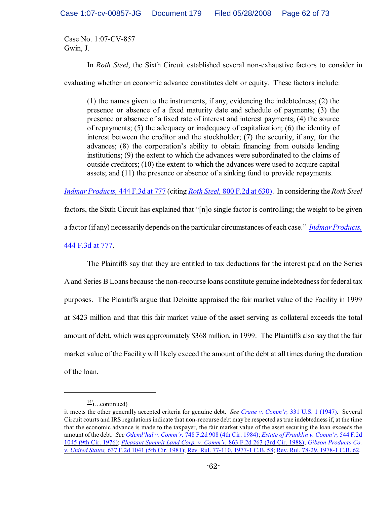In *Roth Steel*, the Sixth Circuit established several non-exhaustive factors to consider in

evaluating whether an economic advance constitutes debt or equity. These factors include:

(1) the names given to the instruments, if any, evidencing the indebtedness; (2) the presence or absence of a fixed maturity date and schedule of payments; (3) the presence or absence of a fixed rate of interest and interest payments; (4) the source of repayments; (5) the adequacy or inadequacy of capitalization; (6) the identity of interest between the creditor and the stockholder; (7) the security, if any, for the advances; (8) the corporation's ability to obtain financing from outside lending institutions; (9) the extent to which the advances were subordinated to the claims of outside creditors; (10) the extent to which the advances were used to acquire capital assets; and (11) the presence or absence of a sinking fund to provide repayments.

*[Indmar Products,](http://www.westlaw.com/find/default.wl?rs=CLWP3.0&vr=2.0&cite=444+F.3d+777)* 444 F.3d at 777 (citing *Roth Steel,* [800 F.2d at 630\)](http://www.westlaw.com/find/default.wl?rs=CLWP3.0&vr=2.0&cite=800+F.2d+625). In considering the *Roth Steel*

factors, the Sixth Circuit has explained that "[n]o single factor is controlling; the weight to be given a factor (if any) necessarily depends on the particular circumstances of each case." *[Indmar Products,](http://www.westlaw.com/find/default.wl?rs=CLWP3.0&vr=2.0&cite=444+F.3d+777)* [444 F.3d at 777](http://www.westlaw.com/find/default.wl?rs=CLWP3.0&vr=2.0&cite=444+F.3d+777).

The Plaintiffs say that they are entitled to tax deductions for the interest paid on the Series A and Series B Loans because the non-recourse loans constitute genuine indebtedness for federal tax purposes. The Plaintiffs argue that Deloitte appraised the fair market value of the Facility in 1999 at \$423 million and that this fair market value of the asset serving as collateral exceeds the total amount of debt, which was approximately \$368 million, in 1999. The Plaintiffs also say that the fair market value of the Facility will likely exceed the amount of the debt at all times during the duration of the loan.

 $\frac{14}{1}$ (...continued)

it meets the other generally accepted criteria for genuine debt. *See Crane v. Comm'r,* [331 U.S. 1 \(1947\)](http://www.westlaw.com/find/default.wl?rs=CLWP3.0&vr=2.0&cite=331+U.S.+1). Several Circuit courts and IRS regulations indicate that non-recourse debt may be respected as true indebtedness if, at the time that the economic advance is made to the taxpayer, the fair market value of the asset securing the loan exceeds the amount of the debt. *See Odend'hal v. Comm'r,* [748 F.2d 908 \(4th Cir. 1984\)](http://www.westlaw.com/find/default.wl?rs=CLWP3.0&vr=2.0&cite=748+F.2d+908); *[Estate of Franklin v. Comm'r,](http://www.westlaw.com/find/default.wl?rs=CLWP3.0&vr=2.0&cite=544+F.2d+1045)* 544 F.2d [1045 \(9th Cir. 1976\)](http://www.westlaw.com/find/default.wl?rs=CLWP3.0&vr=2.0&cite=544+F.2d+1045); *[Pleasant Summit Land Corp. v. Comm'r,](http://www.westlaw.com/find/default.wl?rs=CLWP3.0&vr=2.0&cite=863+F.2d+263)* 863 F.2d 263 (3rd Cir. 1988); *[Gibson Products Co.](http://www.westlaw.com/find/default.wl?rs=CLWP3.0&vr=2.0&cite=637+F.2d+1041) v. United States,* [637 F.2d 1041 \(5th Cir. 1981\)](http://www.westlaw.com/find/default.wl?rs=CLWP3.0&vr=2.0&cite=637+F.2d+1041); Rev. Rul. [77-110, 1977-1 C.B. 58](http://www.westlaw.com/keycite/default.wl?rs=CLWP3.0&vr=2.0&cite=1977-1+C.B.+58); [Rev. Rul. 78-29, 1978-1 C.B. 62](http://www.westlaw.com/keycite/default.wl?rs=CLWP3.0&vr=2.0&cite=Rev.+Rul.+78-29).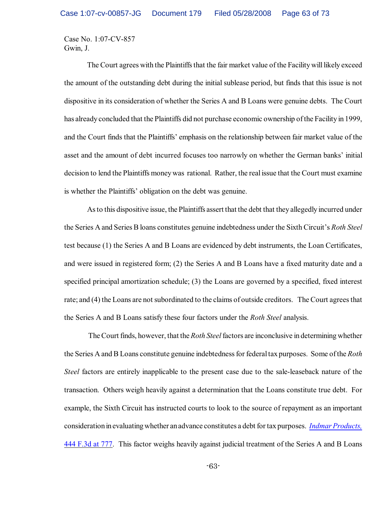The Court agrees with the Plaintiffs that the fair market value of the Facility will likely exceed the amount of the outstanding debt during the initial sublease period, but finds that this issue is not dispositive in its consideration of whether the Series A and B Loans were genuine debts. The Court has already concluded that the Plaintiffs did not purchase economic ownership ofthe Facility in 1999, and the Court finds that the Plaintiffs' emphasis on the relationship between fair market value of the asset and the amount of debt incurred focuses too narrowly on whether the German banks' initial decision to lend the Plaintiffs moneywas rational. Rather, the real issue that the Court must examine is whether the Plaintiffs' obligation on the debt was genuine.

As to this dispositive issue, the Plaintiffs assert that the debt that they allegedly incurred under the Series A and Series B loans constitutes genuine indebtedness under the Sixth Circuit's *Roth Steel* test because (1) the Series A and B Loans are evidenced by debt instruments, the Loan Certificates, and were issued in registered form; (2) the Series A and B Loans have a fixed maturity date and a specified principal amortization schedule; (3) the Loans are governed by a specified, fixed interest rate; and (4) the Loans are not subordinated to the claims of outside creditors. The Court agrees that the Series A and B Loans satisfy these four factors under the *Roth Steel* analysis.

 The Court finds, however, that the *Roth Steel* factors are inconclusive in determining whether the Series A and B Loans constitute genuine indebtedness for federal tax purposes. Some of the *Roth Steel* factors are entirely inapplicable to the present case due to the sale-leaseback nature of the transaction. Others weigh heavily against a determination that the Loans constitute true debt. For example, the Sixth Circuit has instructed courts to look to the source of repayment as an important considerationinevaluatingwhether anadvance constitutes a debt for tax purposes. *[Indmar Products,](http://www.westlaw.com/find/default.wl?rs=CLWP3.0&vr=2.0&cite=444+F.3d+781)* [444 F.3d at 777](http://www.westlaw.com/find/default.wl?rs=CLWP3.0&vr=2.0&cite=444+F.3d+781). This factor weighs heavily against judicial treatment of the Series A and B Loans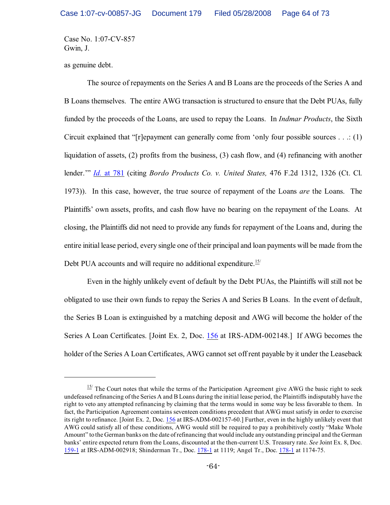as genuine debt.

The source of repayments on the Series A and B Loans are the proceeds of the Series A and B Loans themselves. The entire AWG transaction is structured to ensure that the Debt PUAs, fully funded by the proceeds of the Loans, are used to repay the Loans. In *Indmar Products*, the Sixth Circuit explained that "[r]epayment can generally come from 'only four possible sources . . .: (1) liquidation of assets, (2) profits from the business, (3) cash flow, and (4) refinancing with another lender.'" *Id.* [at 781](http://www.westlaw.com/find/default.wl?rs=CLWP3.0&vr=2.0&cite=444+F.3d+781) (citing *Bordo Products Co. v. United States,* 476 F.2d 1312, 1326 (Ct. Cl. 1973)). In this case, however, the true source of repayment of the Loans *are* the Loans. The Plaintiffs' own assets, profits, and cash flow have no bearing on the repayment of the Loans. At closing, the Plaintiffs did not need to provide any funds for repayment of the Loans and, during the entire initial lease period, every single one of their principal and loan payments will be made from the Debt PUA accounts and will require no additional expenditure.<sup>15/</sup>

Even in the highly unlikely event of default by the Debt PUAs, the Plaintiffs will still not be obligated to use their own funds to repay the Series A and Series B Loans. In the event of default, the Series B Loan is extinguished by a matching deposit and AWG will become the holder of the Series A Loan Certificates. [Joint Ex. 2, Doc. [156](https://ecf.ohnd.uscourts.gov/doc1/14103878601) at IRS-ADM-002148.] If AWG becomes the holder of the Series A Loan Certificates, AWG cannot set off rent payable by it under the Leaseback

 $15/$  The Court notes that while the terms of the Participation Agreement give AWG the basic right to seek undefeased refinancing of the Series A and B Loans during the initial lease period, the Plaintiffs indisputably have the right to veto any attempted refinancing by claiming that the terms would in some way be less favorable to them. In fact, the Participation Agreement contains seventeen conditions precedent that AWG must satisfy in order to exercise its right to refinance. [Joint Ex. 2, Doc. [156](https://ecf.ohnd.uscourts.gov/doc1/14103878601) at IRS-ADM-002157-60.] Further, even in the highly unlikely event that AWG could satisfy all of these conditions, AWG would still be required to pay a prohibitively costly "Make Whole Amount" to the German banks on the date of refinancing that would include any outstanding principal and the German banks' entire expected return from the Loans, discounted at the then-current U.S. Treasury rate. *See* Joint Ex. 8, Doc. [159-1](https://ecf.ohnd.uscourts.gov/doc1/14113878675) at IRS-ADM-002918; Shinderman Tr., Doc. [178-1](https://ecf.ohnd.uscourts.gov/doc1/14113879558) at 1119; Angel Tr., Doc. [178-1](https://ecf.ohnd.uscourts.gov/doc1/14113879558) at 1174-75.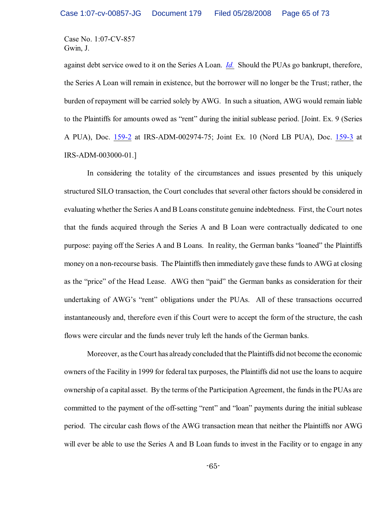against debt service owed to it on the Series A Loan. *[Id.](https://ecf.ohnd.uscourts.gov/doc1/14103878601)* Should the PUAs go bankrupt, therefore, the Series A Loan will remain in existence, but the borrower will no longer be the Trust; rather, the burden of repayment will be carried solely by AWG. In such a situation, AWG would remain liable to the Plaintiffs for amounts owed as "rent" during the initial sublease period. [Joint. Ex. 9 (Series A PUA), Doc. [159-2](https://ecf.ohnd.uscourts.gov/doc1/14113878676) at IRS-ADM-002974-75; Joint Ex. 10 (Nord LB PUA), Doc. [159-3](https://ecf.ohnd.uscourts.gov/doc1/14113878677) at IRS-ADM-003000-01.]

In considering the totality of the circumstances and issues presented by this uniquely structured SILO transaction, the Court concludes that several other factors should be considered in evaluating whether the Series A and B Loans constitute genuine indebtedness. First, the Court notes that the funds acquired through the Series A and B Loan were contractually dedicated to one purpose: paying off the Series A and B Loans. In reality, the German banks "loaned" the Plaintiffs money on a non-recourse basis. The Plaintiffs then immediately gave these funds to AWG at closing as the "price" of the Head Lease. AWG then "paid" the German banks as consideration for their undertaking of AWG's "rent" obligations under the PUAs. All of these transactions occurred instantaneously and, therefore even if this Court were to accept the form of the structure, the cash flows were circular and the funds never truly left the hands of the German banks.

Moreover, as the Court has already concluded that the Plaintiffs did not become the economic owners of the Facility in 1999 for federal tax purposes, the Plaintiffs did not use the loans to acquire ownership of a capital asset. By the terms of the Participation Agreement, the funds in the PUAs are committed to the payment of the off-setting "rent" and "loan" payments during the initial sublease period. The circular cash flows of the AWG transaction mean that neither the Plaintiffs nor AWG will ever be able to use the Series A and B Loan funds to invest in the Facility or to engage in any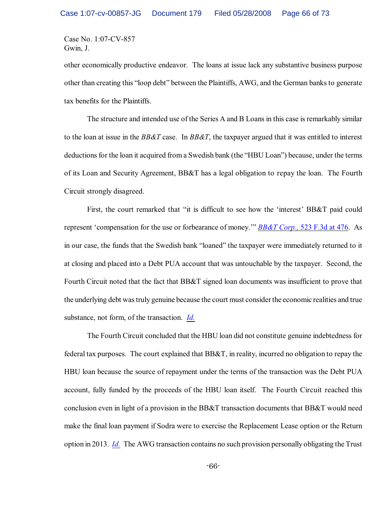other economically productive endeavor. The loans at issue lack any substantive business purpose other than creating this "loop debt" between the Plaintiffs, AWG, and the German banks to generate tax benefits for the Plaintiffs.

The structure and intended use of the Series A and B Loans in this case is remarkably similar to the loan at issue in the *BB&T* case. In *BB&T*, the taxpayer argued that it was entitled to interest deductions for the loan it acquired from a Swedish bank (the "HBU Loan") because, under the terms of its Loan and Security Agreement, BB&T has a legal obligation to repay the loan. The Fourth Circuit strongly disagreed.

First, the court remarked that "it is difficult to see how the 'interest' BB&T paid could represent 'compensation for the use or forbearance of money.'" *BB&T Corp.,* [523 F.3d at 476](http://www.westlaw.com/keycite/default.wl?rs=CLWP3.0&vr=2.0&cite=523+F.3d+461). As in our case, the funds that the Swedish bank "loaned" the taxpayer were immediately returned to it at closing and placed into a Debt PUA account that was untouchable by the taxpayer. Second, the Fourth Circuit noted that the fact that BB&T signed loan documents was insufficient to prove that the underlying debt was truly genuine because the court must consider the economic realities and true substance, not form, of the transaction. *[Id.](http://www.westlaw.com/keycite/default.wl?rs=CLWP3.0&vr=2.0&cite=523+F.3d+461)*

The Fourth Circuit concluded that the HBU loan did not constitute genuine indebtedness for federal tax purposes. The court explained that BB&T, in reality, incurred no obligation to repay the HBU loan because the source of repayment under the terms of the transaction was the Debt PUA account, fully funded by the proceeds of the HBU loan itself. The Fourth Circuit reached this conclusion even in light of a provision in the BB&T transaction documents that BB&T would need make the final loan payment if Sodra were to exercise the Replacement Lease option or the Return option in 2013. *[Id.](http://www.westlaw.com/keycite/default.wl?rs=CLWP3.0&vr=2.0&cite=523+F.3d+461)* The AWG transaction contains no such provision personally obligating the Trust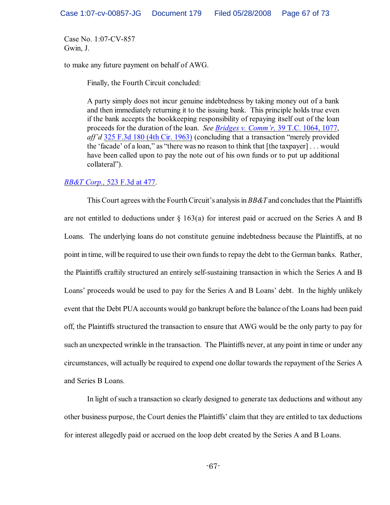to make any future payment on behalf of AWG.

Finally, the Fourth Circuit concluded:

A party simply does not incur genuine indebtedness by taking money out of a bank and then immediately returning it to the issuing bank. This principle holds true even if the bank accepts the bookkeeping responsibility of repaying itself out of the loan proceeds for the duration of the loan. *See [Bridges v. Comm'r,](http://www.westlaw.com/find/default.wl?rs=CLWP3.0&vr=2.0&cite=39+T.C.+1064)* 39 T.C. 1064, 1077, *aff'd* [325 F.3d 180 \(4th Cir. 1963\)](http://www.westlaw.com/find/default.wl?rs=CLWP3.0&vr=2.0&cite=325+F.3d+180) (concluding that a transaction "merely provided the 'facade' of a loan," as "there was no reason to think that [the taxpayer] . . . would have been called upon to pay the note out of his own funds or to put up additional collateral").

# *BB&T Corp.,* [523 F.3d at 477](http://www.westlaw.com/keycite/default.wl?rs=CLWP3.0&vr=2.0&cite=523+F.3d+461).

This Court agrees with the Fourth Circuit's analysis in *BB&T* and concludes that the Plaintiffs are not entitled to deductions under  $\S 163(a)$  for interest paid or accrued on the Series A and B Loans. The underlying loans do not constitute genuine indebtedness because the Plaintiffs, at no point in time, will be required to use their own funds to repay the debt to the German banks. Rather, the Plaintiffs craftily structured an entirely self-sustaining transaction in which the Series A and B Loans' proceeds would be used to pay for the Series A and B Loans' debt. In the highly unlikely event that the Debt PUA accounts would go bankrupt before the balance of the Loans had been paid off, the Plaintiffs structured the transaction to ensure that AWG would be the only party to pay for such an unexpected wrinkle in the transaction. The Plaintiffs never, at any point in time or under any circumstances, will actually be required to expend one dollar towards the repayment of the Series A and Series B Loans.

In light of such a transaction so clearly designed to generate tax deductions and without any other business purpose, the Court denies the Plaintiffs' claim that they are entitled to tax deductions for interest allegedly paid or accrued on the loop debt created by the Series A and B Loans.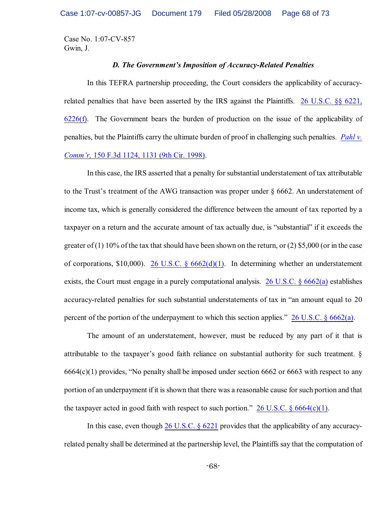#### *D. The Government's Imposition of Accuracy-Related Penalties*

In this TEFRA partnership proceeding, the Court considers the applicability of accuracyrelated penalties that have been asserted by the IRS against the Plaintiffs. [26 U.S.C. §§ 6221,](http://www.westlaw.com/find/default.wl?rs=CLWP3.0&vr=2.0&cite=26+USCA+ss+6221) [6226\(f\)](http://www.westlaw.com/find/default.wl?rs=CLWP3.0&vr=2.0&cite=26+USCA+ss+6221). The Government bears the burden of production on the issue of the applicability of penalties, but the Plaintiffs carry the ultimate burden of proof in challenging such penalties. *[Pahl v.](http://www.westlaw.com/find/default.wl?rs=CLWP3.0&vr=2.0&cite=150+F.3d+1124) Comm'r,* [150 F.3d 1124, 1131 \(9th Cir. 1998\)](http://www.westlaw.com/find/default.wl?rs=CLWP3.0&vr=2.0&cite=150+F.3d+1124).

In this case, the IRS asserted that a penalty for substantial understatement of tax attributable to the Trust's treatment of the AWG transaction was proper under § 6662. An understatement of income tax, which is generally considered the difference between the amount of tax reported by a taxpayer on a return and the accurate amount of tax actually due, is "substantial" if it exceeds the greater of (1) 10% of the tax that should have been shown on the return, or (2) \$5,000 (or in the case of corporations,  $$10,000$ . 26 U.S.C.  $\frac{6662(d)(1)}{1}$ . In determining whether an understatement exists, the Court must engage in a purely computational analysis. [26 U.S.C. § 6662\(a\)](http://www.westlaw.com/find/default.wl?rs=CLWP3.0&vr=2.0&cite=26+USCA+s+6662%28a%29) establishes accuracy-related penalties for such substantial understatements of tax in "an amount equal to 20 percent of the portion of the underpayment to which this section applies." [26 U.S.C. § 6662\(a\)](http://www.westlaw.com/find/default.wl?rs=CLWP3.0&vr=2.0&cite=26+USCA+s+6662%28a%29).

The amount of an understatement, however, must be reduced by any part of it that is attributable to the taxpayer's good faith reliance on substantial authority for such treatment. § 6664(c)(1) provides, "No penalty shall be imposed under section 6662 or 6663 with respect to any portion of an underpayment if it is shown that there was a reasonable cause for such portion and that the taxpayer acted in good faith with respect to such portion."  $26$  U.S.C. § 6664(c)(1).

In this case, even though [26 U.S.C. § 6221](http://www.westlaw.com/find/default.wl?rs=CLWP3.0&vr=2.0&cite=26+USCA+s+6221) provides that the applicability of any accuracyrelated penalty shall be determined at the partnership level, the Plaintiffs say that the computation of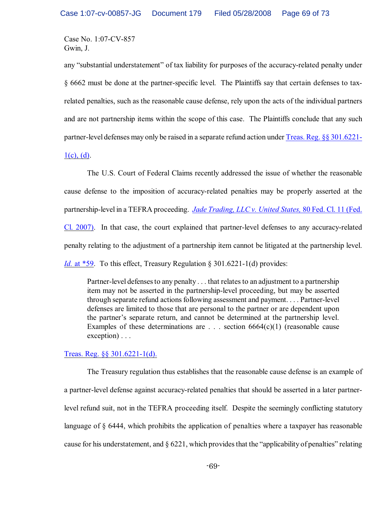any "substantial understatement" of tax liability for purposes of the accuracy-related penalty under § 6662 must be done at the partner-specific level. The Plaintiffs say that certain defenses to taxrelated penalties, such as the reasonable cause defense, rely upon the acts of the individual partners and are not partnership items within the scope of this case. The Plaintiffs conclude that any such partner-level defenses may only be raised in a separate refund action under [Treas. Reg. §§ 301.6221-](http://www.westlaw.com/keycite/default.wl?rs=CLWP3.0&vr=2.0&cite=Treas.+Reg.+301.6221-1)

 $1(c)$ , (d).

The U.S. Court of Federal Claims recently addressed the issue of whether the reasonable cause defense to the imposition of accuracy-related penalties may be properly asserted at the partnership-level in a TEFRA proceeding. *Jade Trading, LLC v. United States,* [80 Fed. Cl. 11 \(Fed.](http://www.westlaw.com/find/default.wl?rs=CLWP3.0&vr=2.0&cite=80+Fed.Cl.+11) [Cl. 2007\)](http://www.westlaw.com/find/default.wl?rs=CLWP3.0&vr=2.0&cite=80+Fed.Cl.+11). In that case, the court explained that partner-level defenses to any accuracy-related penalty relating to the adjustment of a partnership item cannot be litigated at the partnership level. *Id.* [at \\*59](http://www.westlaw.com/find/default.wl?rs=CLWP3.0&vr=2.0&cite=80+Fed.Cl.+59). To this effect, Treasury Regulation § 301.6221-1(d) provides:

Partner-level defenses to any penalty . . . that relates to an adjustment to a partnership item may not be asserted in the partnership-level proceeding, but may be asserted through separate refund actions following assessment and payment. . . . Partner-level defenses are limited to those that are personal to the partner or are dependent upon the partner's separate return, and cannot be determined at the partnership level. Examples of these determinations are  $\ldots$  section 6664(c)(1) (reasonable cause exception) . . .

[Treas. Reg. §§ 301.6221-1\(d\).](http://www.westlaw.com/keycite/default.wl?rs=CLWP3.0&vr=2.0&cite=Treas.+Reg.+301.6221-1)

The Treasury regulation thus establishes that the reasonable cause defense is an example of a partner-level defense against accuracy-related penalties that should be asserted in a later partnerlevel refund suit, not in the TEFRA proceeding itself. Despite the seemingly conflicting statutory language of § 6444, which prohibits the application of penalties where a taxpayer has reasonable cause for his understatement, and  $\S 6221$ , which provides that the "applicability of penalties" relating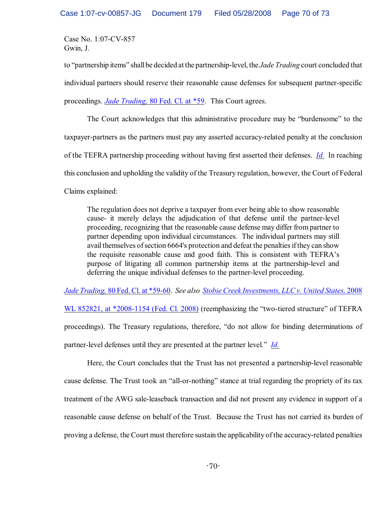to "partnership items" shallbe decided at the partnership-level, the *Jade Trading* court concluded that individual partners should reserve their reasonable cause defenses for subsequent partner-specific proceedings. *Jade Trading,* [80 Fed. Cl. at \\*59](http://www.westlaw.com/find/default.wl?rs=CLWP3.0&vr=2.0&cite=80+Fed.Cl.+59). This Court agrees.

The Court acknowledges that this administrative procedure may be "burdensome" to the taxpayer-partners as the partners must pay any asserted accuracy-related penalty at the conclusion of the TEFRA partnership proceeding without having first asserted their defenses. *[Id.](http://www.westlaw.com/find/default.wl?rs=CLWP3.0&vr=2.0&cite=80+Fed.Cl.+59)* In reaching this conclusion and upholding the validity of the Treasury regulation, however, the Court of Federal Claims explained:

The regulation does not deprive a taxpayer from ever being able to show reasonable cause- it merely delays the adjudication of that defense until the partner-level proceeding, recognizing that the reasonable cause defense may differ from partner to partner depending upon individual circumstances. The individual partners may still avail themselves of section 6664's protection and defeat the penalties if they can show the requisite reasonable cause and good faith. This is consistent with TEFRA's purpose of litigating all common partnership items at the partnership-level and deferring the unique individual defenses to the partner-level proceeding.

*Jade Trading,* [80 Fed. Cl. at \\*59-60](http://www.westlaw.com/find/default.wl?rs=CLWP3.0&vr=2.0&cite=80+Fed.Cl.+59). *See also [Stobie Creek Investments,](http://www.westlaw.com/find/default.wl?rs=CLWP3.0&vr=2.0&cite=2008+WL+852821) LLC v. United States,* 2008

[WL 852821, at \\*2008-1154 \(Fed. Cl. 2008\)](http://www.westlaw.com/find/default.wl?rs=CLWP3.0&vr=2.0&cite=2008+WL+852821) (reemphasizing the "two-tiered structure" of TEFRA proceedings). The Treasury regulations, therefore, "do not allow for binding determinations of partner-level defenses until they are presented at the partner level." *[Id.](http://www.westlaw.com/find/default.wl?rs=CLWP3.0&vr=2.0&cite=2008+WL+2008)*

Here, the Court concludes that the Trust has not presented a partnership-level reasonable cause defense. The Trust took an "all-or-nothing" stance at trial regarding the propriety of its tax treatment of the AWG sale-leaseback transaction and did not present any evidence in support of a reasonable cause defense on behalf of the Trust. Because the Trust has not carried its burden of proving a defense, the Court must therefore sustain the applicability of the accuracy-related penalties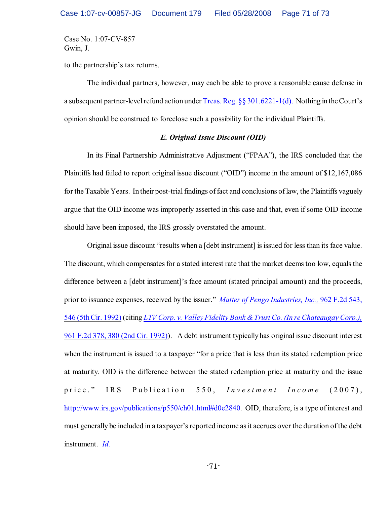to the partnership's tax returns.

The individual partners, however, may each be able to prove a reasonable cause defense in a subsequent partner-level refund action under Treas. Reg.  $\S$ § 301.6221-1(d). Nothing in the Court's opinion should be construed to foreclose such a possibility for the individual Plaintiffs.

## *E. Original Issue Discount (OID)*

In its Final Partnership Administrative Adjustment ("FPAA"), the IRS concluded that the Plaintiffs had failed to report original issue discount ("OID") income in the amount of \$12,167,086 for the Taxable Years. In their post-trial findings of fact and conclusions of law, the Plaintiffs vaguely argue that the OID income was improperly asserted in this case and that, even if some OID income should have been imposed, the IRS grossly overstated the amount.

Original issue discount "results when a [debt instrument] is issued for less than its face value. The discount, which compensates for a stated interest rate that the market deems too low, equals the difference between a [debt instrument]'s face amount (stated principal amount) and the proceeds, prior to issuance expenses, received by the issuer." *[Matter of Pengo Industries, Inc.,](http://www.westlaw.com/find/default.wl?rs=CLWP3.0&vr=2.0&cite=962+F.2d+543)* 962 F.2d 543, [546 \(5th Cir. 1992\)](http://www.westlaw.com/find/default.wl?rs=CLWP3.0&vr=2.0&cite=962+F.2d+543) (citing *LTV Corp. v. Valley Fidelity Bank [&Trust Co. \(In re Chateaugay Corp.\),](http://www.westlaw.com/keycite/default.wl?rs=CLWP3.0&vr=2.0&cite=961+F.2d+378)* [961 F.2d 378, 380 \(2nd Cir. 1992\)](http://www.westlaw.com/keycite/default.wl?rs=CLWP3.0&vr=2.0&cite=961+F.2d+378)). A debt instrument typically has original issue discount interest when the instrument is issued to a taxpayer "for a price that is less than its stated redemption price at maturity. OID is the difference between the stated redemption price at maturity and the issue price." IRS Publication 550, *Investment Income* (2007), [http://www.irs.gov/publications/p550/ch01.html#d0e2840](http://www.irs.gov/publications/p550/ch01.html#d0e2840.). OID, therefore, is a type of interest and must generally be included in a taxpayer's reported income asit accrues over the duration of the debt instrument. *[Id.](http://www.irs.gov/publications/p550/ch01.html#d0e2840)*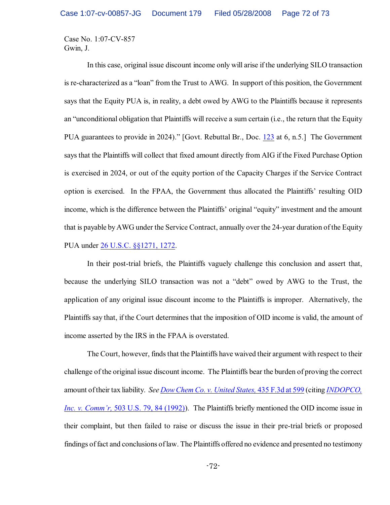In this case, original issue discount income only will arise if the underlying SILO transaction is re-characterized as a "loan" from the Trust to AWG. In support of this position, the Government says that the Equity PUA is, in reality, a debt owed by AWG to the Plaintiffs because it represents an "unconditional obligation that Plaintiffs will receive a sum certain (i.e., the return that the Equity PUA guarantees to provide in 2024)." [Govt. Rebuttal Br., Doc. [123](https://ecf.ohnd.uscourts.gov/doc1/14103796271) at 6, n.5.] The Government says that the Plaintiffs will collect that fixed amount directly from AIG if the Fixed Purchase Option is exercised in 2024, or out of the equity portion of the Capacity Charges if the Service Contract option is exercised. In the FPAA, the Government thus allocated the Plaintiffs' resulting OID income, which is the difference between the Plaintiffs' original "equity" investment and the amount that is payable byAWG under the Service Contract, annually over the 24-year duration of the Equity PUA under [26 U.S.C. §§1271, 1272](http://www.westlaw.com/find/default.wl?rs=CLWP3.0&vr=2.0&cite=26+USCA+ss1271).

In their post-trial briefs, the Plaintiffs vaguely challenge this conclusion and assert that, because the underlying SILO transaction was not a "debt" owed by AWG to the Trust, the application of any original issue discount income to the Plaintiffs is improper. Alternatively, the Plaintiffs say that, if the Court determines that the imposition of OID income is valid, the amount of income asserted by the IRS in the FPAA is overstated.

The Court, however, finds that the Plaintiffs have waived their argument with respect to their challenge of the original issue discount income. The Plaintiffs bear the burden of proving the correct amount of their tax liability. *See [Dow Chem Co. v. United States,](http://www.westlaw.com/find/default.wl?rs=CLWP3.0&vr=2.0&cite=435+F.3d+599)* 435 F.3d at 599 (citing *[INDOPCO,](http://www.westlaw.com/find/default.wl?rs=CLWP3.0&vr=2.0&cite=503+U.S.+79) Inc. v. Comm'r,* [503 U.S. 79, 84 \(1992\)](http://www.westlaw.com/find/default.wl?rs=CLWP3.0&vr=2.0&cite=503+U.S.+79)). The Plaintiffs briefly mentioned the OID income issue in their complaint, but then failed to raise or discuss the issue in their pre-trial briefs or proposed findings of fact and conclusions of law. The Plaintiffs offered no evidence and presented no testimony